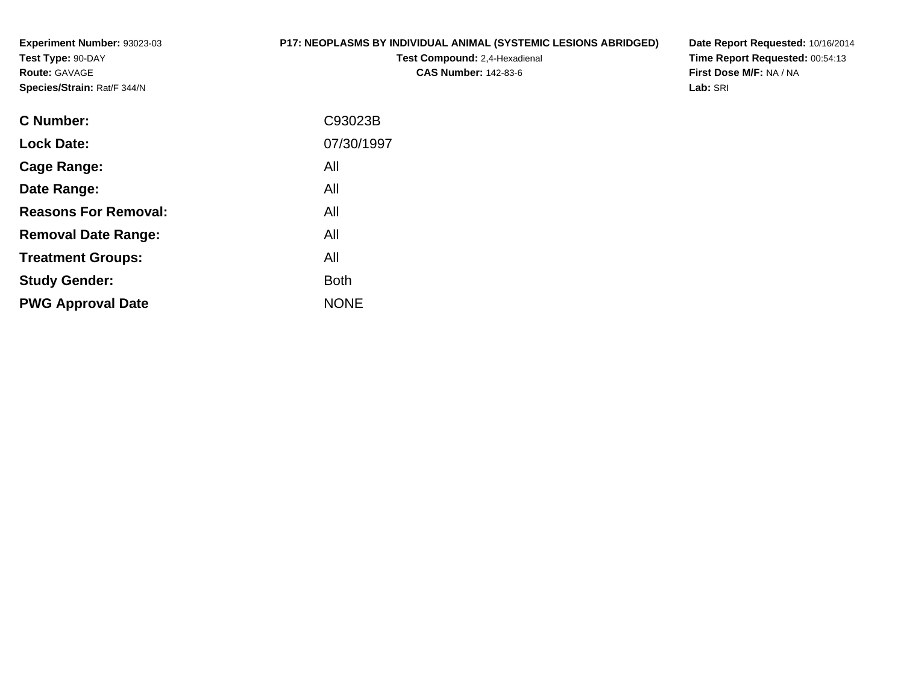**Experiment Number:** 93023-03**Test Type:** 90-DAY**Route:** GAVAGE**Species/Strain:** Rat/F 344/N

#### **P17: NEOPLASMS BY INDIVIDUAL ANIMAL (SYSTEMIC LESIONS ABRIDGED)**

**Test Compound:** 2,4-Hexadienal **CAS Number:** 142-83-6

**Date Report Requested:** 10/16/2014 **Time Report Requested:** 00:54:13**First Dose M/F:** NA / NA**Lab:** SRI

| <b>C</b> Number:            | C93023B     |
|-----------------------------|-------------|
| <b>Lock Date:</b>           | 07/30/1997  |
| Cage Range:                 | All         |
| Date Range:                 | All         |
| <b>Reasons For Removal:</b> | All         |
| <b>Removal Date Range:</b>  | All         |
| <b>Treatment Groups:</b>    | All         |
| <b>Study Gender:</b>        | <b>Both</b> |
| <b>PWG Approval Date</b>    | <b>NONE</b> |
|                             |             |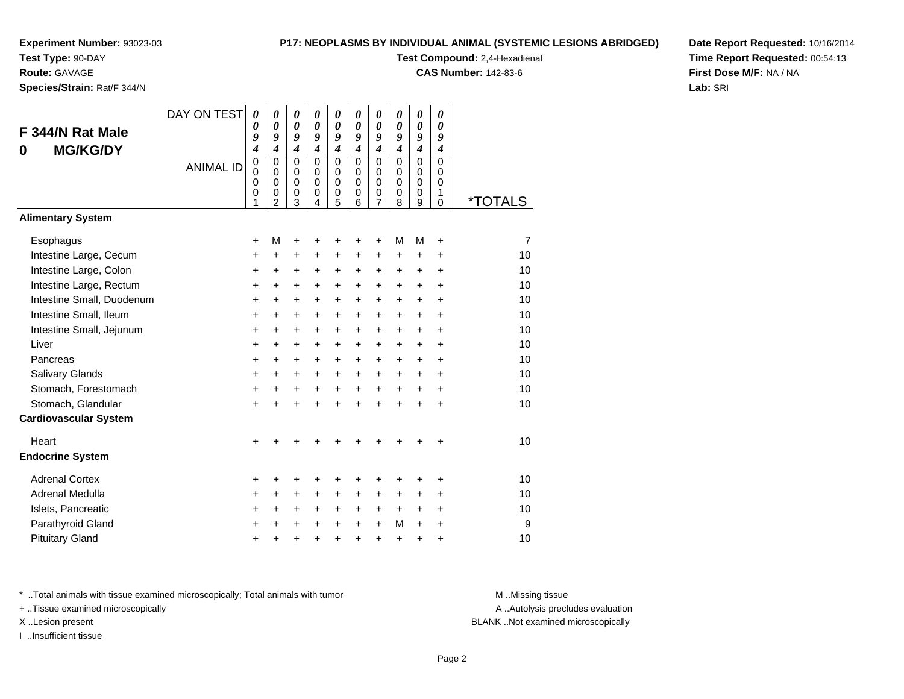**Test Type:** 90-DAY

**Route:** GAVAGE

**Species/Strain:** Rat/F 344/N

#### **P17: NEOPLASMS BY INDIVIDUAL ANIMAL (SYSTEMIC LESIONS ABRIDGED)**

**Test Compound:** 2,4-Hexadienal

**CAS Number:** 142-83-6

**Date Report Requested:** 10/16/2014**Time Report Requested:** 00:54:13**First Dose M/F:** NA / NA**Lab:** SRI

| F 344/N Rat Male<br><b>MG/KG/DY</b><br>0 | DAY ON TEST<br><b>ANIMAL ID</b> | $\boldsymbol{\theta}$<br>0<br>9<br>$\boldsymbol{4}$<br>$\pmb{0}$<br>$\mathbf{0}$<br>0<br>0<br>1 | 0<br>0<br>9<br>$\boldsymbol{4}$<br>$\mathbf 0$<br>$\Omega$<br>$\mathbf 0$<br>0<br>$\overline{2}$ | 0<br>$\boldsymbol{\theta}$<br>9<br>$\boldsymbol{4}$<br>$\mathbf 0$<br>$\Omega$<br>0<br>0<br>3 | $\boldsymbol{\theta}$<br>$\boldsymbol{\theta}$<br>9<br>$\boldsymbol{4}$<br>$\mathbf 0$<br>$\Omega$<br>$\mathbf 0$<br>0<br>4 | 0<br>0<br>9<br>$\boldsymbol{4}$<br>$\mathbf 0$<br>$\mathbf 0$<br>0<br>0<br>5 | 0<br>0<br>9<br>$\boldsymbol{4}$<br>$\Omega$<br>$\Omega$<br>$\mathbf 0$<br>0<br>6 | 0<br>$\boldsymbol{\theta}$<br>9<br>$\boldsymbol{4}$<br>0<br>$\Omega$<br>$\mathbf 0$<br>0<br>7 | 0<br>$\boldsymbol{\theta}$<br>9<br>$\boldsymbol{4}$<br>$\Omega$<br>$\Omega$<br>$\mathbf 0$<br>0<br>8 | 0<br>$\boldsymbol{\theta}$<br>9<br>$\boldsymbol{4}$<br>$\mathbf 0$<br>$\mathbf 0$<br>$\mathbf 0$<br>$\mathbf 0$<br>9 | 0<br>0<br>9<br>$\boldsymbol{4}$<br>$\mathbf 0$<br>$\Omega$<br>$\mathbf 0$<br>1<br>$\Omega$ | <i><b>*TOTALS</b></i> |
|------------------------------------------|---------------------------------|-------------------------------------------------------------------------------------------------|--------------------------------------------------------------------------------------------------|-----------------------------------------------------------------------------------------------|-----------------------------------------------------------------------------------------------------------------------------|------------------------------------------------------------------------------|----------------------------------------------------------------------------------|-----------------------------------------------------------------------------------------------|------------------------------------------------------------------------------------------------------|----------------------------------------------------------------------------------------------------------------------|--------------------------------------------------------------------------------------------|-----------------------|
| <b>Alimentary System</b>                 |                                 |                                                                                                 |                                                                                                  |                                                                                               |                                                                                                                             |                                                                              |                                                                                  |                                                                                               |                                                                                                      |                                                                                                                      |                                                                                            |                       |
| Esophagus                                |                                 | +                                                                                               | М                                                                                                | +                                                                                             | +                                                                                                                           | +                                                                            | +                                                                                | +                                                                                             | M                                                                                                    | M                                                                                                                    | $\ddot{}$                                                                                  | 7                     |
| Intestine Large, Cecum                   |                                 | +                                                                                               | $\ddot{}$                                                                                        | +                                                                                             | $\pm$                                                                                                                       | +                                                                            | +                                                                                | +                                                                                             | $\ddot{}$                                                                                            | $\ddot{}$                                                                                                            | +                                                                                          | 10                    |
| Intestine Large, Colon                   |                                 | $\ddot{}$                                                                                       | $\ddot{}$                                                                                        | $\ddot{}$                                                                                     | $\ddot{}$                                                                                                                   | $\pm$                                                                        | $\ddot{}$                                                                        | +                                                                                             | $\ddot{}$                                                                                            | $\ddot{}$                                                                                                            | $\ddot{}$                                                                                  | 10                    |
| Intestine Large, Rectum                  |                                 | $\ddot{}$                                                                                       | $\ddot{}$                                                                                        | $\ddot{}$                                                                                     | $\ddot{}$                                                                                                                   | $+$                                                                          | $\ddot{}$                                                                        | $\ddot{}$                                                                                     | $\ddot{}$                                                                                            | $\ddot{}$                                                                                                            | $\ddot{}$                                                                                  | 10                    |
| Intestine Small, Duodenum                |                                 | $\ddot{}$                                                                                       | $\ddot{}$                                                                                        | +                                                                                             | $\ddot{}$                                                                                                                   | $\ddot{}$                                                                    | $\ddot{}$                                                                        | $\ddot{}$                                                                                     | $\ddot{}$                                                                                            | $+$                                                                                                                  | $\ddot{}$                                                                                  | 10                    |
| Intestine Small, Ileum                   |                                 | $\ddot{}$                                                                                       | +                                                                                                | +                                                                                             | $\ddot{}$                                                                                                                   | $\ddot{}$                                                                    | $\ddot{}$                                                                        | +                                                                                             | $\ddot{}$                                                                                            | $\ddot{}$                                                                                                            | $\ddot{}$                                                                                  | 10                    |
| Intestine Small, Jejunum                 |                                 | $\ddot{}$                                                                                       | $\ddot{}$                                                                                        | $\ddot{}$                                                                                     | $\ddot{}$                                                                                                                   | $\ddot{}$                                                                    | $\ddot{}$                                                                        | $\ddot{}$                                                                                     | $\ddot{}$                                                                                            | $+$                                                                                                                  | $\ddot{}$                                                                                  | 10                    |
| Liver                                    |                                 | $\ddot{}$                                                                                       | +                                                                                                | $\ddot{}$                                                                                     | $\ddot{}$                                                                                                                   | $+$                                                                          | $\ddot{}$                                                                        | $\ddot{}$                                                                                     | $+$                                                                                                  | $\ddot{}$                                                                                                            | $\ddot{}$                                                                                  | 10                    |
| Pancreas                                 |                                 | $\ddot{}$                                                                                       | $\ddot{}$                                                                                        | $\ddot{}$                                                                                     | $\ddot{}$                                                                                                                   | $\pm$                                                                        | $\ddot{}$                                                                        | $\ddot{}$                                                                                     | $\ddot{}$                                                                                            | $\ddot{}$                                                                                                            | $\ddot{}$                                                                                  | 10                    |
| Salivary Glands                          |                                 | $\ddot{}$                                                                                       | $\ddot{}$                                                                                        | $\ddot{}$                                                                                     | $\ddot{}$                                                                                                                   | $\ddot{}$                                                                    | $\ddot{}$                                                                        | $\ddot{}$                                                                                     | $\ddot{}$                                                                                            | $\ddot{}$                                                                                                            | $\ddot{}$                                                                                  | 10                    |
| Stomach, Forestomach                     |                                 | $\ddot{}$                                                                                       | $\ddot{}$                                                                                        | $\ddot{}$                                                                                     | $+$                                                                                                                         | $\ddot{}$                                                                    | $+$                                                                              | $\ddot{}$                                                                                     | $+$                                                                                                  | $+$                                                                                                                  | $\ddot{}$                                                                                  | 10                    |
| Stomach, Glandular                       |                                 | $\ddot{}$                                                                                       | $\ddot{}$                                                                                        | $\ddot{}$                                                                                     | $\ddot{}$                                                                                                                   | $\ddot{}$                                                                    | ÷                                                                                | $\ddot{}$                                                                                     |                                                                                                      | ÷                                                                                                                    | +                                                                                          | 10                    |
| <b>Cardiovascular System</b>             |                                 |                                                                                                 |                                                                                                  |                                                                                               |                                                                                                                             |                                                                              |                                                                                  |                                                                                               |                                                                                                      |                                                                                                                      |                                                                                            |                       |
| Heart                                    |                                 | +                                                                                               |                                                                                                  |                                                                                               |                                                                                                                             |                                                                              |                                                                                  |                                                                                               |                                                                                                      |                                                                                                                      | ÷                                                                                          | 10                    |
| <b>Endocrine System</b>                  |                                 |                                                                                                 |                                                                                                  |                                                                                               |                                                                                                                             |                                                                              |                                                                                  |                                                                                               |                                                                                                      |                                                                                                                      |                                                                                            |                       |
| <b>Adrenal Cortex</b>                    |                                 | +                                                                                               | +                                                                                                | +                                                                                             | +                                                                                                                           | +                                                                            | +                                                                                | +                                                                                             | +                                                                                                    | ٠                                                                                                                    | +                                                                                          | 10                    |
| Adrenal Medulla                          |                                 | $\ddot{}$                                                                                       | +                                                                                                | $\pm$                                                                                         | $\ddot{}$                                                                                                                   | $\pm$                                                                        | $\ddot{}$                                                                        | +                                                                                             | $\ddot{}$                                                                                            | $\ddot{}$                                                                                                            | $\ddot{}$                                                                                  | 10                    |
| Islets, Pancreatic                       |                                 | +                                                                                               | +                                                                                                | +                                                                                             | $\ddot{}$                                                                                                                   | $\ddot{}$                                                                    | $\ddot{}$                                                                        | $\ddot{}$                                                                                     | $\ddot{}$                                                                                            | $+$                                                                                                                  | $\ddot{}$                                                                                  | 10                    |
| Parathyroid Gland                        |                                 | $\ddot{}$                                                                                       | $\ddot{}$                                                                                        | +                                                                                             | $\ddot{}$                                                                                                                   | $\ddot{}$                                                                    | $\ddot{}$                                                                        | $\ddot{}$                                                                                     | M                                                                                                    | $\ddot{}$                                                                                                            | $\ddot{}$                                                                                  | 9                     |
| <b>Pituitary Gland</b>                   |                                 | $\pm$                                                                                           | +                                                                                                | +                                                                                             | +                                                                                                                           | $\pm$                                                                        | +                                                                                | $\ddot{}$                                                                                     | $\ddot{}$                                                                                            | +                                                                                                                    | +                                                                                          | 10                    |

\* ..Total animals with tissue examined microscopically; Total animals with tumor **M** . Missing tissue M ..Missing tissue

+ ..Tissue examined microscopically

I ..Insufficient tissue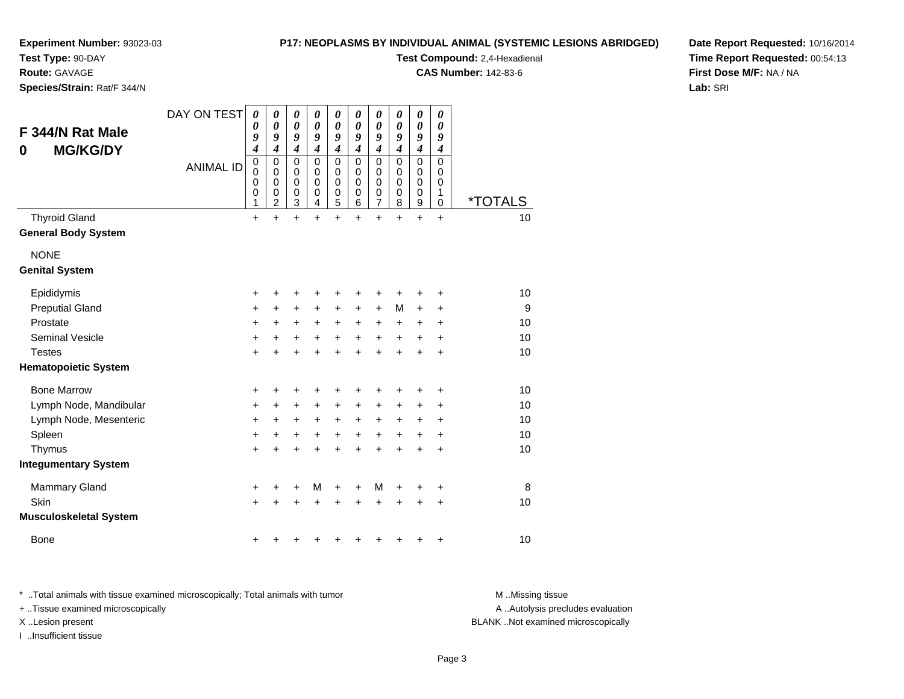#### **P17: NEOPLASMS BY INDIVIDUAL ANIMAL (SYSTEMIC LESIONS ABRIDGED)**

**Experiment Number:** 93023-03

**Test Type:** 90-DAY

**Route:** GAVAGE

**Species/Strain:** Rat/F 344/N

**Test Compound:** 2,4-Hexadienal

**CAS Number:** 142-83-6

**Date Report Requested:** 10/16/2014**Time Report Requested:** 00:54:13**First Dose M/F:** NA / NA**Lab:** SRI

| F 344/N Rat Male<br><b>MG/KG/DY</b><br>0           | DAY ON TEST      | 0<br>0<br>9<br>4                | 0<br>$\boldsymbol{\theta}$<br>9<br>$\boldsymbol{4}$    | 0<br>$\boldsymbol{\theta}$<br>9<br>$\overline{\boldsymbol{4}}$ | 0<br>$\boldsymbol{\theta}$<br>9<br>$\boldsymbol{4}$ | 0<br>$\pmb{\theta}$<br>9<br>$\overline{\boldsymbol{4}}$                  | 0<br>$\pmb{\theta}$<br>9<br>$\boldsymbol{4}$        | 0<br>$\boldsymbol{\theta}$<br>9<br>$\boldsymbol{4}$    | 0<br>$\boldsymbol{\theta}$<br>9<br>$\boldsymbol{4}$ | 0<br>$\boldsymbol{\theta}$<br>9<br>$\boldsymbol{4}$      | 0<br>$\boldsymbol{\theta}$<br>9<br>$\boldsymbol{4}$ |                       |
|----------------------------------------------------|------------------|---------------------------------|--------------------------------------------------------|----------------------------------------------------------------|-----------------------------------------------------|--------------------------------------------------------------------------|-----------------------------------------------------|--------------------------------------------------------|-----------------------------------------------------|----------------------------------------------------------|-----------------------------------------------------|-----------------------|
|                                                    | <b>ANIMAL ID</b> | $\mathbf 0$<br>0<br>0<br>0<br>1 | $\mathbf 0$<br>0<br>$\mathbf 0$<br>0<br>$\overline{c}$ | $\mathbf 0$<br>$\mathbf 0$<br>$\mathbf 0$<br>$\mathbf 0$<br>3  | $\mathbf 0$<br>$\mathbf 0$<br>$\mathbf 0$<br>0<br>4 | $\mathbf 0$<br>$\mathbf 0$<br>$\mathbf 0$<br>$\pmb{0}$<br>$\overline{5}$ | $\mathbf 0$<br>$\mathbf 0$<br>$\mathbf 0$<br>0<br>6 | 0<br>$\mathbf 0$<br>$\mathbf 0$<br>0<br>$\overline{7}$ | $\Omega$<br>$\Omega$<br>$\mathbf 0$<br>0<br>8       | $\mathbf 0$<br>0<br>$\mathbf 0$<br>0<br>$\boldsymbol{9}$ | 0<br>$\mathbf 0$<br>$\mathbf 0$<br>1<br>$\mathbf 0$ | <i><b>*TOTALS</b></i> |
| <b>Thyroid Gland</b><br><b>General Body System</b> |                  | $\ddot{}$                       | $\ddot{}$                                              | $\ddot{}$                                                      | $\ddot{}$                                           | $\ddot{}$                                                                | $+$                                                 | $\ddot{}$                                              | $\ddot{}$                                           | $\ddot{}$                                                | $\ddot{}$                                           | 10                    |
| <b>NONE</b><br><b>Genital System</b>               |                  |                                 |                                                        |                                                                |                                                     |                                                                          |                                                     |                                                        |                                                     |                                                          |                                                     |                       |
| Epididymis                                         |                  | +                               | +                                                      | +                                                              | +                                                   | +                                                                        | +                                                   | +                                                      | +                                                   | +                                                        | +                                                   | 10                    |
| <b>Preputial Gland</b>                             |                  | +                               | $\ddot{}$                                              | $\ddot{}$                                                      | $\ddot{}$                                           | +                                                                        | $\ddot{}$                                           | $\ddot{}$                                              | M                                                   | $\ddot{}$                                                | +                                                   | 9                     |
| Prostate                                           |                  | +                               | $\ddot{}$                                              | $\ddot{}$                                                      | $\ddot{}$                                           | $\ddot{}$                                                                | $\ddot{}$                                           | +                                                      | $\ddot{}$                                           | +                                                        | +                                                   | 10                    |
| <b>Seminal Vesicle</b>                             |                  | $\ddot{}$                       | +                                                      | $\ddot{}$                                                      | $\ddot{}$                                           | $\ddot{}$                                                                | $\ddot{}$                                           | $\ddot{}$                                              | $\ddot{}$                                           | $\ddot{}$                                                | $\ddot{}$                                           | 10                    |
| <b>Testes</b>                                      |                  | $\ddot{}$                       | +                                                      | $\ddot{}$                                                      | $\ddot{}$                                           | $\ddot{}$                                                                | $\ddot{}$                                           | $\ddot{}$                                              | $\ddot{}$                                           | $\ddot{}$                                                | $\ddot{}$                                           | 10                    |
| <b>Hematopoietic System</b>                        |                  |                                 |                                                        |                                                                |                                                     |                                                                          |                                                     |                                                        |                                                     |                                                          |                                                     |                       |
| <b>Bone Marrow</b>                                 |                  | +                               | +                                                      | +                                                              |                                                     | +                                                                        |                                                     | +                                                      | +                                                   | +                                                        | +                                                   | 10                    |
| Lymph Node, Mandibular                             |                  | +                               | +                                                      | +                                                              | +                                                   | $\ddot{}$                                                                | $\ddot{}$                                           | +                                                      | $\ddot{}$                                           | $\ddot{}$                                                | $\pm$                                               | 10                    |
| Lymph Node, Mesenteric                             |                  | $\ddot{}$                       | +                                                      | $\ddot{}$                                                      | $\ddot{}$                                           | $\ddot{}$                                                                | $\ddot{}$                                           | $\ddot{}$                                              | +                                                   | +                                                        | +                                                   | 10                    |
| Spleen                                             |                  | +                               | +                                                      | $\ddot{}$                                                      | $\ddot{}$                                           | $\boldsymbol{+}$                                                         | +                                                   | +                                                      | $\ddot{}$                                           | $\ddot{}$                                                | +                                                   | 10                    |
| Thymus                                             |                  | +                               |                                                        | +                                                              |                                                     | +                                                                        |                                                     | $\ddot{}$                                              | $\ddot{}$                                           | $\ddot{}$                                                | $\ddot{}$                                           | 10                    |
| <b>Integumentary System</b>                        |                  |                                 |                                                        |                                                                |                                                     |                                                                          |                                                     |                                                        |                                                     |                                                          |                                                     |                       |
| <b>Mammary Gland</b>                               |                  | +                               | +                                                      | +                                                              | M                                                   | +                                                                        | +                                                   | M                                                      | +                                                   | +                                                        | +                                                   | 8                     |
| Skin                                               |                  | +                               |                                                        | +                                                              | +                                                   | +                                                                        |                                                     | +                                                      | +                                                   | +                                                        | +                                                   | 10                    |
| <b>Musculoskeletal System</b>                      |                  |                                 |                                                        |                                                                |                                                     |                                                                          |                                                     |                                                        |                                                     |                                                          |                                                     |                       |
| <b>Bone</b>                                        |                  | +                               |                                                        |                                                                |                                                     |                                                                          |                                                     | ٠                                                      | +                                                   | +                                                        | +                                                   | 10                    |

\* ..Total animals with tissue examined microscopically; Total animals with tumor **M** . Missing tissue M ..Missing tissue

+ ..Tissue examined microscopically

I ..Insufficient tissue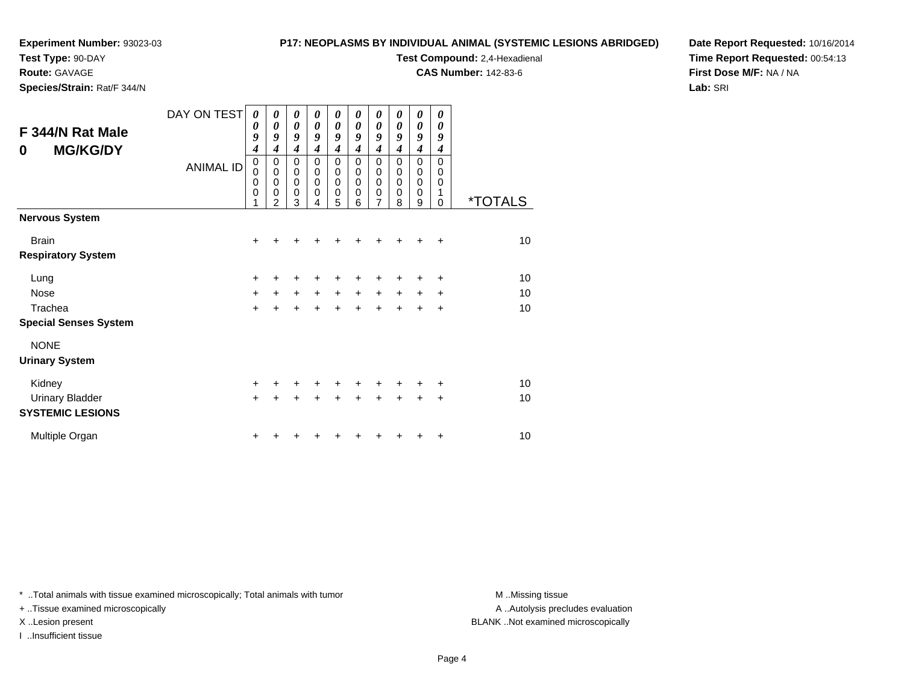**Test Type:** 90-DAY

**Route:** GAVAGE

**Species/Strain:** Rat/F 344/N

#### **P17: NEOPLASMS BY INDIVIDUAL ANIMAL (SYSTEMIC LESIONS ABRIDGED)**

**Test Compound:** 2,4-Hexadienal

**CAS Number:** 142-83-6

**Date Report Requested:** 10/16/2014**Time Report Requested:** 00:54:13**First Dose M/F:** NA / NA**Lab:** SRI

| F 344/N Rat Male<br><b>MG/KG/DY</b><br>0 | DAY ON TEST<br><b>ANIMAL ID</b> | 0<br>0<br>9<br>$\boldsymbol{4}$<br>$\pmb{0}$<br>$\mathbf 0$<br>$\mathbf 0$<br>$\mathbf 0$<br>1 | 0<br>$\boldsymbol{\theta}$<br>9<br>4<br>0<br>$\mathbf 0$<br>$\mathbf 0$<br>$\mathbf 0$<br>$\overline{2}$ | 0<br>$\boldsymbol{\theta}$<br>9<br>$\boldsymbol{4}$<br>$\pmb{0}$<br>$\mathbf 0$<br>$\pmb{0}$<br>$\mathbf 0$<br>3 | 0<br>$\boldsymbol{\theta}$<br>9<br>4<br>$\mathbf 0$<br>$\mathbf 0$<br>$\mathbf 0$<br>$\mathbf 0$<br>4 | 0<br>0<br>9<br>$\boldsymbol{4}$<br>0<br>$\pmb{0}$<br>0<br>0<br>5 | 0<br>0<br>9<br>4<br>$\mathbf 0$<br>0<br>0<br>$\mathbf 0$<br>6 | 0<br>$\boldsymbol{\theta}$<br>9<br>4<br>0<br>$\mathbf 0$<br>0<br>0<br>$\overline{7}$ | 0<br>$\boldsymbol{\theta}$<br>9<br>4<br>$\Omega$<br>$\mathbf 0$<br>0<br>$\mathbf 0$<br>8 | 0<br>$\boldsymbol{\theta}$<br>9<br>$\boldsymbol{4}$<br>$\mathbf 0$<br>$\mathbf 0$<br>$\mathbf 0$<br>$\mathbf 0$<br>9 | 0<br>0<br>9<br>4<br>$\Omega$<br>0<br>0<br>1<br>$\Omega$ | <i><b>*TOTALS</b></i> |
|------------------------------------------|---------------------------------|------------------------------------------------------------------------------------------------|----------------------------------------------------------------------------------------------------------|------------------------------------------------------------------------------------------------------------------|-------------------------------------------------------------------------------------------------------|------------------------------------------------------------------|---------------------------------------------------------------|--------------------------------------------------------------------------------------|------------------------------------------------------------------------------------------|----------------------------------------------------------------------------------------------------------------------|---------------------------------------------------------|-----------------------|
| <b>Nervous System</b>                    |                                 |                                                                                                |                                                                                                          |                                                                                                                  |                                                                                                       |                                                                  |                                                               |                                                                                      |                                                                                          |                                                                                                                      |                                                         |                       |
| <b>Brain</b>                             |                                 | +                                                                                              |                                                                                                          |                                                                                                                  |                                                                                                       |                                                                  |                                                               |                                                                                      |                                                                                          |                                                                                                                      | $\div$                                                  | 10                    |
| <b>Respiratory System</b>                |                                 |                                                                                                |                                                                                                          |                                                                                                                  |                                                                                                       |                                                                  |                                                               |                                                                                      |                                                                                          |                                                                                                                      |                                                         |                       |
| Lung                                     |                                 | $\ddot{}$                                                                                      | +                                                                                                        |                                                                                                                  |                                                                                                       |                                                                  |                                                               | +                                                                                    |                                                                                          | +                                                                                                                    | +                                                       | 10                    |
| <b>Nose</b>                              |                                 | +                                                                                              | $\ddot{}$                                                                                                | $\ddot{}$                                                                                                        | $\ddot{}$                                                                                             | $\ddot{}$                                                        | $+$                                                           | $\ddot{}$                                                                            | $+$                                                                                      | $\ddot{}$                                                                                                            | $\ddot{}$                                               | 10                    |
| Trachea                                  |                                 | $\ddot{}$                                                                                      |                                                                                                          | $\ddot{}$                                                                                                        | $\ddot{}$                                                                                             | $\ddot{}$                                                        | $\ddot{}$                                                     | $\ddot{}$                                                                            | $+$                                                                                      | $\ddot{}$                                                                                                            | $\ddot{}$                                               | 10                    |
| <b>Special Senses System</b>             |                                 |                                                                                                |                                                                                                          |                                                                                                                  |                                                                                                       |                                                                  |                                                               |                                                                                      |                                                                                          |                                                                                                                      |                                                         |                       |
| <b>NONE</b>                              |                                 |                                                                                                |                                                                                                          |                                                                                                                  |                                                                                                       |                                                                  |                                                               |                                                                                      |                                                                                          |                                                                                                                      |                                                         |                       |
| <b>Urinary System</b>                    |                                 |                                                                                                |                                                                                                          |                                                                                                                  |                                                                                                       |                                                                  |                                                               |                                                                                      |                                                                                          |                                                                                                                      |                                                         |                       |
| Kidney                                   |                                 | $\ddot{}$                                                                                      |                                                                                                          |                                                                                                                  |                                                                                                       | +                                                                | +                                                             | +                                                                                    | $\div$                                                                                   | +                                                                                                                    | +                                                       | 10                    |
| <b>Urinary Bladder</b>                   |                                 | $\ddot{}$                                                                                      |                                                                                                          |                                                                                                                  |                                                                                                       |                                                                  |                                                               | ÷                                                                                    | $\ddot{}$                                                                                | +                                                                                                                    | $\ddot{}$                                               | 10                    |
| <b>SYSTEMIC LESIONS</b>                  |                                 |                                                                                                |                                                                                                          |                                                                                                                  |                                                                                                       |                                                                  |                                                               |                                                                                      |                                                                                          |                                                                                                                      |                                                         |                       |
| Multiple Organ                           |                                 | +                                                                                              |                                                                                                          |                                                                                                                  |                                                                                                       |                                                                  |                                                               |                                                                                      |                                                                                          |                                                                                                                      | +                                                       | 10                    |

\* ..Total animals with tissue examined microscopically; Total animals with tumor **M** . Missing tissue M ..Missing tissue

+ ..Tissue examined microscopically

I ..Insufficient tissue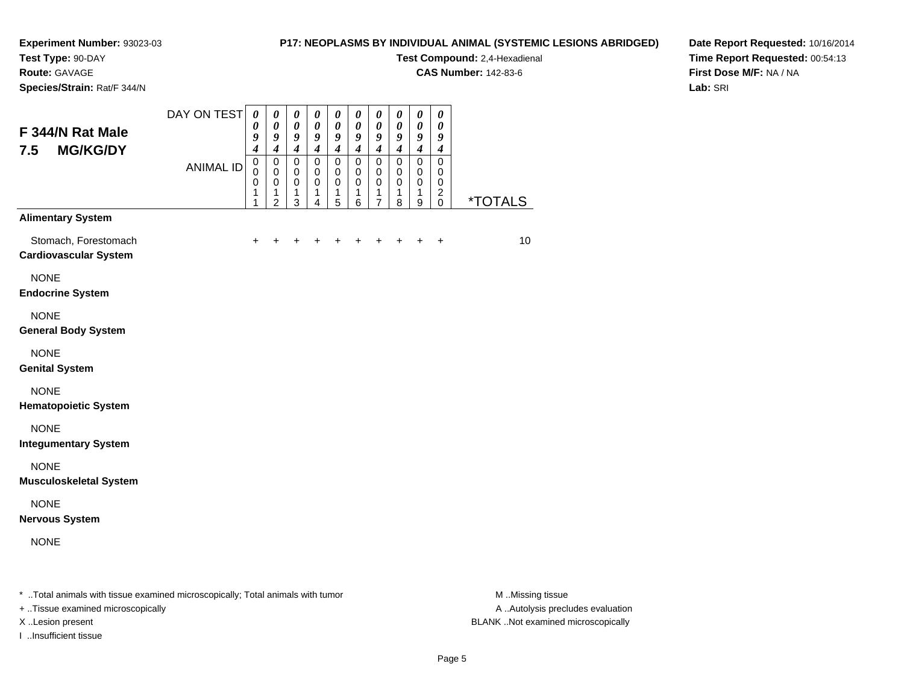**Test Type:** 90-DAY

**Route:** GAVAGE

**Species/Strain:** Rat/F 344/N

#### **P17: NEOPLASMS BY INDIVIDUAL ANIMAL (SYSTEMIC LESIONS ABRIDGED)**

**Test Compound:** 2,4-Hexadienal

**CAS Number:** 142-83-6

**Date Report Requested:** 10/16/2014**Time Report Requested:** 00:54:13**First Dose M/F:** NA / NA**Lab:** SRI

| F 344/N Rat Male<br>7.5<br><b>MG/KG/DY</b>           | DAY ON TEST<br><b>ANIMAL ID</b> | $\pmb{\theta}$<br>$\boldsymbol{\theta}$<br>9<br>$\boldsymbol{4}$<br>$\mathbf 0$<br>$\mathbf 0$<br>$\pmb{0}$<br>1<br>1 | $\boldsymbol{\theta}$<br>$\boldsymbol{\theta}$<br>$\boldsymbol{g}$<br>$\boldsymbol{4}$<br>$\pmb{0}$<br>$\pmb{0}$<br>$\pmb{0}$<br>1<br>$\overline{2}$ | $\boldsymbol{\theta}$<br>$\boldsymbol{\theta}$<br>$\boldsymbol{g}$<br>$\boldsymbol{4}$<br>$\mathsf 0$<br>$\mathbf 0$<br>$\mathbf 0$<br>$\mathbf{1}$<br>3 | $\boldsymbol{\theta}$<br>$\boldsymbol{\theta}$<br>9<br>$\boldsymbol{4}$<br>$\mathbf 0$<br>$\mathbf 0$<br>$\mathbf 0$<br>$\mathbf{1}$<br>$\overline{4}$ | $\pmb{\theta}$<br>$\pmb{\theta}$<br>$\boldsymbol{g}$<br>$\boldsymbol{4}$<br>$\mathsf 0$<br>$\pmb{0}$<br>$\mathbf 0$<br>1<br>5 | $\boldsymbol{\theta}$<br>$\pmb{\theta}$<br>$\boldsymbol{g}$<br>$\boldsymbol{4}$<br>$\mathsf 0$<br>$\pmb{0}$<br>$\mathbf 0$<br>1<br>6 | $\boldsymbol{\theta}$<br>$\boldsymbol{\theta}$<br>$\boldsymbol{g}$<br>$\boldsymbol{4}$<br>$\mathbf 0$<br>$\pmb{0}$<br>$\pmb{0}$<br>1<br>$\overline{7}$ | $\boldsymbol{\theta}$<br>$\boldsymbol{\theta}$<br>$\boldsymbol{g}$<br>$\boldsymbol{4}$<br>$\mathbf 0$<br>$\pmb{0}$<br>$\mathbf 0$<br>1<br>8 | 0<br>$\pmb{\theta}$<br>9<br>$\boldsymbol{4}$<br>$\mathsf 0$<br>$\mathbf 0$<br>$\mathbf 0$<br>1<br>9 | $\pmb{\theta}$<br>$\boldsymbol{\theta}$<br>$\boldsymbol{9}$<br>$\boldsymbol{4}$<br>$\mathsf 0$<br>$\mathbf 0$<br>$\mathbf 0$<br>$\overline{c}$<br>$\mathbf 0$ | <i><b>*TOTALS</b></i> |
|------------------------------------------------------|---------------------------------|-----------------------------------------------------------------------------------------------------------------------|------------------------------------------------------------------------------------------------------------------------------------------------------|----------------------------------------------------------------------------------------------------------------------------------------------------------|--------------------------------------------------------------------------------------------------------------------------------------------------------|-------------------------------------------------------------------------------------------------------------------------------|--------------------------------------------------------------------------------------------------------------------------------------|--------------------------------------------------------------------------------------------------------------------------------------------------------|---------------------------------------------------------------------------------------------------------------------------------------------|-----------------------------------------------------------------------------------------------------|---------------------------------------------------------------------------------------------------------------------------------------------------------------|-----------------------|
| <b>Alimentary System</b>                             |                                 |                                                                                                                       |                                                                                                                                                      |                                                                                                                                                          |                                                                                                                                                        |                                                                                                                               |                                                                                                                                      |                                                                                                                                                        |                                                                                                                                             |                                                                                                     |                                                                                                                                                               |                       |
| Stomach, Forestomach<br><b>Cardiovascular System</b> |                                 | $\ddot{}$                                                                                                             |                                                                                                                                                      |                                                                                                                                                          | $\ddot{}$                                                                                                                                              | $\ddot{}$                                                                                                                     | $\ddot{}$                                                                                                                            |                                                                                                                                                        |                                                                                                                                             | $\ddot{}$                                                                                           | $\ddot{}$                                                                                                                                                     | 10 <sup>1</sup>       |
| <b>NONE</b><br><b>Endocrine System</b>               |                                 |                                                                                                                       |                                                                                                                                                      |                                                                                                                                                          |                                                                                                                                                        |                                                                                                                               |                                                                                                                                      |                                                                                                                                                        |                                                                                                                                             |                                                                                                     |                                                                                                                                                               |                       |
| <b>NONE</b><br><b>General Body System</b>            |                                 |                                                                                                                       |                                                                                                                                                      |                                                                                                                                                          |                                                                                                                                                        |                                                                                                                               |                                                                                                                                      |                                                                                                                                                        |                                                                                                                                             |                                                                                                     |                                                                                                                                                               |                       |
| <b>NONE</b><br><b>Genital System</b>                 |                                 |                                                                                                                       |                                                                                                                                                      |                                                                                                                                                          |                                                                                                                                                        |                                                                                                                               |                                                                                                                                      |                                                                                                                                                        |                                                                                                                                             |                                                                                                     |                                                                                                                                                               |                       |
| <b>NONE</b><br><b>Hematopoietic System</b>           |                                 |                                                                                                                       |                                                                                                                                                      |                                                                                                                                                          |                                                                                                                                                        |                                                                                                                               |                                                                                                                                      |                                                                                                                                                        |                                                                                                                                             |                                                                                                     |                                                                                                                                                               |                       |
| <b>NONE</b><br><b>Integumentary System</b>           |                                 |                                                                                                                       |                                                                                                                                                      |                                                                                                                                                          |                                                                                                                                                        |                                                                                                                               |                                                                                                                                      |                                                                                                                                                        |                                                                                                                                             |                                                                                                     |                                                                                                                                                               |                       |
| <b>NONE</b><br><b>Musculoskeletal System</b>         |                                 |                                                                                                                       |                                                                                                                                                      |                                                                                                                                                          |                                                                                                                                                        |                                                                                                                               |                                                                                                                                      |                                                                                                                                                        |                                                                                                                                             |                                                                                                     |                                                                                                                                                               |                       |
| <b>NONE</b><br><b>Nervous System</b>                 |                                 |                                                                                                                       |                                                                                                                                                      |                                                                                                                                                          |                                                                                                                                                        |                                                                                                                               |                                                                                                                                      |                                                                                                                                                        |                                                                                                                                             |                                                                                                     |                                                                                                                                                               |                       |
| <b>NONE</b>                                          |                                 |                                                                                                                       |                                                                                                                                                      |                                                                                                                                                          |                                                                                                                                                        |                                                                                                                               |                                                                                                                                      |                                                                                                                                                        |                                                                                                                                             |                                                                                                     |                                                                                                                                                               |                       |
|                                                      |                                 |                                                                                                                       |                                                                                                                                                      |                                                                                                                                                          |                                                                                                                                                        |                                                                                                                               |                                                                                                                                      |                                                                                                                                                        |                                                                                                                                             |                                                                                                     |                                                                                                                                                               |                       |

\* ..Total animals with tissue examined microscopically; Total animals with tumor **M** ...Missing tissue M ...Missing tissue

+ ..Tissue examined microscopically

I ..Insufficient tissue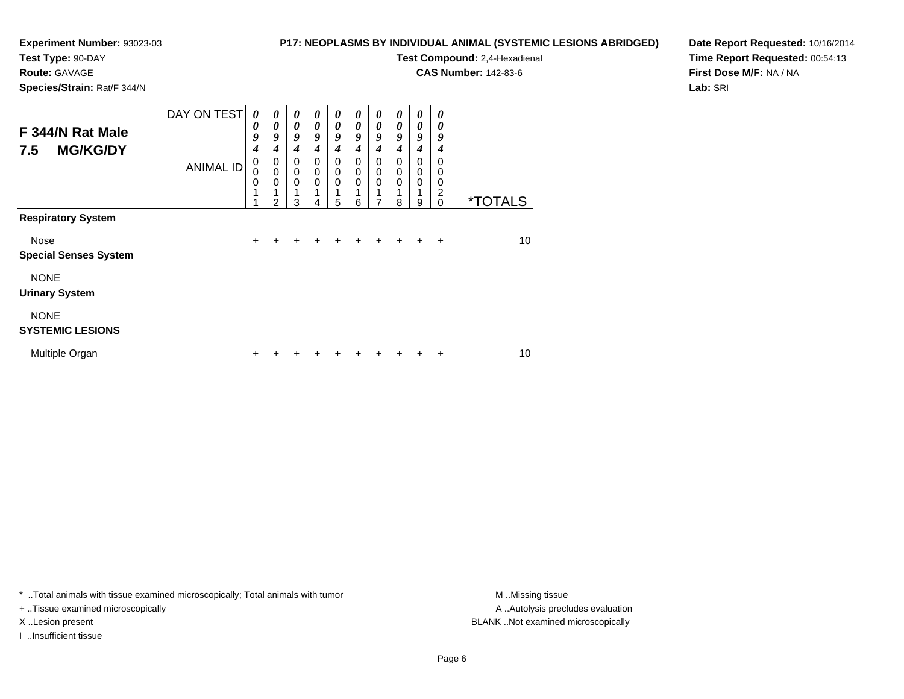### **Test Type:** 90-DAY

**Route:** GAVAGE

**Species/Strain:** Rat/F 344/N

#### **P17: NEOPLASMS BY INDIVIDUAL ANIMAL (SYSTEMIC LESIONS ABRIDGED)**

**Test Compound:** 2,4-Hexadienal

**CAS Number:** 142-83-6

**Date Report Requested:** 10/16/2014**Time Report Requested:** 00:54:13**First Dose M/F:** NA / NA**Lab:** SRI

| F 344/N Rat Male<br><b>MG/KG/DY</b><br>7.5 | DAY ON TEST      | 0<br>0<br>9<br>4      | 0<br>$\boldsymbol{\theta}$<br>9<br>4                        | $\boldsymbol{\theta}$<br>$\boldsymbol{\theta}$<br>9<br>4 | 0<br>$\boldsymbol{\theta}$<br>9<br>4 | 0<br>$\boldsymbol{\theta}$<br>9<br>$\boldsymbol{4}$ | 0<br>$\boldsymbol{\theta}$<br>9<br>4 | 0<br>$\boldsymbol{\theta}$<br>9<br>$\boldsymbol{4}$ | 0<br>$\boldsymbol{\theta}$<br>9<br>4 | 0<br>$\boldsymbol{\theta}$<br>9<br>4      | 0<br>0<br>9<br>4                    |                       |
|--------------------------------------------|------------------|-----------------------|-------------------------------------------------------------|----------------------------------------------------------|--------------------------------------|-----------------------------------------------------|--------------------------------------|-----------------------------------------------------|--------------------------------------|-------------------------------------------|-------------------------------------|-----------------------|
| <b>Respiratory System</b>                  | <b>ANIMAL ID</b> | 0<br>0<br>0<br>1<br>1 | $\mathbf 0$<br>$\mathbf 0$<br>$\mathbf 0$<br>$\overline{2}$ | $\mathbf 0$<br>$\mathbf 0$<br>$\mathbf 0$<br>3           | 0<br>$\mathbf 0$<br>$\mathbf 0$<br>4 | $\mathbf 0$<br>$\mathbf 0$<br>$\mathbf 0$<br>1<br>5 | 0<br>$\mathbf 0$<br>$\mathbf 0$<br>6 | 0<br>$\pmb{0}$<br>0<br>1<br>7                       | $\Omega$<br>0<br>$\mathbf 0$<br>8    | $\mathbf 0$<br>0<br>$\mathbf 0$<br>1<br>9 | $\Omega$<br>0<br>0<br>2<br>$\Omega$ | <i><b>*TOTALS</b></i> |
|                                            |                  |                       |                                                             |                                                          |                                      |                                                     |                                      |                                                     |                                      |                                           |                                     |                       |
| Nose<br><b>Special Senses System</b>       |                  | $+$                   | $\ddot{}$                                                   | $\ddot{}$                                                | $\pm$                                | $\ddot{}$                                           | $\ddot{}$                            | $\div$                                              | $\ddot{}$                            | $\div$                                    | $\ddot{}$                           | 10                    |
| <b>NONE</b><br><b>Urinary System</b>       |                  |                       |                                                             |                                                          |                                      |                                                     |                                      |                                                     |                                      |                                           |                                     |                       |
| <b>NONE</b><br><b>SYSTEMIC LESIONS</b>     |                  |                       |                                                             |                                                          |                                      |                                                     |                                      |                                                     |                                      |                                           |                                     |                       |
| Multiple Organ                             |                  | ÷                     |                                                             |                                                          |                                      |                                                     |                                      |                                                     |                                      |                                           | ÷                                   | 10                    |

\* ..Total animals with tissue examined microscopically; Total animals with tumor **M** . Missing tissue M ..Missing tissue

+ ..Tissue examined microscopically

I ..Insufficient tissue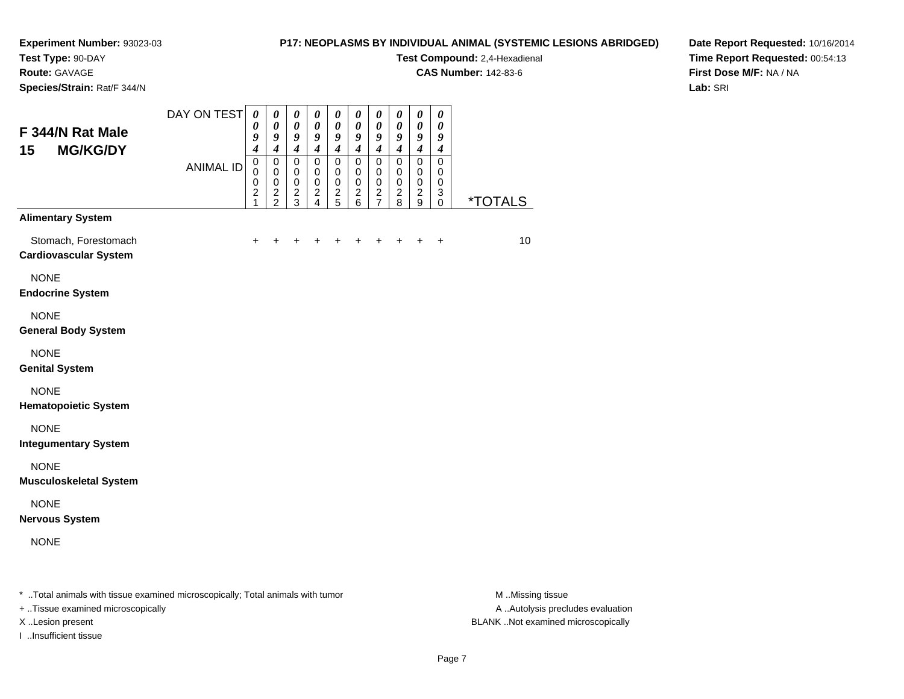**Test Type:** 90-DAY

**Route:** GAVAGE

**Species/Strain:** Rat/F 344/N

#### **P17: NEOPLASMS BY INDIVIDUAL ANIMAL (SYSTEMIC LESIONS ABRIDGED)**

**Test Compound:** 2,4-Hexadienal

**CAS Number:** 142-83-6

**Date Report Requested:** 10/16/2014**Time Report Requested:** 00:54:13**First Dose M/F:** NA / NA**Lab:** SRI

| <b>ANIMAL ID</b><br>$\mathbf 0$<br>$\pmb{0}$<br>$\mathbf 0$<br>$\mathbf 0$<br>$\mathbf 0$<br>0<br>$\mathbf 0$<br>0<br>$\mathbf 0$<br>$\mathbf 0$<br>$\mathbf 0$<br>$\mathbf 0$<br>$\mathbf 0$<br>$\pmb{0}$<br>$\pmb{0}$<br>$\,0\,$<br>$\,0\,$<br>$\mathbf 0$<br>$\pmb{0}$<br>0<br>$\boldsymbol{2}$<br>$\frac{2}{5}$<br>$\frac{2}{7}$<br>$\boldsymbol{2}$<br>$\frac{2}{2}$<br>$\frac{2}{3}$<br>$\frac{2}{4}$<br>$\frac{2}{6}$<br>$\overline{c}$<br>3<br>$\mathbf{1}$<br>8<br>$\boldsymbol{9}$<br>0<br><b>Alimentary System</b><br>Stomach, Forestomach<br>$\ddot{}$<br>$+$<br>÷<br>+<br>$\ddot{}$<br>$\ddot{}$<br>+<br>$\div$<br>+<br>٠<br><b>Cardiovascular System</b><br><b>NONE</b><br><b>Endocrine System</b><br><b>NONE</b><br><b>General Body System</b><br><b>NONE</b><br><b>Genital System</b><br><b>NONE</b><br><b>Hematopoietic System</b><br><b>NONE</b><br><b>Integumentary System</b><br><b>NONE</b><br><b>Musculoskeletal System</b><br><b>NONE</b><br><b>Nervous System</b><br><b>NONE</b> | F 344/N Rat Male<br>15<br><b>MG/KG/DY</b> | DAY ON TEST | $\boldsymbol{\theta}$<br>0<br>9<br>$\overline{4}$ | 0<br>$\boldsymbol{\theta}$<br>9<br>$\overline{\boldsymbol{4}}$ | $\boldsymbol{\theta}$<br>$\pmb{\theta}$<br>9<br>$\boldsymbol{4}$ | 0<br>$\boldsymbol{\theta}$<br>9<br>$\overline{\boldsymbol{4}}$ | 0<br>$\boldsymbol{\theta}$<br>9<br>$\boldsymbol{4}$ | 0<br>$\pmb{\theta}$<br>9<br>$\overline{\boldsymbol{4}}$ | 0<br>$\pmb{\theta}$<br>9<br>$\boldsymbol{4}$ | 0<br>$\boldsymbol{\theta}$<br>9<br>$\boldsymbol{4}$ | 0<br>$\boldsymbol{\theta}$<br>9<br>$\boldsymbol{4}$ | 0<br>$\pmb{\theta}$<br>9<br>$\boldsymbol{4}$ |                              |
|----------------------------------------------------------------------------------------------------------------------------------------------------------------------------------------------------------------------------------------------------------------------------------------------------------------------------------------------------------------------------------------------------------------------------------------------------------------------------------------------------------------------------------------------------------------------------------------------------------------------------------------------------------------------------------------------------------------------------------------------------------------------------------------------------------------------------------------------------------------------------------------------------------------------------------------------------------------------------------------------------------|-------------------------------------------|-------------|---------------------------------------------------|----------------------------------------------------------------|------------------------------------------------------------------|----------------------------------------------------------------|-----------------------------------------------------|---------------------------------------------------------|----------------------------------------------|-----------------------------------------------------|-----------------------------------------------------|----------------------------------------------|------------------------------|
|                                                                                                                                                                                                                                                                                                                                                                                                                                                                                                                                                                                                                                                                                                                                                                                                                                                                                                                                                                                                          |                                           |             | $\pmb{0}$                                         | $\mathsf 0$                                                    | $\mathbf 0$                                                      | $\mathbf 0$                                                    | $\mathbf 0$                                         | $\mathbf 0$                                             | $\mathsf 0$                                  | $\mathsf 0$                                         | $\mathsf 0$                                         | $\mathbf 0$                                  | <u><i><b>*TOTALS</b></i></u> |
|                                                                                                                                                                                                                                                                                                                                                                                                                                                                                                                                                                                                                                                                                                                                                                                                                                                                                                                                                                                                          |                                           |             |                                                   |                                                                |                                                                  |                                                                |                                                     |                                                         |                                              |                                                     |                                                     |                                              |                              |
|                                                                                                                                                                                                                                                                                                                                                                                                                                                                                                                                                                                                                                                                                                                                                                                                                                                                                                                                                                                                          |                                           |             |                                                   |                                                                |                                                                  |                                                                |                                                     |                                                         |                                              |                                                     |                                                     |                                              | 10 <sup>°</sup>              |
|                                                                                                                                                                                                                                                                                                                                                                                                                                                                                                                                                                                                                                                                                                                                                                                                                                                                                                                                                                                                          |                                           |             |                                                   |                                                                |                                                                  |                                                                |                                                     |                                                         |                                              |                                                     |                                                     |                                              |                              |
|                                                                                                                                                                                                                                                                                                                                                                                                                                                                                                                                                                                                                                                                                                                                                                                                                                                                                                                                                                                                          |                                           |             |                                                   |                                                                |                                                                  |                                                                |                                                     |                                                         |                                              |                                                     |                                                     |                                              |                              |
|                                                                                                                                                                                                                                                                                                                                                                                                                                                                                                                                                                                                                                                                                                                                                                                                                                                                                                                                                                                                          |                                           |             |                                                   |                                                                |                                                                  |                                                                |                                                     |                                                         |                                              |                                                     |                                                     |                                              |                              |
|                                                                                                                                                                                                                                                                                                                                                                                                                                                                                                                                                                                                                                                                                                                                                                                                                                                                                                                                                                                                          |                                           |             |                                                   |                                                                |                                                                  |                                                                |                                                     |                                                         |                                              |                                                     |                                                     |                                              |                              |
|                                                                                                                                                                                                                                                                                                                                                                                                                                                                                                                                                                                                                                                                                                                                                                                                                                                                                                                                                                                                          |                                           |             |                                                   |                                                                |                                                                  |                                                                |                                                     |                                                         |                                              |                                                     |                                                     |                                              |                              |
|                                                                                                                                                                                                                                                                                                                                                                                                                                                                                                                                                                                                                                                                                                                                                                                                                                                                                                                                                                                                          |                                           |             |                                                   |                                                                |                                                                  |                                                                |                                                     |                                                         |                                              |                                                     |                                                     |                                              |                              |
|                                                                                                                                                                                                                                                                                                                                                                                                                                                                                                                                                                                                                                                                                                                                                                                                                                                                                                                                                                                                          |                                           |             |                                                   |                                                                |                                                                  |                                                                |                                                     |                                                         |                                              |                                                     |                                                     |                                              |                              |
|                                                                                                                                                                                                                                                                                                                                                                                                                                                                                                                                                                                                                                                                                                                                                                                                                                                                                                                                                                                                          |                                           |             |                                                   |                                                                |                                                                  |                                                                |                                                     |                                                         |                                              |                                                     |                                                     |                                              |                              |

\* ..Total animals with tissue examined microscopically; Total animals with tumor **M** . Missing tissue M ..Missing tissue

+ ..Tissue examined microscopically

I ..Insufficient tissue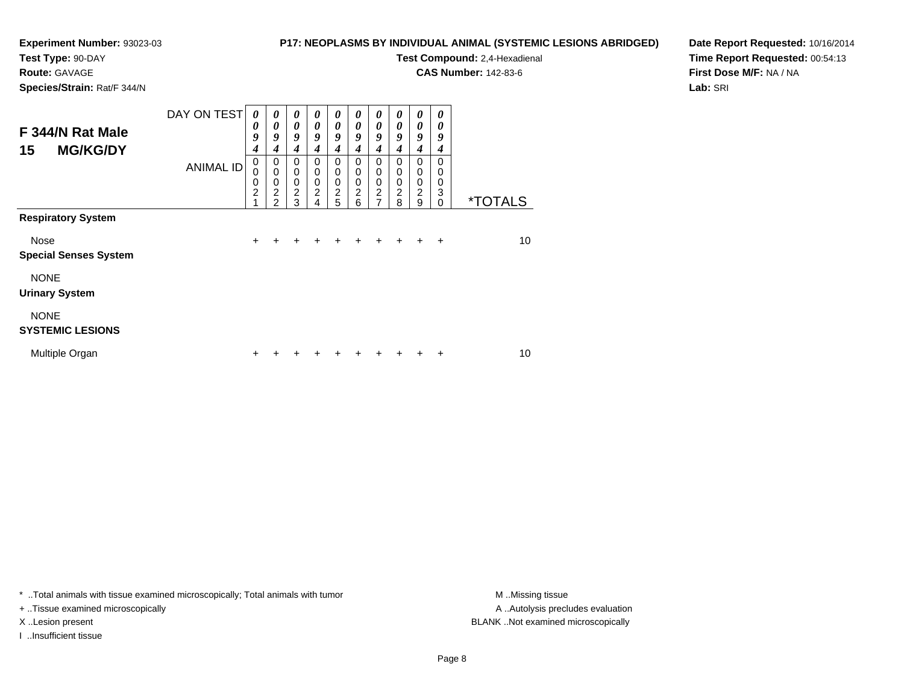#### **Test Type:** 90-DAY

**Route:** GAVAGE

**Species/Strain:** Rat/F 344/N

#### **P17: NEOPLASMS BY INDIVIDUAL ANIMAL (SYSTEMIC LESIONS ABRIDGED)**

# **Test Compound:** 2,4-Hexadienal

**CAS Number:** 142-83-6

**Date Report Requested:** 10/16/2014**Time Report Requested:** 00:54:13**First Dose M/F:** NA / NA**Lab:** SRI

| F 344/N Rat Male<br><b>MG/KG/DY</b><br>15 | DAY ON TEST      | 0<br>0<br>9<br>4                        | $\boldsymbol{\theta}$<br>0<br>9<br>4         | $\boldsymbol{\theta}$<br>$\boldsymbol{\theta}$<br>9<br>4   | 0<br>$\boldsymbol{\theta}$<br>9<br>4                             | 0<br>$\boldsymbol{\theta}$<br>9<br>4                     | 0<br>$\boldsymbol{\theta}$<br>9<br>4                          | 0<br>$\boldsymbol{\theta}$<br>9<br>$\boldsymbol{4}$                        | 0<br>0<br>9<br>4                                                | 0<br>0<br>9<br>4                                    | 0<br>0<br>9<br>4                           |                       |
|-------------------------------------------|------------------|-----------------------------------------|----------------------------------------------|------------------------------------------------------------|------------------------------------------------------------------|----------------------------------------------------------|---------------------------------------------------------------|----------------------------------------------------------------------------|-----------------------------------------------------------------|-----------------------------------------------------|--------------------------------------------|-----------------------|
|                                           | <b>ANIMAL ID</b> | $\mathbf 0$<br>0<br>0<br>$\overline{c}$ | 0<br>$\mathbf 0$<br>0<br>$\overline{c}$<br>2 | $\mathbf 0$<br>$\mathbf 0$<br>$\mathbf 0$<br>$\frac{2}{3}$ | $\mathbf 0$<br>$\mathbf 0$<br>$\mathbf 0$<br>$\overline{c}$<br>4 | $\mathbf 0$<br>$\mathbf 0$<br>$\pmb{0}$<br>$\frac{2}{5}$ | $\Omega$<br>$\mathbf 0$<br>$\mathbf 0$<br>$\overline{c}$<br>6 | $\Omega$<br>$\mathbf 0$<br>$\mathbf 0$<br>$\overline{c}$<br>$\overline{7}$ | $\Omega$<br>$\mathbf 0$<br>$\mathbf 0$<br>$\boldsymbol{2}$<br>8 | $\Omega$<br>$\mathbf 0$<br>0<br>$\overline{2}$<br>9 | $\Omega$<br>$\Omega$<br>0<br>3<br>$\Omega$ | <i><b>*TOTALS</b></i> |
| <b>Respiratory System</b>                 |                  |                                         |                                              |                                                            |                                                                  |                                                          |                                                               |                                                                            |                                                                 |                                                     |                                            |                       |
| Nose<br><b>Special Senses System</b>      |                  | $\ddot{}$                               | +                                            | ٠                                                          | ٠                                                                | +                                                        | ÷                                                             | ٠                                                                          |                                                                 | ÷                                                   | $\ddot{}$                                  | 10                    |
| <b>NONE</b><br><b>Urinary System</b>      |                  |                                         |                                              |                                                            |                                                                  |                                                          |                                                               |                                                                            |                                                                 |                                                     |                                            |                       |
| <b>NONE</b><br><b>SYSTEMIC LESIONS</b>    |                  |                                         |                                              |                                                            |                                                                  |                                                          |                                                               |                                                                            |                                                                 |                                                     |                                            |                       |
| Multiple Organ                            |                  | ÷                                       |                                              |                                                            |                                                                  |                                                          |                                                               |                                                                            |                                                                 |                                                     | +                                          | 10                    |

\* ..Total animals with tissue examined microscopically; Total animals with tumor **M** . Missing tissue M ..Missing tissue

+ ..Tissue examined microscopically

I ..Insufficient tissue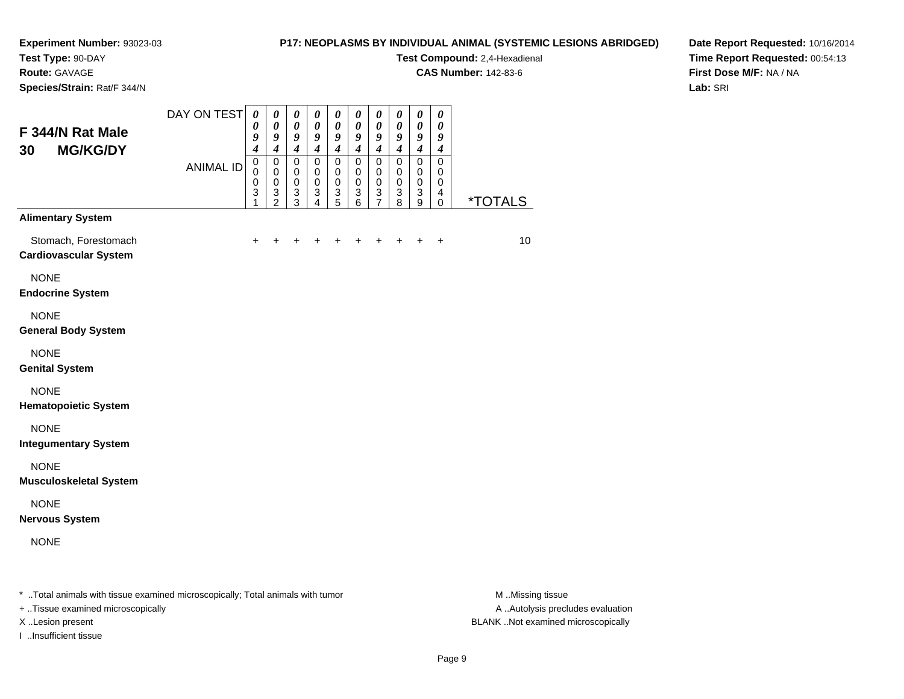### **Test Type:** 90-DAY

**Route:** GAVAGE

**Species/Strain:** Rat/F 344/N

#### **P17: NEOPLASMS BY INDIVIDUAL ANIMAL (SYSTEMIC LESIONS ABRIDGED)**

**Test Compound:** 2,4-Hexadienal

**CAS Number:** 142-83-6

**Date Report Requested:** 10/16/2014**Time Report Requested:** 00:54:13**First Dose M/F:** NA / NA**Lab:** SRI

| F 344/N Rat Male<br><b>MG/KG/DY</b><br>30            | DAY ON TEST                                                                      | $\boldsymbol{\theta}$<br>$\boldsymbol{\theta}$<br>9<br>$\boldsymbol{4}$ | $\boldsymbol{\theta}$<br>$\boldsymbol{\theta}$<br>9<br>$\boldsymbol{4}$ | $\boldsymbol{\theta}$<br>$\pmb{\theta}$<br>9<br>$\boldsymbol{4}$ | 0<br>0<br>9<br>$\boldsymbol{4}$                        | $\boldsymbol{\theta}$<br>$\boldsymbol{\theta}$<br>9<br>$\boldsymbol{4}$ | $\pmb{\theta}$<br>0<br>9<br>$\boldsymbol{4}$                      | $\pmb{\theta}$<br>$\boldsymbol{\theta}$<br>9<br>$\boldsymbol{4}$ | $\pmb{\theta}$<br>0<br>9<br>$\overline{\boldsymbol{4}}$                     | $\boldsymbol{\theta}$<br>0<br>9<br>$\overline{\boldsymbol{4}}$          | $\pmb{\theta}$<br>0<br>9<br>$\boldsymbol{4}$ |                                                                                                                                                                                                                                                                                                                                    |
|------------------------------------------------------|----------------------------------------------------------------------------------|-------------------------------------------------------------------------|-------------------------------------------------------------------------|------------------------------------------------------------------|--------------------------------------------------------|-------------------------------------------------------------------------|-------------------------------------------------------------------|------------------------------------------------------------------|-----------------------------------------------------------------------------|-------------------------------------------------------------------------|----------------------------------------------|------------------------------------------------------------------------------------------------------------------------------------------------------------------------------------------------------------------------------------------------------------------------------------------------------------------------------------|
|                                                      | <b>ANIMAL ID</b>                                                                 | $\pmb{0}$<br>$\pmb{0}$<br>$\pmb{0}$<br>3<br>1                           | $\pmb{0}$<br>$\pmb{0}$<br>$\pmb{0}$<br>3<br>$\overline{2}$              | $\pmb{0}$<br>$\mathbf 0$<br>$\pmb{0}$<br>3<br>3                  | $\mathbf 0$<br>0<br>$\mathbf 0$<br>3<br>$\overline{4}$ | $\pmb{0}$<br>$\pmb{0}$<br>$\pmb{0}$<br>3<br>$\overline{5}$              | $\mathbf 0$<br>0<br>$\mathbf 0$<br>$\ensuremath{\mathsf{3}}$<br>6 | 0<br>0<br>$\pmb{0}$<br>3<br>$\overline{7}$                       | $\mathbf 0$<br>$\mathbf 0$<br>$\mathbf 0$<br>$\ensuremath{\mathsf{3}}$<br>8 | $\mathbf 0$<br>$\,0\,$<br>$\mathbf 0$<br>$\ensuremath{\mathsf{3}}$<br>9 | $\mathbf 0$<br>0<br>$\mathbf 0$<br>4<br>0    | <i><b>*TOTALS</b></i>                                                                                                                                                                                                                                                                                                              |
| <b>Alimentary System</b>                             |                                                                                  |                                                                         |                                                                         |                                                                  |                                                        |                                                                         |                                                                   |                                                                  |                                                                             |                                                                         |                                              |                                                                                                                                                                                                                                                                                                                                    |
| Stomach, Forestomach<br><b>Cardiovascular System</b> |                                                                                  | +                                                                       |                                                                         |                                                                  |                                                        |                                                                         |                                                                   |                                                                  |                                                                             |                                                                         |                                              | 10                                                                                                                                                                                                                                                                                                                                 |
| <b>NONE</b><br><b>Endocrine System</b>               |                                                                                  |                                                                         |                                                                         |                                                                  |                                                        |                                                                         |                                                                   |                                                                  |                                                                             |                                                                         |                                              |                                                                                                                                                                                                                                                                                                                                    |
| <b>NONE</b><br><b>General Body System</b>            |                                                                                  |                                                                         |                                                                         |                                                                  |                                                        |                                                                         |                                                                   |                                                                  |                                                                             |                                                                         |                                              |                                                                                                                                                                                                                                                                                                                                    |
| <b>NONE</b><br><b>Genital System</b>                 |                                                                                  |                                                                         |                                                                         |                                                                  |                                                        |                                                                         |                                                                   |                                                                  |                                                                             |                                                                         |                                              |                                                                                                                                                                                                                                                                                                                                    |
| <b>NONE</b><br><b>Hematopoietic System</b>           |                                                                                  |                                                                         |                                                                         |                                                                  |                                                        |                                                                         |                                                                   |                                                                  |                                                                             |                                                                         |                                              |                                                                                                                                                                                                                                                                                                                                    |
| <b>NONE</b><br><b>Integumentary System</b>           |                                                                                  |                                                                         |                                                                         |                                                                  |                                                        |                                                                         |                                                                   |                                                                  |                                                                             |                                                                         |                                              |                                                                                                                                                                                                                                                                                                                                    |
| <b>NONE</b><br><b>Musculoskeletal System</b>         |                                                                                  |                                                                         |                                                                         |                                                                  |                                                        |                                                                         |                                                                   |                                                                  |                                                                             |                                                                         |                                              |                                                                                                                                                                                                                                                                                                                                    |
| <b>NONE</b><br><b>Nervous System</b>                 |                                                                                  |                                                                         |                                                                         |                                                                  |                                                        |                                                                         |                                                                   |                                                                  |                                                                             |                                                                         |                                              |                                                                                                                                                                                                                                                                                                                                    |
| <b>NONE</b>                                          |                                                                                  |                                                                         |                                                                         |                                                                  |                                                        |                                                                         |                                                                   |                                                                  |                                                                             |                                                                         |                                              |                                                                                                                                                                                                                                                                                                                                    |
| 一下 いわかし かいきかい かしょういきけん せいしん                          | a construction of the construction of the first state of the construction of the |                                                                         |                                                                         |                                                                  |                                                        |                                                                         |                                                                   |                                                                  |                                                                             |                                                                         |                                              | $\mathbf{A}$ $\mathbf{A}$ $\mathbf{A}$ $\mathbf{A}$ $\mathbf{A}$ $\mathbf{A}$ $\mathbf{A}$ $\mathbf{A}$ $\mathbf{A}$ $\mathbf{A}$ $\mathbf{A}$ $\mathbf{A}$ $\mathbf{A}$ $\mathbf{A}$ $\mathbf{A}$ $\mathbf{A}$ $\mathbf{A}$ $\mathbf{A}$ $\mathbf{A}$ $\mathbf{A}$ $\mathbf{A}$ $\mathbf{A}$ $\mathbf{A}$ $\mathbf{A}$ $\mathbf{$ |

..Total animals with tissue examined microscopically; Total animals with tumor M ..Missing tissue M ..Missing tissue

+ ..Tissue examined microscopically

I ..Insufficient tissue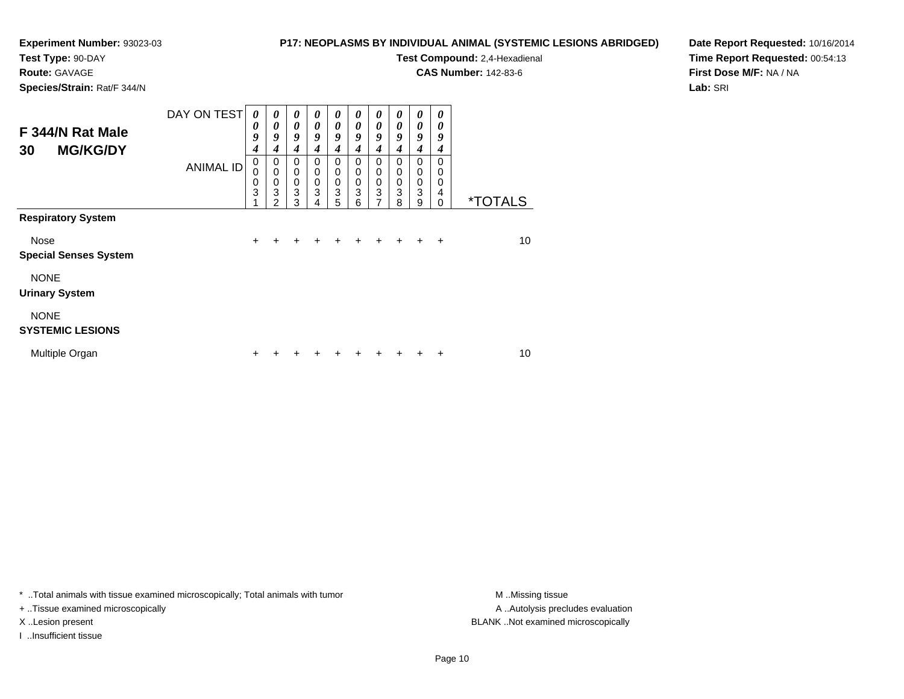### **Test Type:** 90-DAY

**Route:** GAVAGE

**Species/Strain:** Rat/F 344/N

#### **P17: NEOPLASMS BY INDIVIDUAL ANIMAL (SYSTEMIC LESIONS ABRIDGED)**

**Test Compound:** 2,4-Hexadienal

**CAS Number:** 142-83-6

**Date Report Requested:** 10/16/2014**Time Report Requested:** 00:54:13**First Dose M/F:** NA / NA**Lab:** SRI

| F 344/N Rat Male<br><b>MG/KG/DY</b><br>30 | DAY ON TEST      | 0<br>0<br>9<br>$\boldsymbol{4}$ | 0<br>$\boldsymbol{\theta}$<br>9<br>4         | 0<br>$\boldsymbol{\theta}$<br>9<br>4      | 0<br>0<br>9<br>4                | $\boldsymbol{\theta}$<br>$\boldsymbol{\theta}$<br>9<br>4 | 0<br>0<br>9<br>4                       | $\boldsymbol{\theta}$<br>$\boldsymbol{\theta}$<br>9<br>4         | 0<br>0<br>9<br>4                                    | 0<br>$\boldsymbol{\theta}$<br>9<br>$\boldsymbol{4}$ | 0<br>0<br>9<br>4                    |                       |
|-------------------------------------------|------------------|---------------------------------|----------------------------------------------|-------------------------------------------|---------------------------------|----------------------------------------------------------|----------------------------------------|------------------------------------------------------------------|-----------------------------------------------------|-----------------------------------------------------|-------------------------------------|-----------------------|
| <b>Respiratory System</b>                 | <b>ANIMAL ID</b> | $\mathbf 0$<br>0<br>0<br>3      | 0<br>$\mathbf 0$<br>0<br>3<br>$\mathfrak{p}$ | $\mathbf 0$<br>$\mathbf 0$<br>0<br>3<br>3 | $\mathbf 0$<br>0<br>0<br>3<br>4 | $\mathbf 0$<br>$\mathbf 0$<br>$\mathbf 0$<br>3<br>5      | $\Omega$<br>$\mathbf 0$<br>0<br>3<br>6 | $\mathbf 0$<br>$\mathbf 0$<br>$\mathbf 0$<br>3<br>$\overline{7}$ | $\mathbf 0$<br>$\mathbf 0$<br>$\mathbf 0$<br>3<br>8 | $\Omega$<br>$\mathbf 0$<br>$\pmb{0}$<br>3<br>9      | $\Omega$<br>0<br>0<br>4<br>$\Omega$ | <i><b>*TOTALS</b></i> |
|                                           |                  |                                 |                                              |                                           |                                 |                                                          |                                        |                                                                  |                                                     |                                                     |                                     |                       |
| Nose<br><b>Special Senses System</b>      |                  | $\ddot{}$                       | ÷                                            | ÷                                         | ٠                               | ٠                                                        | ٠                                      | ٠                                                                | +                                                   | ÷                                                   | $\ddot{}$                           | 10                    |
| <b>NONE</b><br><b>Urinary System</b>      |                  |                                 |                                              |                                           |                                 |                                                          |                                        |                                                                  |                                                     |                                                     |                                     |                       |
| <b>NONE</b><br><b>SYSTEMIC LESIONS</b>    |                  |                                 |                                              |                                           |                                 |                                                          |                                        |                                                                  |                                                     |                                                     |                                     |                       |
| Multiple Organ                            |                  | ÷                               |                                              |                                           |                                 |                                                          |                                        |                                                                  |                                                     |                                                     | +                                   | 10                    |

\* ..Total animals with tissue examined microscopically; Total animals with tumor **M** . Missing tissue M ..Missing tissue

+ ..Tissue examined microscopically

I ..Insufficient tissue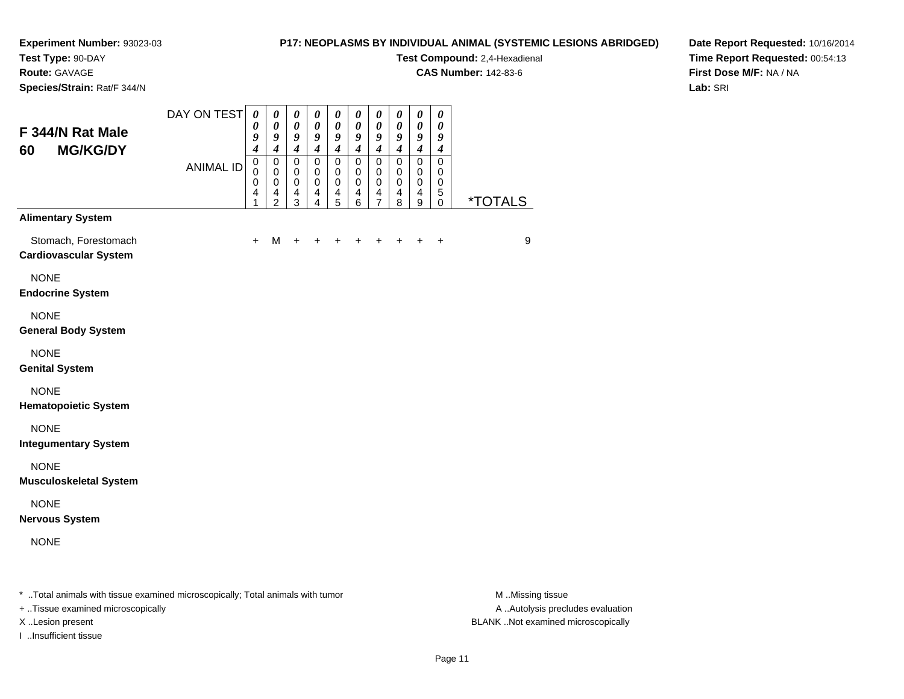## **Test Type:** 90-DAY

**Route:** GAVAGE

**Species/Strain:** Rat/F 344/N

#### **P17: NEOPLASMS BY INDIVIDUAL ANIMAL (SYSTEMIC LESIONS ABRIDGED)**

**Test Compound:** 2,4-Hexadienal

**CAS Number:** 142-83-6

**Date Report Requested:** 10/16/2014**Time Report Requested:** 00:54:13**First Dose M/F:** NA / NA**Lab:** SRI

| F 344/N Rat Male<br><b>MG/KG/DY</b><br>60                                      | DAY ON TEST      | $\boldsymbol{\theta}$<br>$\boldsymbol{\theta}$<br>9<br>$\boldsymbol{4}$   | 0<br>$\boldsymbol{\theta}$<br>9<br>$\boldsymbol{4}$                                    | $\boldsymbol{\theta}$<br>$\boldsymbol{\theta}$<br>9<br>$\overline{\boldsymbol{4}}$ | $\boldsymbol{\theta}$<br>$\boldsymbol{\theta}$<br>9<br>$\boldsymbol{4}$ | $\boldsymbol{\theta}$<br>0<br>9<br>$\boldsymbol{4}$                     | $\boldsymbol{\theta}$<br>$\boldsymbol{\theta}$<br>9<br>$\boldsymbol{4}$ | $\boldsymbol{\theta}$<br>$\boldsymbol{\theta}$<br>9<br>$\boldsymbol{4}$    | $\boldsymbol{\theta}$<br>0<br>9<br>$\boldsymbol{4}$            | $\boldsymbol{\theta}$<br>$\boldsymbol{\theta}$<br>9<br>$\boldsymbol{4}$     | $\boldsymbol{\theta}$<br>0<br>9<br>$\boldsymbol{4}$ |                       |
|--------------------------------------------------------------------------------|------------------|---------------------------------------------------------------------------|----------------------------------------------------------------------------------------|------------------------------------------------------------------------------------|-------------------------------------------------------------------------|-------------------------------------------------------------------------|-------------------------------------------------------------------------|----------------------------------------------------------------------------|----------------------------------------------------------------|-----------------------------------------------------------------------------|-----------------------------------------------------|-----------------------|
|                                                                                | <b>ANIMAL ID</b> | $\mathbf 0$<br>$\mathbf 0$<br>$\mathbf 0$<br>$\overline{\mathbf{4}}$<br>1 | $\mathbf 0$<br>$\mathbf 0$<br>$\mathbf 0$<br>$\overline{\mathbf{4}}$<br>$\overline{2}$ | $\mathbf 0$<br>$\mathbf 0$<br>$\pmb{0}$<br>$\overline{\mathbf{4}}$<br>3            | $\pmb{0}$<br>0<br>$\mathbf 0$<br>4<br>4                                 | $\mathbf 0$<br>$\mathbf 0$<br>$\pmb{0}$<br>$\overline{\mathbf{4}}$<br>5 | $\mathbf 0$<br>$\pmb{0}$<br>$\pmb{0}$<br>$\overline{\mathbf{4}}$<br>6   | $\mathbf 0$<br>0<br>$\pmb{0}$<br>$\overline{\mathbf{4}}$<br>$\overline{7}$ | $\pmb{0}$<br>$\mathbf 0$<br>$\mathbf 0$<br>$\overline{4}$<br>8 | $\pmb{0}$<br>$\mathbf 0$<br>$\mathbf 0$<br>$\overline{4}$<br>$\overline{9}$ | $\mathbf 0$<br>0<br>0<br>$\sqrt{5}$<br>$\mathbf 0$  | <i><b>*TOTALS</b></i> |
| <b>Alimentary System</b>                                                       |                  |                                                                           |                                                                                        |                                                                                    |                                                                         |                                                                         |                                                                         |                                                                            |                                                                |                                                                             |                                                     |                       |
| Stomach, Forestomach<br><b>Cardiovascular System</b>                           |                  | $+$                                                                       | M                                                                                      | $\ddot{}$                                                                          |                                                                         |                                                                         |                                                                         |                                                                            |                                                                |                                                                             | $\ddot{}$                                           | $\boldsymbol{9}$      |
| <b>NONE</b><br><b>Endocrine System</b>                                         |                  |                                                                           |                                                                                        |                                                                                    |                                                                         |                                                                         |                                                                         |                                                                            |                                                                |                                                                             |                                                     |                       |
| <b>NONE</b><br><b>General Body System</b>                                      |                  |                                                                           |                                                                                        |                                                                                    |                                                                         |                                                                         |                                                                         |                                                                            |                                                                |                                                                             |                                                     |                       |
| <b>NONE</b><br><b>Genital System</b>                                           |                  |                                                                           |                                                                                        |                                                                                    |                                                                         |                                                                         |                                                                         |                                                                            |                                                                |                                                                             |                                                     |                       |
| <b>NONE</b><br><b>Hematopoietic System</b>                                     |                  |                                                                           |                                                                                        |                                                                                    |                                                                         |                                                                         |                                                                         |                                                                            |                                                                |                                                                             |                                                     |                       |
| <b>NONE</b><br><b>Integumentary System</b>                                     |                  |                                                                           |                                                                                        |                                                                                    |                                                                         |                                                                         |                                                                         |                                                                            |                                                                |                                                                             |                                                     |                       |
| <b>NONE</b><br><b>Musculoskeletal System</b>                                   |                  |                                                                           |                                                                                        |                                                                                    |                                                                         |                                                                         |                                                                         |                                                                            |                                                                |                                                                             |                                                     |                       |
| <b>NONE</b><br><b>Nervous System</b>                                           |                  |                                                                           |                                                                                        |                                                                                    |                                                                         |                                                                         |                                                                         |                                                                            |                                                                |                                                                             |                                                     |                       |
| <b>NONE</b>                                                                    |                  |                                                                           |                                                                                        |                                                                                    |                                                                         |                                                                         |                                                                         |                                                                            |                                                                |                                                                             |                                                     |                       |
| * Total animals with tissue examined microscopically; Total animals with tumor |                  |                                                                           |                                                                                        |                                                                                    |                                                                         |                                                                         |                                                                         |                                                                            |                                                                |                                                                             |                                                     | M Missing tissue      |

+ ..Tissue examined microscopically

I ..Insufficient tissue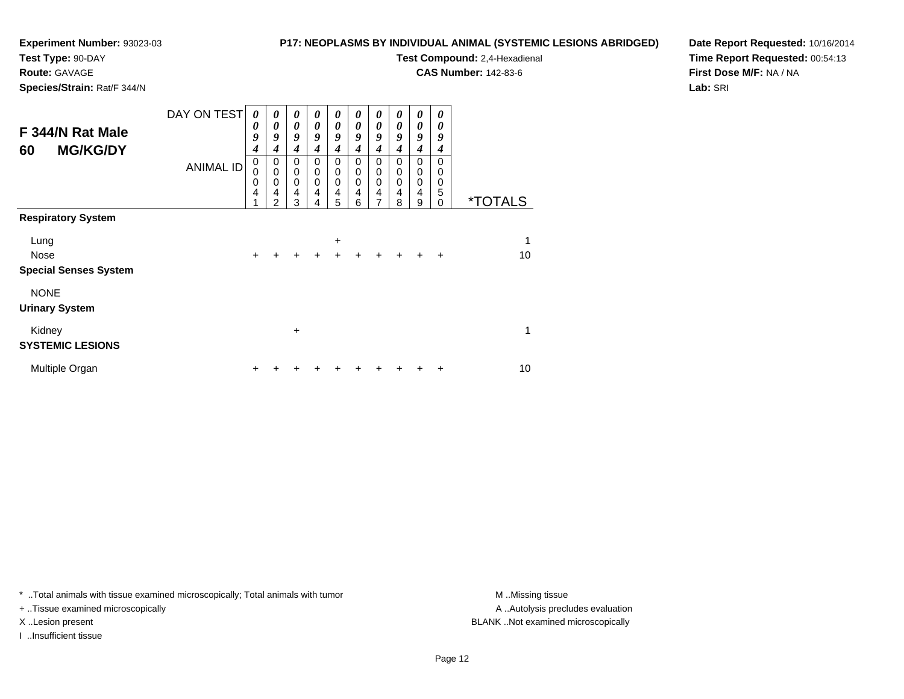**Test Type:** 90-DAY

**Route:** GAVAGE

**Species/Strain:** Rat/F 344/N

#### **P17: NEOPLASMS BY INDIVIDUAL ANIMAL (SYSTEMIC LESIONS ABRIDGED)**

**Test Compound:** 2,4-Hexadienal

**CAS Number:** 142-83-6

**Date Report Requested:** 10/16/2014**Time Report Requested:** 00:54:13**First Dose M/F:** NA / NA**Lab:** SRI

| F 344/N Rat Male<br><b>MG/KG/DY</b><br>60 | DAY ON TEST<br><b>ANIMAL ID</b> | 0<br>0<br>9<br>4<br>0<br>0 | $\boldsymbol{\theta}$<br>0<br>9<br>4<br>$\pmb{0}$<br>$\mathbf 0$ | 0<br>$\boldsymbol{\theta}$<br>9<br>4<br>$\mathbf 0$<br>$\pmb{0}$<br>$\mathbf 0$ | 0<br>0<br>9<br>4<br>0<br>$\pmb{0}$ | $\boldsymbol{\theta}$<br>$\boldsymbol{\theta}$<br>9<br>4<br>0<br>$\pmb{0}$ | 0<br>0<br>9<br>4<br>0<br>$\pmb{0}$ | $\boldsymbol{\theta}$<br>$\boldsymbol{\theta}$<br>9<br>4<br>0<br>$\pmb{0}$ | 0<br>$\theta$<br>9<br>4<br>$\Omega$<br>$\mathbf 0$ | 0<br>$\boldsymbol{\theta}$<br>9<br>$\boldsymbol{4}$<br>0<br>$\mathbf 0$ | 0<br>0<br>9<br>4<br>$\Omega$<br>0 |                       |
|-------------------------------------------|---------------------------------|----------------------------|------------------------------------------------------------------|---------------------------------------------------------------------------------|------------------------------------|----------------------------------------------------------------------------|------------------------------------|----------------------------------------------------------------------------|----------------------------------------------------|-------------------------------------------------------------------------|-----------------------------------|-----------------------|
|                                           |                                 | 0<br>4<br>1                | $\mathbf 0$<br>$\overline{4}$<br>$\overline{2}$                  | $\overline{4}$<br>3                                                             | $\pmb{0}$<br>4<br>4                | $\pmb{0}$<br>$\overline{4}$<br>5                                           | $\pmb{0}$<br>$\overline{4}$<br>6   | $\pmb{0}$<br>$\overline{4}$<br>7                                           | $\mathbf 0$<br>4<br>8                              | $\mathbf 0$<br>$\overline{4}$<br>9                                      | $\mathbf 0$<br>5<br>0             | <i><b>*TOTALS</b></i> |
| <b>Respiratory System</b>                 |                                 |                            |                                                                  |                                                                                 |                                    |                                                                            |                                    |                                                                            |                                                    |                                                                         |                                   |                       |
| Lung                                      |                                 |                            |                                                                  |                                                                                 |                                    | +                                                                          |                                    |                                                                            |                                                    |                                                                         |                                   | 1                     |
| Nose<br><b>Special Senses System</b>      |                                 | $\ddot{}$                  |                                                                  | $\ddot{}$                                                                       | $\ddot{}$                          | $\ddot{}$                                                                  |                                    |                                                                            | $\ddot{}$                                          |                                                                         | $\ddot{}$                         | 10                    |
| <b>NONE</b><br><b>Urinary System</b>      |                                 |                            |                                                                  |                                                                                 |                                    |                                                                            |                                    |                                                                            |                                                    |                                                                         |                                   |                       |
| Kidney<br><b>SYSTEMIC LESIONS</b>         |                                 |                            |                                                                  | $\ddot{}$                                                                       |                                    |                                                                            |                                    |                                                                            |                                                    |                                                                         |                                   | 1                     |
|                                           |                                 |                            |                                                                  |                                                                                 |                                    |                                                                            |                                    |                                                                            |                                                    |                                                                         |                                   |                       |
| Multiple Organ                            |                                 | ٠                          |                                                                  |                                                                                 |                                    |                                                                            |                                    |                                                                            |                                                    |                                                                         | ٠                                 | 10                    |

\* ..Total animals with tissue examined microscopically; Total animals with tumor **M** . Missing tissue M ..Missing tissue

+ ..Tissue examined microscopically

I ..Insufficient tissue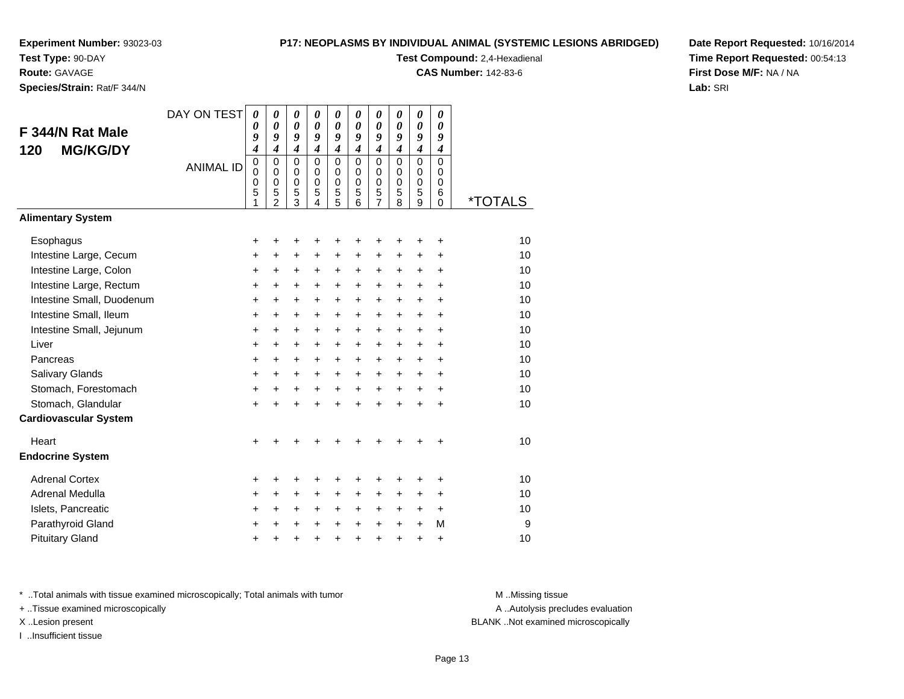**Test Type:** 90-DAY

**Route:** GAVAGE

**Species/Strain:** Rat/F 344/N

#### **P17: NEOPLASMS BY INDIVIDUAL ANIMAL (SYSTEMIC LESIONS ABRIDGED)**

**Test Compound:** 2,4-Hexadienal

**CAS Number:** 142-83-6

**Date Report Requested:** 10/16/2014**Time Report Requested:** 00:54:13**First Dose M/F:** NA / NA**Lab:** SRI

| F 344/N Rat Male<br><b>MG/KG/DY</b><br>120 | DAY ON TEST      | $\boldsymbol{\theta}$<br>0<br>9<br>$\boldsymbol{4}$ | $\boldsymbol{\theta}$<br>$\boldsymbol{\theta}$<br>9<br>$\boldsymbol{4}$ | 0<br>0<br>9<br>$\boldsymbol{4}$        | 0<br>0<br>9<br>4                              | 0<br>0<br>9<br>$\overline{\mathbf{4}}$ | $\boldsymbol{\theta}$<br>$\boldsymbol{\theta}$<br>9<br>$\boldsymbol{4}$ | 0<br>0<br>9<br>$\overline{\boldsymbol{4}}$                    | 0<br>$\boldsymbol{\theta}$<br>9<br>$\boldsymbol{4}$ | 0<br>$\boldsymbol{\theta}$<br>9<br>$\boldsymbol{4}$ | 0<br>0<br>9<br>4             |                       |
|--------------------------------------------|------------------|-----------------------------------------------------|-------------------------------------------------------------------------|----------------------------------------|-----------------------------------------------|----------------------------------------|-------------------------------------------------------------------------|---------------------------------------------------------------|-----------------------------------------------------|-----------------------------------------------------|------------------------------|-----------------------|
|                                            | <b>ANIMAL ID</b> | $\mathbf 0$<br>$\Omega$<br>0<br>5<br>1              | $\mathbf 0$<br>$\Omega$<br>$\mathbf 0$<br>5<br>$\mathfrak{p}$           | $\mathbf 0$<br>$\Omega$<br>0<br>5<br>3 | $\Omega$<br>$\Omega$<br>$\mathbf 0$<br>5<br>4 | $\mathbf 0$<br>0<br>0<br>5<br>5        | $\Omega$<br>$\Omega$<br>$\mathbf 0$<br>5<br>6                           | $\mathbf 0$<br>$\Omega$<br>$\mathbf 0$<br>5<br>$\overline{7}$ | $\mathbf 0$<br>$\mathbf 0$<br>$\mathbf 0$<br>5<br>8 | $\mathbf 0$<br>$\mathbf 0$<br>$\mathbf 0$<br>5<br>9 | 0<br>$\Omega$<br>0<br>6<br>0 | <i><b>*TOTALS</b></i> |
| <b>Alimentary System</b>                   |                  |                                                     |                                                                         |                                        |                                               |                                        |                                                                         |                                                               |                                                     |                                                     |                              |                       |
| Esophagus                                  |                  | +                                                   | +                                                                       | +                                      | +                                             | +                                      | +                                                                       | +                                                             | +                                                   | +                                                   | +                            | 10                    |
| Intestine Large, Cecum                     |                  | $\ddot{}$                                           | +                                                                       | +                                      | +                                             | +                                      | $\ddot{}$                                                               | +                                                             | +                                                   | +                                                   | +                            | 10                    |
| Intestine Large, Colon                     |                  | $\ddot{}$                                           | $\ddot{}$                                                               | $\ddot{}$                              | $\ddot{}$                                     | $\ddot{}$                              | $\ddot{}$                                                               | $\ddot{}$                                                     | $\ddot{}$                                           | $\ddot{}$                                           | $\ddot{}$                    | 10                    |
| Intestine Large, Rectum                    |                  | $\ddot{}$                                           | $\ddot{}$                                                               | $\ddot{}$                              | $\ddot{}$                                     | $\ddot{}$                              | $\ddot{}$                                                               | $\ddot{}$                                                     | $\ddot{}$                                           | $\ddot{}$                                           | $\ddot{}$                    | 10                    |
| Intestine Small, Duodenum                  |                  | $\ddot{}$                                           | $\ddot{}$                                                               | $\ddot{}$                              | $\ddot{}$                                     | +                                      | $\ddot{}$                                                               | $\ddot{}$                                                     | $\ddot{}$                                           | $\ddot{}$                                           | $\ddot{}$                    | 10                    |
| Intestine Small, Ileum                     |                  | +                                                   | $\ddot{}$                                                               | $\ddot{}$                              | +                                             | +                                      | $\ddot{}$                                                               | +                                                             | $\ddot{}$                                           | $\ddot{}$                                           | +                            | 10                    |
| Intestine Small, Jejunum                   |                  | $\ddot{}$                                           | $\ddot{}$                                                               | $\ddot{}$                              | $\ddot{}$                                     | $\ddot{}$                              | $\ddot{}$                                                               | $\ddot{}$                                                     | $\ddot{}$                                           | $\ddot{}$                                           | $\ddot{}$                    | 10                    |
| Liver                                      |                  | $\ddot{}$                                           | $\ddot{}$                                                               | $\ddot{}$                              | $\ddot{}$                                     | +                                      | $\ddot{}$                                                               | $\ddot{}$                                                     | $\ddot{}$                                           | $\ddot{}$                                           | $\ddot{}$                    | 10                    |
| Pancreas                                   |                  | $\ddot{}$                                           | $\ddot{}$                                                               | $\pm$                                  | +                                             | $\ddot{}$                              | $\ddot{}$                                                               | +                                                             | $\ddot{}$                                           | $\ddot{}$                                           | +                            | 10                    |
| Salivary Glands                            |                  | $\ddot{}$                                           | $\ddot{}$                                                               | $\ddot{}$                              | $\ddot{}$                                     | $\ddot{}$                              | $\ddot{}$                                                               | $\ddot{}$                                                     | $\ddot{}$                                           | $\ddot{}$                                           | $\ddot{}$                    | 10                    |
| Stomach, Forestomach                       |                  | $\ddot{}$                                           | $\ddot{}$                                                               | $\ddot{}$                              | $+$                                           | $+$                                    | $+$                                                                     | $\ddot{}$                                                     | $\ddot{}$                                           | $\ddot{}$                                           | $\ddot{}$                    | 10                    |
| Stomach, Glandular                         |                  | $\ddot{}$                                           | $\ddot{}$                                                               | $\ddot{}$                              | $\ddot{}$                                     | $\ddot{}$                              | ÷                                                                       | $\ddot{}$                                                     | $\ddot{}$                                           | $\ddot{}$                                           | +                            | 10                    |
| <b>Cardiovascular System</b>               |                  |                                                     |                                                                         |                                        |                                               |                                        |                                                                         |                                                               |                                                     |                                                     |                              |                       |
| Heart                                      |                  | $\ddot{}$                                           |                                                                         |                                        |                                               |                                        |                                                                         |                                                               |                                                     |                                                     | $\ddot{}$                    | 10                    |
| <b>Endocrine System</b>                    |                  |                                                     |                                                                         |                                        |                                               |                                        |                                                                         |                                                               |                                                     |                                                     |                              |                       |
| <b>Adrenal Cortex</b>                      |                  | +                                                   | +                                                                       | +                                      | +                                             | +                                      | +                                                                       | +                                                             | +                                                   | +                                                   | +                            | 10                    |
| Adrenal Medulla                            |                  | +                                                   | $\ddot{}$                                                               | $\pm$                                  | +                                             | +                                      | $\ddot{}$                                                               | +                                                             | +                                                   | $\ddot{}$                                           | +                            | 10                    |
| Islets, Pancreatic                         |                  | +                                                   | $\ddot{}$                                                               | $\ddot{}$                              | $\ddot{}$                                     | $\ddot{}$                              | $\ddot{}$                                                               | +                                                             | +                                                   | $\ddot{}$                                           | +                            | 10                    |
| Parathyroid Gland                          |                  | $\ddot{}$                                           | $\ddot{}$                                                               | $\ddot{}$                              | $\ddot{}$                                     | $\ddot{}$                              | $\ddot{}$                                                               | $\ddot{}$                                                     | +                                                   | $\ddot{}$                                           | M                            | 9                     |
| <b>Pituitary Gland</b>                     |                  | +                                                   | +                                                                       | +                                      | +                                             | +                                      | +                                                                       | +                                                             | +                                                   | +                                                   | +                            | 10                    |

\* ..Total animals with tissue examined microscopically; Total animals with tumor **M** . Missing tissue M ..Missing tissue

+ ..Tissue examined microscopically

I ..Insufficient tissue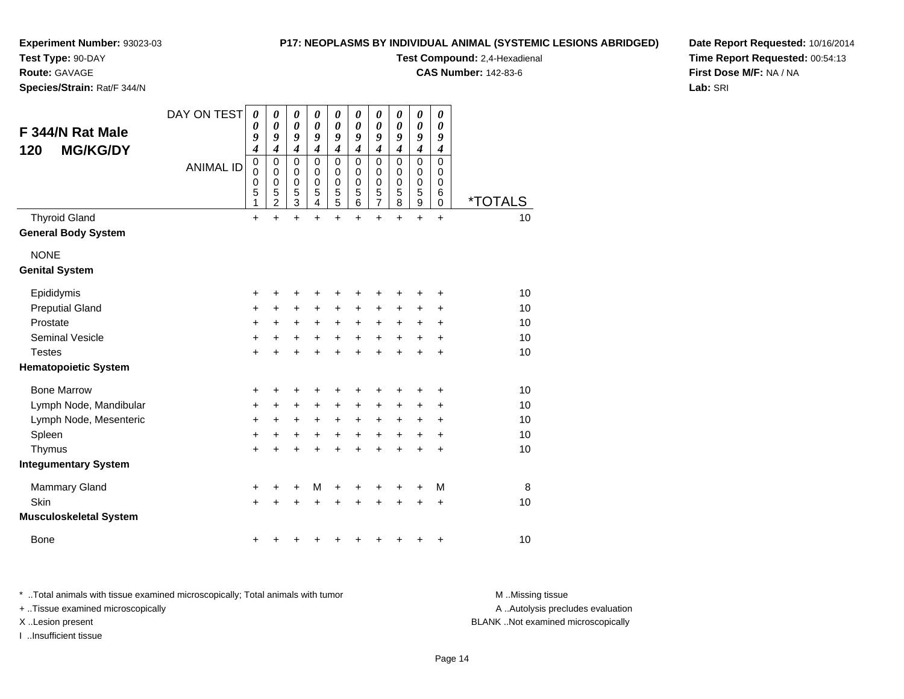#### **P17: NEOPLASMS BY INDIVIDUAL ANIMAL (SYSTEMIC LESIONS ABRIDGED)**

**Experiment Number:** 93023-03

**Test Type:** 90-DAY**Route:** GAVAGE

**Species/Strain:** Rat/F 344/N

**Test Compound:** 2,4-Hexadienal

**CAS Number:** 142-83-6

**Date Report Requested:** 10/16/2014**Time Report Requested:** 00:54:13**First Dose M/F:** NA / NA**Lab:** SRI

| F 344/N Rat Male<br><b>MG/KG/DY</b><br>120         | DAY ON TEST      | 0<br>0<br>9<br>4                | 0<br>$\boldsymbol{\theta}$<br>9<br>$\overline{\boldsymbol{4}}$ | $\boldsymbol{\theta}$<br>$\boldsymbol{\theta}$<br>9<br>$\boldsymbol{4}$ | $\boldsymbol{\theta}$<br>$\boldsymbol{\theta}$<br>9<br>$\boldsymbol{4}$ | $\boldsymbol{\theta}$<br>$\boldsymbol{\theta}$<br>9<br>$\boldsymbol{4}$ | 0<br>$\pmb{\theta}$<br>9<br>$\boldsymbol{4}$        | 0<br>$\pmb{\theta}$<br>9<br>$\boldsymbol{4}$                 | 0<br>$\boldsymbol{\theta}$<br>9<br>$\boldsymbol{4}$ | 0<br>$\boldsymbol{\theta}$<br>9<br>$\boldsymbol{4}$  | 0<br>0<br>9<br>$\boldsymbol{4}$                     |                       |
|----------------------------------------------------|------------------|---------------------------------|----------------------------------------------------------------|-------------------------------------------------------------------------|-------------------------------------------------------------------------|-------------------------------------------------------------------------|-----------------------------------------------------|--------------------------------------------------------------|-----------------------------------------------------|------------------------------------------------------|-----------------------------------------------------|-----------------------|
|                                                    | <b>ANIMAL ID</b> | $\mathbf 0$<br>0<br>0<br>5<br>1 | $\mathbf 0$<br>$\mathbf 0$<br>0<br>5<br>$\overline{c}$         | $\mathbf 0$<br>$\mathbf 0$<br>$\mathbf 0$<br>5<br>$\overline{3}$        | $\mathbf 0$<br>$\mathbf 0$<br>$\mathbf 0$<br>5<br>4                     | $\mathbf 0$<br>$\mathbf 0$<br>0<br>$\frac{5}{5}$                        | $\mathbf 0$<br>$\mathbf 0$<br>$\mathbf 0$<br>5<br>6 | $\mathbf 0$<br>$\pmb{0}$<br>$\pmb{0}$<br>5<br>$\overline{7}$ | $\mathbf 0$<br>$\Omega$<br>$\mathbf 0$<br>5<br>8    | $\mathbf 0$<br>$\pmb{0}$<br>0<br>5<br>$\overline{9}$ | $\mathbf 0$<br>$\mathbf 0$<br>$\mathbf 0$<br>6<br>0 | <i><b>*TOTALS</b></i> |
| <b>Thyroid Gland</b><br><b>General Body System</b> |                  | $\ddot{}$                       | $\ddot{}$                                                      | $\ddot{}$                                                               | $\ddot{}$                                                               | $\ddot{}$                                                               | $\ddot{}$                                           | $\ddot{}$                                                    | $\ddot{}$                                           | $\ddot{}$                                            | $\ddot{}$                                           | 10                    |
| <b>NONE</b><br><b>Genital System</b>               |                  |                                 |                                                                |                                                                         |                                                                         |                                                                         |                                                     |                                                              |                                                     |                                                      |                                                     |                       |
| Epididymis                                         |                  | +                               | +                                                              | +                                                                       | +                                                                       | +                                                                       | +                                                   | +                                                            | +                                                   | +                                                    | +                                                   | 10                    |
| <b>Preputial Gland</b>                             |                  | +                               | +                                                              | $\ddot{}$                                                               | $\ddot{}$                                                               | $\ddot{}$                                                               | +                                                   | +                                                            | +                                                   | +                                                    | +                                                   | 10                    |
| Prostate                                           |                  | $\ddot{}$                       | $\ddot{}$                                                      | $\ddot{}$                                                               | $\ddot{}$                                                               | $\ddot{}$                                                               | $\ddot{}$                                           | $\ddot{}$                                                    | $\ddot{}$                                           | $\ddot{}$                                            | $\ddot{}$                                           | 10                    |
| <b>Seminal Vesicle</b>                             |                  | $\ddot{}$                       | +                                                              | $\ddot{}$                                                               | $\ddot{}$                                                               | $\ddot{}$                                                               | $\ddot{}$                                           | $\ddot{}$                                                    | $\ddot{}$                                           | $\ddot{}$                                            | +                                                   | 10                    |
| <b>Testes</b>                                      |                  | $\ddot{}$                       | $\ddot{}$                                                      | $\ddot{}$                                                               | $\ddot{}$                                                               | $\ddot{}$                                                               | $\ddot{}$                                           | $\ddot{}$                                                    | $\ddot{}$                                           | $\ddot{}$                                            | $\ddot{}$                                           | 10                    |
| <b>Hematopoietic System</b>                        |                  |                                 |                                                                |                                                                         |                                                                         |                                                                         |                                                     |                                                              |                                                     |                                                      |                                                     |                       |
| <b>Bone Marrow</b>                                 |                  | +                               | +                                                              | +                                                                       |                                                                         | +                                                                       |                                                     | +                                                            | +                                                   | +                                                    | +                                                   | 10                    |
| Lymph Node, Mandibular                             |                  | +                               | +                                                              | $\ddot{}$                                                               | $\ddot{}$                                                               | $\ddot{}$                                                               | +                                                   | +                                                            | +                                                   | +                                                    | $\pm$                                               | 10                    |
| Lymph Node, Mesenteric                             |                  | +                               | $\pm$                                                          | $\ddot{}$                                                               | +                                                                       | $\ddot{}$                                                               | $\ddot{}$                                           | +                                                            | $\ddot{}$                                           | $\ddot{}$                                            | $\ddot{}$                                           | 10                    |
| Spleen                                             |                  | +                               | +                                                              | +                                                                       | $\ddot{}$                                                               | $\ddot{}$                                                               | +                                                   | +                                                            | +                                                   | +                                                    | +                                                   | 10                    |
| Thymus                                             |                  | $\ddot{}$                       |                                                                | +                                                                       |                                                                         | $\ddot{}$                                                               |                                                     | $\ddot{}$                                                    | $\ddot{}$                                           | $\ddot{}$                                            | $\ddot{}$                                           | 10                    |
| <b>Integumentary System</b>                        |                  |                                 |                                                                |                                                                         |                                                                         |                                                                         |                                                     |                                                              |                                                     |                                                      |                                                     |                       |
| <b>Mammary Gland</b>                               |                  | +                               | +                                                              | +                                                                       | M                                                                       | +                                                                       | +                                                   | +                                                            | +                                                   | +                                                    | М                                                   | 8                     |
| Skin                                               |                  | $\ddot{}$                       |                                                                | $\ddot{}$                                                               | +                                                                       | +                                                                       |                                                     | +                                                            | +                                                   | +                                                    | $\ddot{}$                                           | 10                    |
| <b>Musculoskeletal System</b>                      |                  |                                 |                                                                |                                                                         |                                                                         |                                                                         |                                                     |                                                              |                                                     |                                                      |                                                     |                       |
| <b>Bone</b>                                        |                  | +                               |                                                                |                                                                         |                                                                         |                                                                         |                                                     | +                                                            | +                                                   | +                                                    | +                                                   | 10                    |

\* ..Total animals with tissue examined microscopically; Total animals with tumor **M** . Missing tissue M ..Missing tissue + ..Tissue examined microscopically X ..Lesion present BLANK ..Not examined microscopically

I ..Insufficient tissue

A ..Autolysis precludes evaluation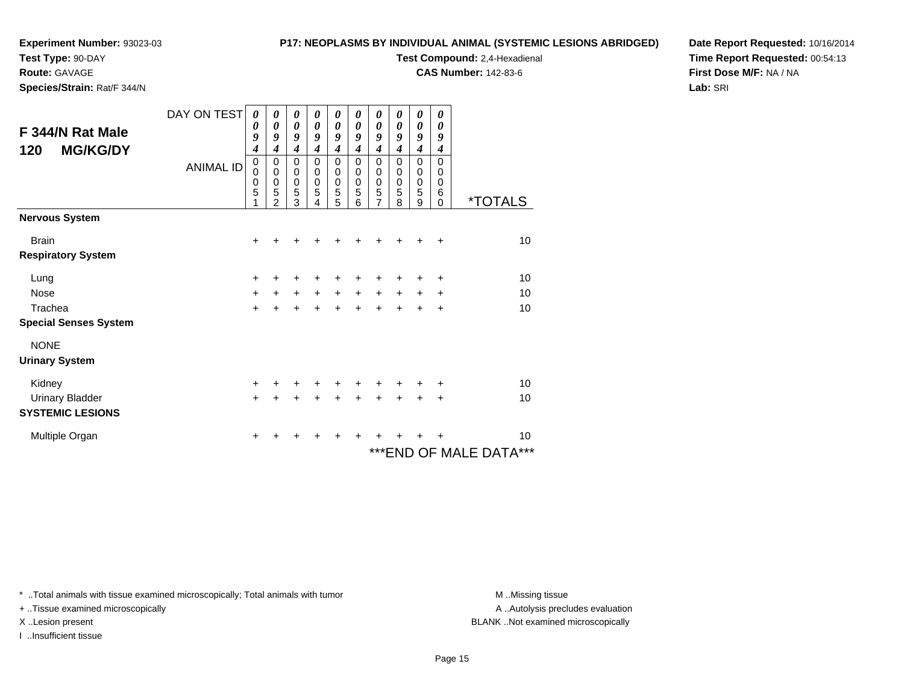### **Test Type:** 90-DAY

**Route:** GAVAGE

**Species/Strain:** Rat/F 344/N

#### **P17: NEOPLASMS BY INDIVIDUAL ANIMAL (SYSTEMIC LESIONS ABRIDGED)**

**Test Compound:** 2,4-Hexadienal

**CAS Number:** 142-83-6

**Date Report Requested:** 10/16/2014**Time Report Requested:** 00:54:13**First Dose M/F:** NA / NA**Lab:** SRI

| F 344/N Rat Male<br><b>MG/KG/DY</b><br>120                  | DAY ON TEST<br><b>ANIMAL ID</b> | 0<br>0<br>9<br>$\boldsymbol{4}$<br>0<br>0<br>0<br>5 | 0<br>0<br>9<br>$\boldsymbol{4}$<br>$\mathbf 0$<br>$\mathbf 0$<br>0<br>5<br>$\overline{2}$ | 0<br>$\boldsymbol{\theta}$<br>9<br>$\overline{4}$<br>$\mathbf 0$<br>0<br>0<br>5<br>3 | 0<br>0<br>9<br>$\overline{\boldsymbol{4}}$<br>$\mathbf 0$<br>$\mathbf 0$<br>$\pmb{0}$<br>5<br>4 | 0<br>0<br>9<br>$\boldsymbol{4}$<br>$\mathbf 0$<br>$\mathbf 0$<br>0<br>5<br>5 | 0<br>0<br>9<br>$\overline{\boldsymbol{4}}$<br>$\mathbf 0$<br>0<br>$\pmb{0}$<br>5<br>6 | 0<br>0<br>9<br>$\boldsymbol{4}$<br>$\mathbf 0$<br>$\mathbf 0$<br>$\pmb{0}$<br>5<br>$\overline{7}$ | 0<br>0<br>9<br>$\boldsymbol{4}$<br>$\mathbf 0$<br>0<br>0<br>5<br>8 | 0<br>0<br>9<br>$\boldsymbol{4}$<br>$\mathbf 0$<br>0<br>0<br>$\sqrt{5}$<br>9 | 0<br>0<br>$\boldsymbol{g}$<br>4<br>$\Omega$<br>0<br>0<br>6<br>$\Omega$ | <i><b>*TOTALS</b></i>         |
|-------------------------------------------------------------|---------------------------------|-----------------------------------------------------|-------------------------------------------------------------------------------------------|--------------------------------------------------------------------------------------|-------------------------------------------------------------------------------------------------|------------------------------------------------------------------------------|---------------------------------------------------------------------------------------|---------------------------------------------------------------------------------------------------|--------------------------------------------------------------------|-----------------------------------------------------------------------------|------------------------------------------------------------------------|-------------------------------|
| <b>Nervous System</b>                                       |                                 |                                                     |                                                                                           |                                                                                      |                                                                                                 |                                                                              |                                                                                       |                                                                                                   |                                                                    |                                                                             |                                                                        |                               |
| <b>Brain</b><br><b>Respiratory System</b>                   |                                 | $\ddot{}$                                           |                                                                                           |                                                                                      |                                                                                                 |                                                                              |                                                                                       |                                                                                                   |                                                                    |                                                                             | +                                                                      | 10                            |
| Lung<br><b>Nose</b><br>Trachea                              |                                 | $\ddot{}$<br>$\ddot{}$<br>$\ddot{}$                 | +<br>$+$                                                                                  | +<br>$\ddot{}$<br>$\ddot{}$                                                          | +<br>$+$                                                                                        | ٠<br>$+$<br>$\ddot{+}$                                                       | $+$                                                                                   | ٠<br>$\ddot{}$<br>$\ddot{}$                                                                       | $+$                                                                | +<br>$\ddot{}$<br>$\ddot{}$                                                 | +<br>+<br>$\ddot{}$                                                    | 10<br>10<br>10                |
| <b>Special Senses System</b>                                |                                 |                                                     |                                                                                           |                                                                                      |                                                                                                 |                                                                              |                                                                                       |                                                                                                   |                                                                    |                                                                             |                                                                        |                               |
| <b>NONE</b><br><b>Urinary System</b>                        |                                 |                                                     |                                                                                           |                                                                                      |                                                                                                 |                                                                              |                                                                                       |                                                                                                   |                                                                    |                                                                             |                                                                        |                               |
| Kidney<br><b>Urinary Bladder</b><br><b>SYSTEMIC LESIONS</b> |                                 | +<br>+                                              | +                                                                                         | +<br>+                                                                               | +<br>+                                                                                          | +<br>+                                                                       |                                                                                       | ٠<br>+                                                                                            |                                                                    | $\ddot{}$                                                                   | ٠<br>$\ddot{}$                                                         | 10<br>10                      |
| Multiple Organ                                              |                                 | +                                                   |                                                                                           |                                                                                      |                                                                                                 |                                                                              |                                                                                       |                                                                                                   |                                                                    |                                                                             | +                                                                      | 10<br>*** END OF MALE DATA*** |

\* ..Total animals with tissue examined microscopically; Total animals with tumor **M** . Missing tissue M ..Missing tissue

+ ..Tissue examined microscopically

I ..Insufficient tissue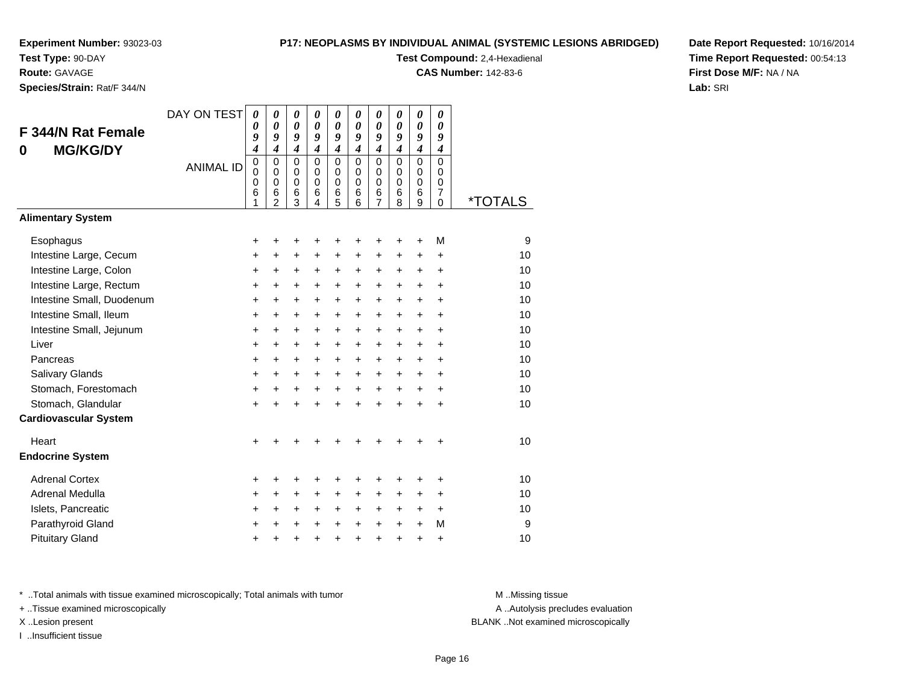**Test Type:** 90-DAY

#### **Route:** GAVAGE

**Species/Strain:** Rat/F 344/N

#### **P17: NEOPLASMS BY INDIVIDUAL ANIMAL (SYSTEMIC LESIONS ABRIDGED)**

**Test Compound:** 2,4-Hexadienal

**CAS Number:** 142-83-6

**Date Report Requested:** 10/16/2014**Time Report Requested:** 00:54:13**First Dose M/F:** NA / NA**Lab:** SRI

| F 344/N Rat Female<br><b>MG/KG/DY</b><br>0       | DAY ON TEST<br><b>ANIMAL ID</b> | $\boldsymbol{\theta}$<br>0<br>9<br>$\overline{\boldsymbol{4}}$<br>0<br>$\Omega$<br>$\mathbf 0$<br>6<br>1 | 0<br>0<br>9<br>$\overline{\boldsymbol{4}}$<br>0<br>$\Omega$<br>$\mathbf 0$<br>6<br>$\overline{2}$ | 0<br>$\boldsymbol{\theta}$<br>9<br>$\overline{\boldsymbol{4}}$<br>$\mathbf 0$<br>$\Omega$<br>$\mathbf 0$<br>6<br>3 | 0<br>$\boldsymbol{\theta}$<br>9<br>$\overline{4}$<br>$\mathbf 0$<br>$\Omega$<br>$\mathbf 0$<br>6<br>4 | 0<br>$\boldsymbol{\theta}$<br>9<br>$\overline{\boldsymbol{4}}$<br>$\mathbf 0$<br>$\mathbf 0$<br>0<br>6<br>5 | 0<br>0<br>9<br>$\overline{4}$<br>$\mathbf 0$<br>$\Omega$<br>$\mathbf 0$<br>6<br>6 | 0<br>$\boldsymbol{\theta}$<br>9<br>$\overline{\boldsymbol{4}}$<br>$\mathbf 0$<br>$\mathbf 0$<br>$\mathbf 0$<br>6<br>7 | 0<br>0<br>9<br>$\overline{\boldsymbol{4}}$<br>$\mathbf 0$<br>$\Omega$<br>$\mathbf 0$<br>6<br>8 | 0<br>0<br>9<br>$\overline{\boldsymbol{4}}$<br>$\mathbf 0$<br>$\mathbf 0$<br>$\mathbf 0$<br>6<br>9 | 0<br>0<br>9<br>$\boldsymbol{4}$<br>$\mathbf 0$<br>$\Omega$<br>0<br>$\overline{7}$<br>$\Omega$ | <i><b>*TOTALS</b></i> |
|--------------------------------------------------|---------------------------------|----------------------------------------------------------------------------------------------------------|---------------------------------------------------------------------------------------------------|--------------------------------------------------------------------------------------------------------------------|-------------------------------------------------------------------------------------------------------|-------------------------------------------------------------------------------------------------------------|-----------------------------------------------------------------------------------|-----------------------------------------------------------------------------------------------------------------------|------------------------------------------------------------------------------------------------|---------------------------------------------------------------------------------------------------|-----------------------------------------------------------------------------------------------|-----------------------|
| <b>Alimentary System</b>                         |                                 |                                                                                                          |                                                                                                   |                                                                                                                    |                                                                                                       |                                                                                                             |                                                                                   |                                                                                                                       |                                                                                                |                                                                                                   |                                                                                               |                       |
| Esophagus                                        |                                 | +                                                                                                        | +                                                                                                 | +                                                                                                                  | +                                                                                                     | +                                                                                                           | +                                                                                 | +                                                                                                                     | +                                                                                              | +                                                                                                 | M                                                                                             | 9                     |
| Intestine Large, Cecum<br>Intestine Large, Colon |                                 | +<br>+                                                                                                   | +<br>+                                                                                            | +<br>+                                                                                                             | +<br>+                                                                                                | $\pm$<br>$\ddot{}$                                                                                          | +<br>+                                                                            | +<br>$\ddot{}$                                                                                                        | +<br>$\ddot{}$                                                                                 | $\ddot{}$<br>+                                                                                    | $\ddot{}$<br>+                                                                                | 10<br>10              |
| Intestine Large, Rectum                          |                                 | $\ddot{}$                                                                                                | $\ddot{}$                                                                                         | $\ddot{}$                                                                                                          | $\ddot{}$                                                                                             | $+$                                                                                                         | $+$                                                                               | $\ddot{}$                                                                                                             | $\ddot{}$                                                                                      | $\ddot{}$                                                                                         | ÷                                                                                             | 10                    |
| Intestine Small, Duodenum                        |                                 | +                                                                                                        | $\ddot{}$                                                                                         | $\ddot{}$                                                                                                          | $\ddot{}$                                                                                             | $+$                                                                                                         | $\ddot{}$                                                                         | $\ddot{}$                                                                                                             | $\ddot{}$                                                                                      | $\ddot{}$                                                                                         | $\ddot{}$                                                                                     | 10                    |
| Intestine Small, Ileum                           |                                 | +                                                                                                        | +                                                                                                 | $\ddot{}$                                                                                                          | $\ddot{}$                                                                                             | $\ddot{}$                                                                                                   | $\ddot{}$                                                                         | $\ddot{}$                                                                                                             | $\ddot{}$                                                                                      | $\ddot{}$                                                                                         | $\ddot{}$                                                                                     | 10                    |
| Intestine Small, Jejunum                         |                                 | $\pm$                                                                                                    | $\ddot{}$                                                                                         | $\ddot{}$                                                                                                          | $\ddot{}$                                                                                             | $+$                                                                                                         | $\ddot{}$                                                                         | $\ddot{}$                                                                                                             | $\ddot{}$                                                                                      | $\ddot{}$                                                                                         | $\ddot{}$                                                                                     | 10                    |
| Liver                                            |                                 | $\ddot{}$                                                                                                | $\ddot{}$                                                                                         | $\ddot{}$                                                                                                          | $\ddot{}$                                                                                             | $+$                                                                                                         | $\ddot{}$                                                                         | $\ddot{}$                                                                                                             | $\ddot{}$                                                                                      | $\ddot{}$                                                                                         | ÷                                                                                             | 10                    |
| Pancreas                                         |                                 | $\ddot{}$                                                                                                | $\ddot{}$                                                                                         | $\ddot{}$                                                                                                          | $\ddot{}$                                                                                             | $+$                                                                                                         | $\ddot{}$                                                                         | $\ddot{}$                                                                                                             | $\ddot{}$                                                                                      | $\ddot{}$                                                                                         | $\ddot{}$                                                                                     | 10                    |
| Salivary Glands                                  |                                 | $\ddot{}$                                                                                                | +                                                                                                 | +                                                                                                                  | $\ddot{}$                                                                                             | $+$                                                                                                         | $\ddot{}$                                                                         | +                                                                                                                     | $\ddot{}$                                                                                      | $\pm$                                                                                             | $\ddot{}$                                                                                     | 10                    |
| Stomach, Forestomach                             |                                 | +                                                                                                        | +                                                                                                 | +                                                                                                                  | $\ddot{}$                                                                                             | $\ddot{}$                                                                                                   | $\ddot{}$                                                                         | $\ddot{}$                                                                                                             | $\ddot{}$                                                                                      | $\ddot{}$                                                                                         | +                                                                                             | 10                    |
| Stomach, Glandular                               |                                 | $\ddot{}$                                                                                                | $\ddot{}$                                                                                         | $\ddot{}$                                                                                                          | ÷                                                                                                     | $\ddot{}$                                                                                                   | ÷                                                                                 | $\ddot{}$                                                                                                             | $\ddot{}$                                                                                      | ÷                                                                                                 | $\ddot{}$                                                                                     | 10                    |
| <b>Cardiovascular System</b>                     |                                 |                                                                                                          |                                                                                                   |                                                                                                                    |                                                                                                       |                                                                                                             |                                                                                   |                                                                                                                       |                                                                                                |                                                                                                   |                                                                                               |                       |
| Heart                                            |                                 | +                                                                                                        |                                                                                                   |                                                                                                                    |                                                                                                       |                                                                                                             |                                                                                   |                                                                                                                       |                                                                                                |                                                                                                   | +                                                                                             | 10                    |
| <b>Endocrine System</b>                          |                                 |                                                                                                          |                                                                                                   |                                                                                                                    |                                                                                                       |                                                                                                             |                                                                                   |                                                                                                                       |                                                                                                |                                                                                                   |                                                                                               |                       |
| <b>Adrenal Cortex</b>                            |                                 | +                                                                                                        | +                                                                                                 | +                                                                                                                  | +                                                                                                     | +                                                                                                           | +                                                                                 | +                                                                                                                     | +                                                                                              | +                                                                                                 | +                                                                                             | 10                    |
| Adrenal Medulla                                  |                                 | +                                                                                                        | +                                                                                                 | +                                                                                                                  | $\ddot{}$                                                                                             | $\pm$                                                                                                       | $\ddot{}$                                                                         | $\ddot{}$                                                                                                             | $\ddot{}$                                                                                      | $\ddot{}$                                                                                         | $\ddot{}$                                                                                     | 10                    |
| Islets, Pancreatic                               |                                 | +                                                                                                        | +                                                                                                 | +                                                                                                                  | +                                                                                                     | $\ddot{}$                                                                                                   | +                                                                                 | $\ddot{}$                                                                                                             | $\ddot{}$                                                                                      | +                                                                                                 | $\ddot{}$                                                                                     | 10                    |
| Parathyroid Gland                                |                                 | $\ddot{}$                                                                                                | +                                                                                                 | +                                                                                                                  | $\ddot{}$                                                                                             | $+$                                                                                                         | $\ddot{}$                                                                         | $\ddot{}$                                                                                                             | $+$                                                                                            | $\ddot{}$                                                                                         | M                                                                                             | 9                     |
| <b>Pituitary Gland</b>                           |                                 | $\ddot{}$                                                                                                | +                                                                                                 | +                                                                                                                  | +                                                                                                     | $\pm$                                                                                                       | +                                                                                 | +                                                                                                                     | +                                                                                              | +                                                                                                 | +                                                                                             | 10                    |

\* ..Total animals with tissue examined microscopically; Total animals with tumor **M** . Missing tissue M ..Missing tissue

+ ..Tissue examined microscopically

I ..Insufficient tissue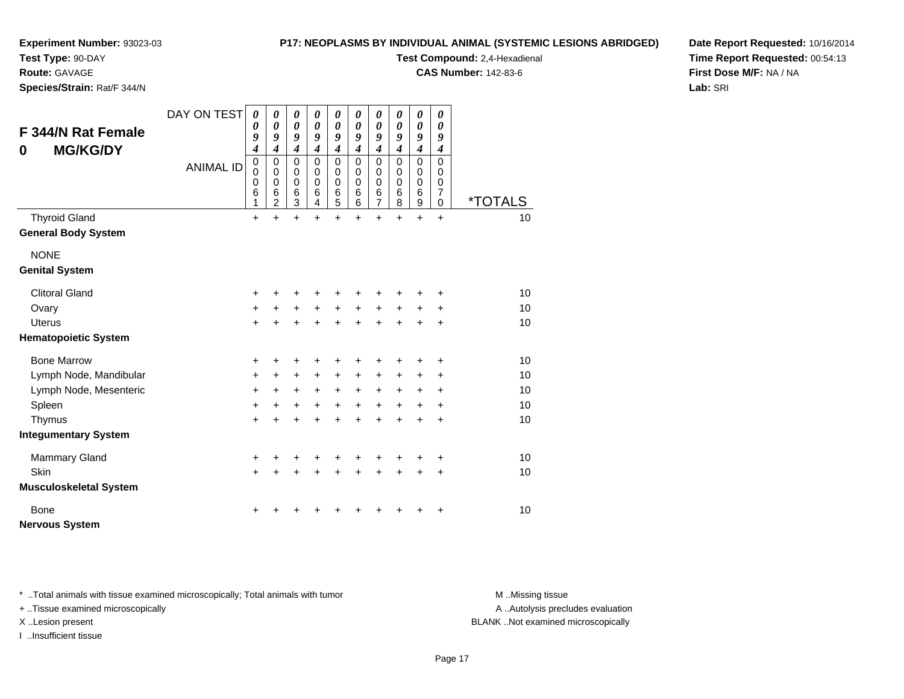**Test Type:** 90-DAY

**Route:** GAVAGE

**Species/Strain:** Rat/F 344/N

#### **P17: NEOPLASMS BY INDIVIDUAL ANIMAL (SYSTEMIC LESIONS ABRIDGED)**

**Test Compound:** 2,4-Hexadienal

**CAS Number:** 142-83-6

**Date Report Requested:** 10/16/2014**Time Report Requested:** 00:54:13**First Dose M/F:** NA / NA**Lab:** SRI

| F 344/N Rat Female<br><b>MG/KG/DY</b><br>0 | DAY ON TEST<br><b>ANIMAL ID</b> | $\boldsymbol{\theta}$<br>0<br>9<br>$\boldsymbol{4}$<br>$\mathbf 0$<br>$\mathbf 0$<br>$\mathbf 0$<br>6 | 0<br>0<br>9<br>$\boldsymbol{4}$<br>$\mathbf 0$<br>0<br>$\mathbf 0$<br>$\,6$ | 0<br>$\boldsymbol{\theta}$<br>9<br>$\boldsymbol{4}$<br>$\mathbf 0$<br>0<br>$\mathbf 0$<br>$\,6$ | 0<br>0<br>9<br>$\boldsymbol{4}$<br>$\mathbf 0$<br>$\mathbf 0$<br>$\mathbf 0$<br>6 | 0<br>0<br>9<br>$\boldsymbol{4}$<br>0<br>$\mathbf 0$<br>$\mathbf 0$<br>6 | 0<br>0<br>9<br>$\boldsymbol{4}$<br>$\mathbf 0$<br>$\Omega$<br>$\Omega$<br>6 | 0<br>$\boldsymbol{\theta}$<br>9<br>$\boldsymbol{4}$<br>$\pmb{0}$<br>$\pmb{0}$<br>$\pmb{0}$<br>$\,6$ | 0<br>0<br>9<br>$\boldsymbol{4}$<br>0<br>$\Omega$<br>0<br>6 | 0<br>0<br>9<br>$\boldsymbol{4}$<br>$\mathsf 0$<br>$\mathbf 0$<br>0<br>6 | 0<br>0<br>9<br>$\boldsymbol{4}$<br>$\mathbf 0$<br>$\Omega$<br>0<br>7 |                       |
|--------------------------------------------|---------------------------------|-------------------------------------------------------------------------------------------------------|-----------------------------------------------------------------------------|-------------------------------------------------------------------------------------------------|-----------------------------------------------------------------------------------|-------------------------------------------------------------------------|-----------------------------------------------------------------------------|-----------------------------------------------------------------------------------------------------|------------------------------------------------------------|-------------------------------------------------------------------------|----------------------------------------------------------------------|-----------------------|
|                                            |                                 | 1                                                                                                     | $\overline{2}$                                                              | $\overline{3}$                                                                                  | 4                                                                                 | 5                                                                       | 6                                                                           | $\overline{7}$                                                                                      | 8                                                          | 9                                                                       | $\Omega$                                                             | <i><b>*TOTALS</b></i> |
| <b>Thyroid Gland</b>                       |                                 | $\ddot{}$                                                                                             | $\ddot{}$                                                                   | $\ddot{}$                                                                                       | $\ddot{}$                                                                         | $\ddot{}$                                                               | $\ddot{}$                                                                   | $\ddot{}$                                                                                           | $\ddot{}$                                                  | $\ddot{}$                                                               | $\ddot{}$                                                            | 10                    |
| <b>General Body System</b>                 |                                 |                                                                                                       |                                                                             |                                                                                                 |                                                                                   |                                                                         |                                                                             |                                                                                                     |                                                            |                                                                         |                                                                      |                       |
| <b>NONE</b>                                |                                 |                                                                                                       |                                                                             |                                                                                                 |                                                                                   |                                                                         |                                                                             |                                                                                                     |                                                            |                                                                         |                                                                      |                       |
| <b>Genital System</b>                      |                                 |                                                                                                       |                                                                             |                                                                                                 |                                                                                   |                                                                         |                                                                             |                                                                                                     |                                                            |                                                                         |                                                                      |                       |
| <b>Clitoral Gland</b>                      |                                 | +                                                                                                     |                                                                             |                                                                                                 |                                                                                   | +                                                                       |                                                                             |                                                                                                     |                                                            |                                                                         | +                                                                    | 10                    |
| Ovary                                      |                                 | +                                                                                                     | +                                                                           | $\ddot{}$                                                                                       | $\ddot{}$                                                                         | $\ddot{}$                                                               | $\ddot{}$                                                                   | $\ddot{}$                                                                                           | $\ddot{}$                                                  | +                                                                       | +                                                                    | 10                    |
| <b>Uterus</b>                              |                                 | +                                                                                                     | +                                                                           | $\ddot{}$                                                                                       | $\ddot{}$                                                                         | $\ddot{}$                                                               | $\ddot{}$                                                                   | $\ddot{}$                                                                                           | $\ddot{}$                                                  | $\ddot{}$                                                               | $\ddot{}$                                                            | 10                    |
| <b>Hematopoietic System</b>                |                                 |                                                                                                       |                                                                             |                                                                                                 |                                                                                   |                                                                         |                                                                             |                                                                                                     |                                                            |                                                                         |                                                                      |                       |
| <b>Bone Marrow</b>                         |                                 | +                                                                                                     | +                                                                           | +                                                                                               | +                                                                                 | +                                                                       | +                                                                           |                                                                                                     |                                                            | +                                                                       | +                                                                    | 10                    |
| Lymph Node, Mandibular                     |                                 | +                                                                                                     | +                                                                           | $\ddot{}$                                                                                       | +                                                                                 | +                                                                       | $\ddot{}$                                                                   | +                                                                                                   | +                                                          | +                                                                       | +                                                                    | 10                    |
| Lymph Node, Mesenteric                     |                                 | +                                                                                                     | $\ddot{}$                                                                   | $\ddot{}$                                                                                       | $+$                                                                               | $+$                                                                     | $+$                                                                         | $\ddot{}$                                                                                           | $+$                                                        | $\ddot{}$                                                               | $\ddot{}$                                                            | 10                    |
| Spleen                                     |                                 | $\ddot{}$                                                                                             | $\ddot{}$                                                                   | $\ddot{}$                                                                                       | $\ddot{}$                                                                         | $\ddot{}$                                                               | $+$                                                                         | $\ddot{}$                                                                                           | $+$                                                        | $+$                                                                     | $\ddot{}$                                                            | 10                    |
| Thymus                                     |                                 | $\ddot{}$                                                                                             | $\ddot{}$                                                                   | $\ddot{}$                                                                                       | $\ddot{}$                                                                         | $\ddot{}$                                                               | $\ddot{}$                                                                   | $+$                                                                                                 | $\ddot{}$                                                  | $\ddot{}$                                                               | $\ddot{}$                                                            | 10                    |
| <b>Integumentary System</b>                |                                 |                                                                                                       |                                                                             |                                                                                                 |                                                                                   |                                                                         |                                                                             |                                                                                                     |                                                            |                                                                         |                                                                      |                       |
| Mammary Gland                              |                                 | +                                                                                                     | +                                                                           | +                                                                                               |                                                                                   | +                                                                       | +                                                                           |                                                                                                     |                                                            | +                                                                       | +                                                                    | 10                    |
| Skin                                       |                                 | $\ddot{}$                                                                                             | $\ddot{}$                                                                   | $\ddot{}$                                                                                       | $\ddot{}$                                                                         | $\ddot{}$                                                               | $\ddot{}$                                                                   | $\ddot{}$                                                                                           | $\ddot{}$                                                  | +                                                                       | +                                                                    | 10                    |
| <b>Musculoskeletal System</b>              |                                 |                                                                                                       |                                                                             |                                                                                                 |                                                                                   |                                                                         |                                                                             |                                                                                                     |                                                            |                                                                         |                                                                      |                       |
| Bone                                       |                                 | +                                                                                                     |                                                                             |                                                                                                 |                                                                                   |                                                                         |                                                                             |                                                                                                     |                                                            | ٠                                                                       | +                                                                    | 10                    |
| <b>Nervous System</b>                      |                                 |                                                                                                       |                                                                             |                                                                                                 |                                                                                   |                                                                         |                                                                             |                                                                                                     |                                                            |                                                                         |                                                                      |                       |

\* ..Total animals with tissue examined microscopically; Total animals with tumor **M** . Missing tissue M ..Missing tissue

+ ..Tissue examined microscopically

I ..Insufficient tissue

A ..Autolysis precludes evaluation

X ..Lesion present BLANK ..Not examined microscopically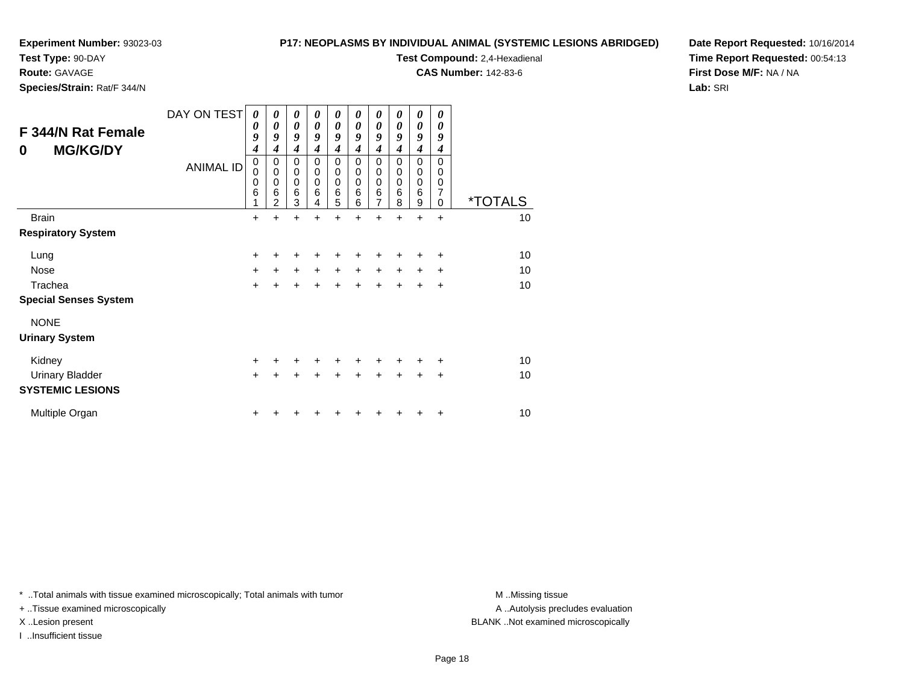#### **Test Type:** 90-DAY

**Route:** GAVAGE

**Species/Strain:** Rat/F 344/N

#### **P17: NEOPLASMS BY INDIVIDUAL ANIMAL (SYSTEMIC LESIONS ABRIDGED)**

**Test Compound:** 2,4-Hexadienal

**CAS Number:** 142-83-6

**Date Report Requested:** 10/16/2014**Time Report Requested:** 00:54:13**First Dose M/F:** NA / NA**Lab:** SRI

| F 344/N Rat Female<br><b>MG/KG/DY</b><br>0        | DAY ON TEST<br><b>ANIMAL ID</b> | 0<br>0<br>9<br>4<br>$\mathbf 0$<br>0<br>0<br>6<br>1 | 0<br>0<br>9<br>4<br>$\mathbf 0$<br>$\mathbf 0$<br>$\mathbf 0$<br>$6\phantom{1}6$<br>$\overline{2}$ | 0<br>0<br>9<br>$\boldsymbol{4}$<br>$\mathbf 0$<br>0<br>0<br>6<br>3 | 0<br>0<br>9<br>4<br>0<br>$\mathbf 0$<br>$\mathbf 0$<br>6<br>4 | 0<br>0<br>9<br>$\overline{\boldsymbol{4}}$<br>0<br>0<br>$\mathbf 0$<br>6<br>5 | 0<br>0<br>9<br>4<br>0<br>0<br>$\mathbf 0$<br>6<br>6 | 0<br>$\boldsymbol{\theta}$<br>9<br>$\boldsymbol{4}$<br>$\mathbf 0$<br>$\mathbf 0$<br>$\mathbf 0$<br>6<br>$\overline{7}$ | 0<br>0<br>9<br>4<br>$\mathbf 0$<br>0<br>0<br>6<br>8 | 0<br>$\boldsymbol{\theta}$<br>9<br>4<br>$\mathbf 0$<br>$\mathbf 0$<br>$\mathbf 0$<br>6<br>9 | 0<br>0<br>9<br>4<br>$\Omega$<br>0<br>$\mathbf 0$<br>$\overline{7}$<br>$\Omega$ | <i><b>*TOTALS</b></i> |
|---------------------------------------------------|---------------------------------|-----------------------------------------------------|----------------------------------------------------------------------------------------------------|--------------------------------------------------------------------|---------------------------------------------------------------|-------------------------------------------------------------------------------|-----------------------------------------------------|-------------------------------------------------------------------------------------------------------------------------|-----------------------------------------------------|---------------------------------------------------------------------------------------------|--------------------------------------------------------------------------------|-----------------------|
| <b>Brain</b>                                      |                                 | $\ddot{}$                                           | $\ddot{}$                                                                                          | $\ddot{}$                                                          | $\ddot{}$                                                     | +                                                                             | $\ddot{}$                                           | $\ddot{}$                                                                                                               | $\ddot{}$                                           | $\ddot{}$                                                                                   | $\ddot{}$                                                                      | 10                    |
| <b>Respiratory System</b>                         |                                 |                                                     |                                                                                                    |                                                                    |                                                               |                                                                               |                                                     |                                                                                                                         |                                                     |                                                                                             |                                                                                |                       |
| Lung                                              |                                 | $\ddot{}$                                           | ÷                                                                                                  | +                                                                  | +                                                             | +                                                                             | +                                                   | +                                                                                                                       | +                                                   | +                                                                                           | +                                                                              | 10                    |
| Nose                                              |                                 | $\ddot{}$                                           | $\ddot{}$                                                                                          | $\ddot{}$                                                          | $\ddot{}$                                                     | $\ddot{}$                                                                     | $\ddot{}$                                           | $\ddot{}$                                                                                                               | $\ddot{}$                                           | $\ddot{}$                                                                                   | $\ddot{}$                                                                      | 10                    |
| Trachea                                           |                                 | $\ddot{}$                                           | $\ddot{}$                                                                                          | $\ddot{}$                                                          | $\ddot{}$                                                     | $\ddot{}$                                                                     | $\ddot{}$                                           | +                                                                                                                       | $\pm$                                               | $\ddot{}$                                                                                   | +                                                                              | 10                    |
| <b>Special Senses System</b>                      |                                 |                                                     |                                                                                                    |                                                                    |                                                               |                                                                               |                                                     |                                                                                                                         |                                                     |                                                                                             |                                                                                |                       |
| <b>NONE</b><br><b>Urinary System</b>              |                                 |                                                     |                                                                                                    |                                                                    |                                                               |                                                                               |                                                     |                                                                                                                         |                                                     |                                                                                             |                                                                                |                       |
| Kidney                                            |                                 | +                                                   | ٠                                                                                                  | +                                                                  | $\ddot{}$                                                     | $\ddot{}$                                                                     | +                                                   | +                                                                                                                       | +                                                   | +                                                                                           | +                                                                              | 10                    |
| <b>Urinary Bladder</b><br><b>SYSTEMIC LESIONS</b> |                                 | $\ddot{}$                                           | +                                                                                                  | +                                                                  | +                                                             | $\pm$                                                                         | +                                                   | $\ddot{}$                                                                                                               | +                                                   | +                                                                                           | +                                                                              | 10                    |
| Multiple Organ                                    |                                 | $\ddot{}$                                           |                                                                                                    |                                                                    |                                                               |                                                                               |                                                     |                                                                                                                         |                                                     |                                                                                             | +                                                                              | 10                    |

\* ..Total animals with tissue examined microscopically; Total animals with tumor **M** . Missing tissue M ..Missing tissue

+ ..Tissue examined microscopically

I ..Insufficient tissue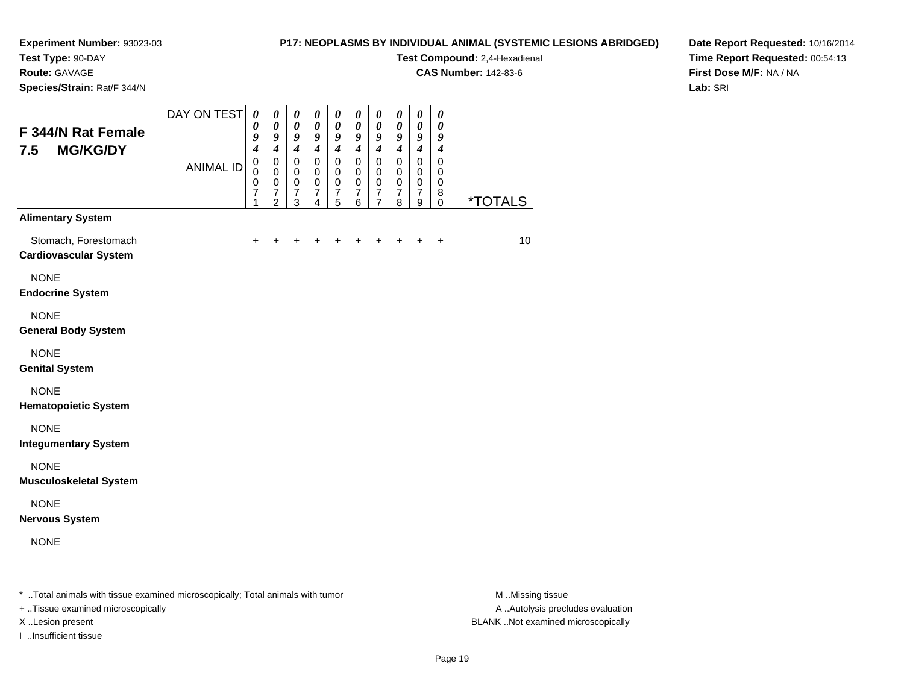**Test Type:** 90-DAY

**Route:** GAVAGE

**Species/Strain:** Rat/F 344/N

#### **P17: NEOPLASMS BY INDIVIDUAL ANIMAL (SYSTEMIC LESIONS ABRIDGED)**

**Test Compound:** 2,4-Hexadienal

**CAS Number:** 142-83-6

**Date Report Requested:** 10/16/2014**Time Report Requested:** 00:54:13**First Dose M/F:** NA / NA**Lab:** SRI

| F 344/N Rat Female<br><b>MG/KG/DY</b><br>7.5         | DAY ON TEST<br><b>ANIMAL ID</b> | $\boldsymbol{\theta}$<br>$\boldsymbol{\theta}$<br>9<br>$\overline{\boldsymbol{4}}$<br>$\mathbf 0$<br>$\mathbf 0$<br>$\mathbf 0$<br>7<br>1 | $\pmb{\theta}$<br>$\boldsymbol{\theta}$<br>9<br>$\boldsymbol{4}$<br>$\mathbf 0$<br>$\mathbf 0$<br>$\mathbf 0$<br>$\overline{7}$<br>$\overline{2}$ | $\boldsymbol{\theta}$<br>$\boldsymbol{\theta}$<br>9<br>$\boldsymbol{4}$<br>$\mathbf 0$<br>$\mathbf 0$<br>$\mathbf 0$<br>$\boldsymbol{7}$<br>$\mathfrak{S}$ | $\boldsymbol{\theta}$<br>$\boldsymbol{\theta}$<br>9<br>$\boldsymbol{4}$<br>$\mathbf 0$<br>$\mathbf 0$<br>$\pmb{0}$<br>$\overline{7}$<br>4 | $\pmb{\theta}$<br>$\boldsymbol{\theta}$<br>9<br>$\boldsymbol{4}$<br>$\mathsf 0$<br>$\mathbf 0$<br>$\pmb{0}$<br>$\boldsymbol{7}$<br>5 | $\pmb{\theta}$<br>$\boldsymbol{\theta}$<br>9<br>$\boldsymbol{4}$<br>$\pmb{0}$<br>$\mathbf 0$<br>$\mathbf 0$<br>$\boldsymbol{7}$<br>6 | $\pmb{\theta}$<br>$\boldsymbol{\theta}$<br>$\boldsymbol{9}$<br>$\boldsymbol{4}$<br>$\pmb{0}$<br>0<br>$\mathbf 0$<br>$\overline{7}$<br>$\overline{7}$ | $\pmb{\theta}$<br>$\pmb{\theta}$<br>9<br>$\boldsymbol{4}$<br>$\pmb{0}$<br>$\mathbf 0$<br>$\pmb{0}$<br>$\boldsymbol{7}$<br>8 | $\pmb{\theta}$<br>$\boldsymbol{\theta}$<br>9<br>$\boldsymbol{4}$<br>$\pmb{0}$<br>$\mathbf 0$<br>$\pmb{0}$<br>$\boldsymbol{7}$<br>9 | $\pmb{\theta}$<br>$\boldsymbol{\theta}$<br>9<br>$\boldsymbol{4}$<br>$\mathbf 0$<br>$\Omega$<br>$\mathbf 0$<br>8<br>$\mathbf 0$ | <i><b>*TOTALS</b></i> |
|------------------------------------------------------|---------------------------------|-------------------------------------------------------------------------------------------------------------------------------------------|---------------------------------------------------------------------------------------------------------------------------------------------------|------------------------------------------------------------------------------------------------------------------------------------------------------------|-------------------------------------------------------------------------------------------------------------------------------------------|--------------------------------------------------------------------------------------------------------------------------------------|--------------------------------------------------------------------------------------------------------------------------------------|------------------------------------------------------------------------------------------------------------------------------------------------------|-----------------------------------------------------------------------------------------------------------------------------|------------------------------------------------------------------------------------------------------------------------------------|--------------------------------------------------------------------------------------------------------------------------------|-----------------------|
| <b>Alimentary System</b>                             |                                 |                                                                                                                                           |                                                                                                                                                   |                                                                                                                                                            |                                                                                                                                           |                                                                                                                                      |                                                                                                                                      |                                                                                                                                                      |                                                                                                                             |                                                                                                                                    |                                                                                                                                |                       |
| Stomach, Forestomach<br><b>Cardiovascular System</b> |                                 | $\ddot{}$                                                                                                                                 |                                                                                                                                                   |                                                                                                                                                            |                                                                                                                                           |                                                                                                                                      |                                                                                                                                      |                                                                                                                                                      |                                                                                                                             | ÷                                                                                                                                  | $\ddot{}$                                                                                                                      | 10 <sup>1</sup>       |
| <b>NONE</b><br><b>Endocrine System</b>               |                                 |                                                                                                                                           |                                                                                                                                                   |                                                                                                                                                            |                                                                                                                                           |                                                                                                                                      |                                                                                                                                      |                                                                                                                                                      |                                                                                                                             |                                                                                                                                    |                                                                                                                                |                       |
| <b>NONE</b><br><b>General Body System</b>            |                                 |                                                                                                                                           |                                                                                                                                                   |                                                                                                                                                            |                                                                                                                                           |                                                                                                                                      |                                                                                                                                      |                                                                                                                                                      |                                                                                                                             |                                                                                                                                    |                                                                                                                                |                       |
| <b>NONE</b><br><b>Genital System</b>                 |                                 |                                                                                                                                           |                                                                                                                                                   |                                                                                                                                                            |                                                                                                                                           |                                                                                                                                      |                                                                                                                                      |                                                                                                                                                      |                                                                                                                             |                                                                                                                                    |                                                                                                                                |                       |
| <b>NONE</b><br><b>Hematopoietic System</b>           |                                 |                                                                                                                                           |                                                                                                                                                   |                                                                                                                                                            |                                                                                                                                           |                                                                                                                                      |                                                                                                                                      |                                                                                                                                                      |                                                                                                                             |                                                                                                                                    |                                                                                                                                |                       |
| <b>NONE</b><br><b>Integumentary System</b>           |                                 |                                                                                                                                           |                                                                                                                                                   |                                                                                                                                                            |                                                                                                                                           |                                                                                                                                      |                                                                                                                                      |                                                                                                                                                      |                                                                                                                             |                                                                                                                                    |                                                                                                                                |                       |
| <b>NONE</b><br><b>Musculoskeletal System</b>         |                                 |                                                                                                                                           |                                                                                                                                                   |                                                                                                                                                            |                                                                                                                                           |                                                                                                                                      |                                                                                                                                      |                                                                                                                                                      |                                                                                                                             |                                                                                                                                    |                                                                                                                                |                       |
| <b>NONE</b><br><b>Nervous System</b>                 |                                 |                                                                                                                                           |                                                                                                                                                   |                                                                                                                                                            |                                                                                                                                           |                                                                                                                                      |                                                                                                                                      |                                                                                                                                                      |                                                                                                                             |                                                                                                                                    |                                                                                                                                |                       |
| <b>NONE</b>                                          |                                 |                                                                                                                                           |                                                                                                                                                   |                                                                                                                                                            |                                                                                                                                           |                                                                                                                                      |                                                                                                                                      |                                                                                                                                                      |                                                                                                                             |                                                                                                                                    |                                                                                                                                |                       |
|                                                      |                                 |                                                                                                                                           |                                                                                                                                                   |                                                                                                                                                            |                                                                                                                                           |                                                                                                                                      |                                                                                                                                      |                                                                                                                                                      |                                                                                                                             |                                                                                                                                    |                                                                                                                                |                       |

\* ..Total animals with tissue examined microscopically; Total animals with tumor **M** . Missing tissue M ..Missing tissue

+ ..Tissue examined microscopically

I ..Insufficient tissue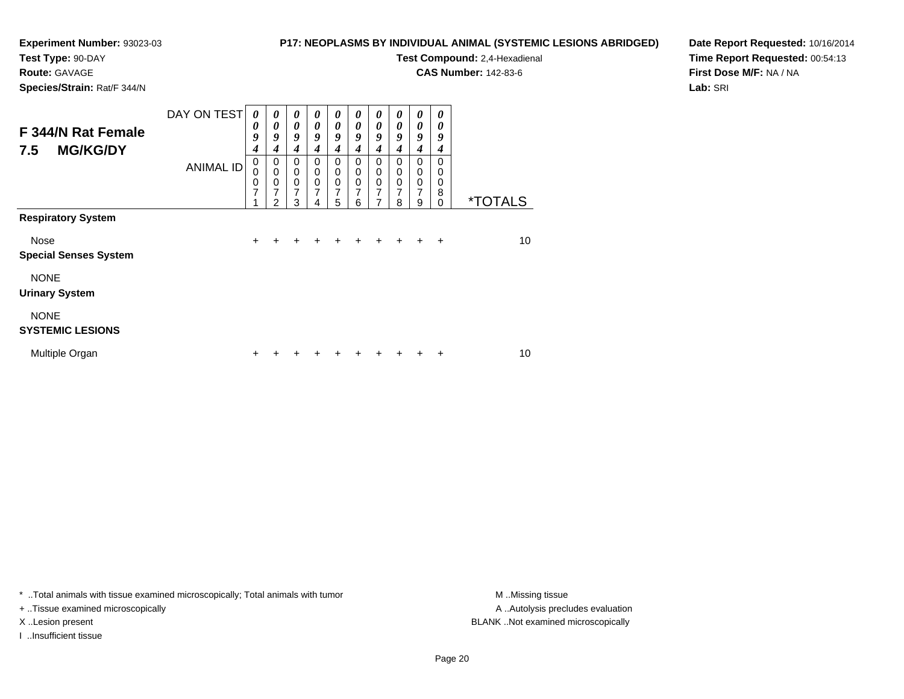#### **Test Type:** 90-DAY

#### **Route:** GAVAGE

**Species/Strain:** Rat/F 344/N

#### **P17: NEOPLASMS BY INDIVIDUAL ANIMAL (SYSTEMIC LESIONS ABRIDGED)**

# **Test Compound:** 2,4-Hexadienal

**CAS Number:** 142-83-6

**Date Report Requested:** 10/16/2014**Time Report Requested:** 00:54:13**First Dose M/F:** NA / NA**Lab:** SRI

| F 344/N Rat Female<br><b>MG/KG/DY</b><br>7.5 | DAY ON TEST      | 0<br>0<br>9<br>4      | 0<br>$\boldsymbol{\theta}$<br>9<br>4                                | $\boldsymbol{\theta}$<br>$\boldsymbol{\theta}$<br>9<br>4         | $\boldsymbol{\theta}$<br>$\theta$<br>9<br>4 | 0<br>$\boldsymbol{\theta}$<br>9<br>4                | $\boldsymbol{\theta}$<br>0<br>9<br>4                          | $\boldsymbol{\theta}$<br>$\boldsymbol{\theta}$<br>9<br>4 | 0<br>$\boldsymbol{\theta}$<br>9<br>4 | $\boldsymbol{\theta}$<br>0<br>9<br>4                     | 0<br>0<br>9<br>4                    |                       |
|----------------------------------------------|------------------|-----------------------|---------------------------------------------------------------------|------------------------------------------------------------------|---------------------------------------------|-----------------------------------------------------|---------------------------------------------------------------|----------------------------------------------------------|--------------------------------------|----------------------------------------------------------|-------------------------------------|-----------------------|
| <b>Respiratory System</b>                    | <b>ANIMAL ID</b> | 0<br>0<br>0<br>7<br>1 | $\mathbf 0$<br>$\mathbf 0$<br>0<br>$\overline{7}$<br>$\mathfrak{p}$ | $\mathbf 0$<br>$\mathbf 0$<br>$\mathbf 0$<br>$\overline{7}$<br>3 | $\mathbf 0$<br>$\mathbf 0$<br>0<br>7<br>4   | $\mathbf 0$<br>$\mathbf 0$<br>$\mathbf 0$<br>7<br>5 | $\Omega$<br>$\mathbf 0$<br>$\mathbf 0$<br>$\overline{7}$<br>6 | $\Omega$<br>$\mathbf 0$<br>0<br>7<br>7                   | 0<br>0<br>0<br>$\overline{7}$<br>8   | $\Omega$<br>0<br>$\boldsymbol{0}$<br>$\overline{7}$<br>9 | $\Omega$<br>0<br>0<br>8<br>$\Omega$ | <i><b>*TOTALS</b></i> |
|                                              |                  |                       |                                                                     |                                                                  |                                             |                                                     |                                                               |                                                          |                                      |                                                          |                                     |                       |
| Nose<br><b>Special Senses System</b>         |                  | $\ddot{}$             | $\ddot{}$                                                           | ÷                                                                | ٠                                           | $\ddot{}$                                           | ÷                                                             | $\pm$                                                    | $\div$                               | $\pm$                                                    | $\ddot{}$                           | 10                    |
| <b>NONE</b><br><b>Urinary System</b>         |                  |                       |                                                                     |                                                                  |                                             |                                                     |                                                               |                                                          |                                      |                                                          |                                     |                       |
| <b>NONE</b><br><b>SYSTEMIC LESIONS</b>       |                  |                       |                                                                     |                                                                  |                                             |                                                     |                                                               |                                                          |                                      |                                                          |                                     |                       |
| Multiple Organ                               |                  | ÷                     |                                                                     |                                                                  |                                             |                                                     |                                                               |                                                          |                                      |                                                          | +                                   | 10                    |

\* ..Total animals with tissue examined microscopically; Total animals with tumor **M** . Missing tissue M ..Missing tissue

+ ..Tissue examined microscopically

I ..Insufficient tissue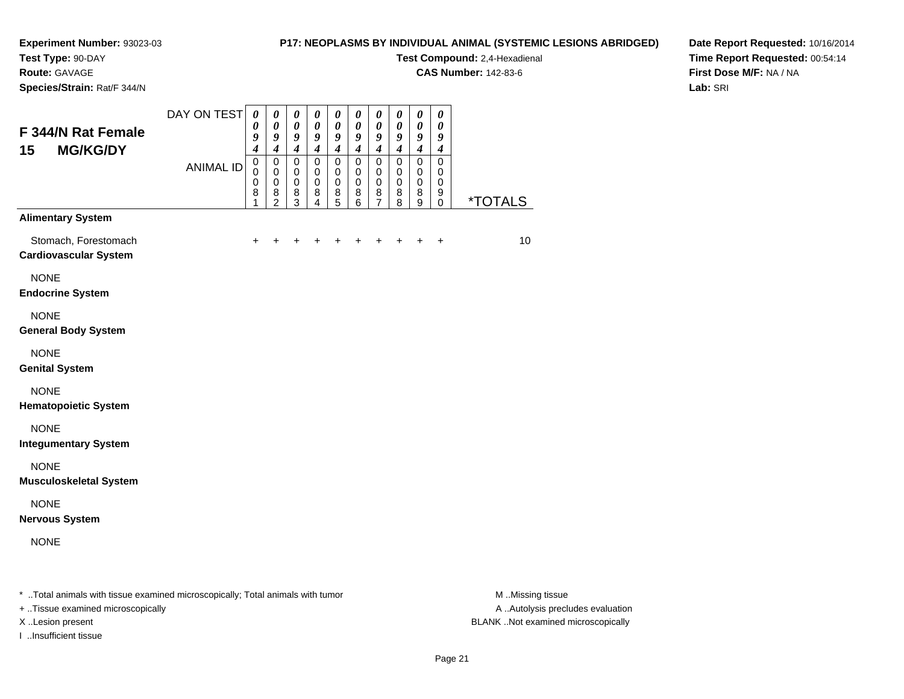# **Test Type:** 90-DAY

**Route:** GAVAGE

**Species/Strain:** Rat/F 344/N

#### **P17: NEOPLASMS BY INDIVIDUAL ANIMAL (SYSTEMIC LESIONS ABRIDGED)**

**Test Compound:** 2,4-Hexadienal

**CAS Number:** 142-83-6

**Date Report Requested:** 10/16/2014**Time Report Requested:** 00:54:14**First Dose M/F:** NA / NA**Lab:** SRI

| F 344/N Rat Female<br>15<br><b>MG/KG/DY</b>                                                                          | DAY ON TEST      | $\boldsymbol{\theta}$<br>$\boldsymbol{\theta}$<br>9<br>$\boldsymbol{4}$ | $\boldsymbol{\theta}$<br>$\boldsymbol{\theta}$<br>9<br>$\overline{\boldsymbol{4}}$ | $\pmb{\theta}$<br>$\boldsymbol{\theta}$<br>9<br>$\boldsymbol{4}$ | $\boldsymbol{\theta}$<br>$\boldsymbol{\theta}$<br>9<br>$\overline{\boldsymbol{4}}$ | $\boldsymbol{\theta}$<br>$\boldsymbol{\theta}$<br>9<br>$\boldsymbol{4}$ | $\boldsymbol{\theta}$<br>0<br>9<br>$\boldsymbol{4}$ | $\boldsymbol{\theta}$<br>$\boldsymbol{\theta}$<br>9<br>$\boldsymbol{4}$ | 0<br>0<br>9<br>$\overline{4}$             | $\pmb{\theta}$<br>$\boldsymbol{\theta}$<br>9<br>$\boldsymbol{4}$ | $\pmb{\theta}$<br>0<br>9<br>$\boldsymbol{4}$     |                                                                                                                                                                                                                                                                                                                                    |
|----------------------------------------------------------------------------------------------------------------------|------------------|-------------------------------------------------------------------------|------------------------------------------------------------------------------------|------------------------------------------------------------------|------------------------------------------------------------------------------------|-------------------------------------------------------------------------|-----------------------------------------------------|-------------------------------------------------------------------------|-------------------------------------------|------------------------------------------------------------------|--------------------------------------------------|------------------------------------------------------------------------------------------------------------------------------------------------------------------------------------------------------------------------------------------------------------------------------------------------------------------------------------|
|                                                                                                                      | <b>ANIMAL ID</b> | $\pmb{0}$<br>$\mathbf 0$<br>$\mathbf 0$<br>8<br>1                       | $\pmb{0}$<br>$\pmb{0}$<br>$\mathbf 0$<br>8<br>$\overline{2}$                       | $\mathbf 0$<br>$\mathbf 0$<br>$\mathbf 0$<br>8<br>3              | $\mathbf 0$<br>$\mathbf 0$<br>$\mathbf 0$<br>8<br>$\overline{4}$                   | $\pmb{0}$<br>$\mathbf 0$<br>$\pmb{0}$<br>$\bf8$<br>5                    | $\mathbf 0$<br>0<br>$\mathbf 0$<br>8<br>6           | $\pmb{0}$<br>$\pmb{0}$<br>$\pmb{0}$<br>8<br>$\overline{7}$              | $\mathbf 0$<br>0<br>$\mathbf 0$<br>8<br>8 | 0<br>0<br>0<br>8<br>9                                            | $\mathbf 0$<br>0<br>$\mathbf 0$<br>9<br>$\Omega$ | *TOTALS                                                                                                                                                                                                                                                                                                                            |
| <b>Alimentary System</b>                                                                                             |                  |                                                                         |                                                                                    |                                                                  |                                                                                    |                                                                         |                                                     |                                                                         |                                           |                                                                  |                                                  |                                                                                                                                                                                                                                                                                                                                    |
| Stomach, Forestomach<br><b>Cardiovascular System</b>                                                                 |                  |                                                                         |                                                                                    |                                                                  |                                                                                    |                                                                         |                                                     |                                                                         |                                           |                                                                  |                                                  | 10                                                                                                                                                                                                                                                                                                                                 |
| <b>NONE</b><br><b>Endocrine System</b>                                                                               |                  |                                                                         |                                                                                    |                                                                  |                                                                                    |                                                                         |                                                     |                                                                         |                                           |                                                                  |                                                  |                                                                                                                                                                                                                                                                                                                                    |
| <b>NONE</b><br><b>General Body System</b>                                                                            |                  |                                                                         |                                                                                    |                                                                  |                                                                                    |                                                                         |                                                     |                                                                         |                                           |                                                                  |                                                  |                                                                                                                                                                                                                                                                                                                                    |
| <b>NONE</b><br><b>Genital System</b>                                                                                 |                  |                                                                         |                                                                                    |                                                                  |                                                                                    |                                                                         |                                                     |                                                                         |                                           |                                                                  |                                                  |                                                                                                                                                                                                                                                                                                                                    |
| <b>NONE</b><br><b>Hematopoietic System</b>                                                                           |                  |                                                                         |                                                                                    |                                                                  |                                                                                    |                                                                         |                                                     |                                                                         |                                           |                                                                  |                                                  |                                                                                                                                                                                                                                                                                                                                    |
| <b>NONE</b><br><b>Integumentary System</b>                                                                           |                  |                                                                         |                                                                                    |                                                                  |                                                                                    |                                                                         |                                                     |                                                                         |                                           |                                                                  |                                                  |                                                                                                                                                                                                                                                                                                                                    |
| <b>NONE</b><br><b>Musculoskeletal System</b>                                                                         |                  |                                                                         |                                                                                    |                                                                  |                                                                                    |                                                                         |                                                     |                                                                         |                                           |                                                                  |                                                  |                                                                                                                                                                                                                                                                                                                                    |
| <b>NONE</b><br><b>Nervous System</b>                                                                                 |                  |                                                                         |                                                                                    |                                                                  |                                                                                    |                                                                         |                                                     |                                                                         |                                           |                                                                  |                                                  |                                                                                                                                                                                                                                                                                                                                    |
| <b>NONE</b>                                                                                                          |                  |                                                                         |                                                                                    |                                                                  |                                                                                    |                                                                         |                                                     |                                                                         |                                           |                                                                  |                                                  |                                                                                                                                                                                                                                                                                                                                    |
| $\pm$ . The contract of the contract of the contract of the contract of the state of the contract of the contract of |                  |                                                                         |                                                                                    |                                                                  |                                                                                    |                                                                         |                                                     |                                                                         |                                           |                                                                  |                                                  | $\mathbf{A}$ $\mathbf{A}$ $\mathbf{A}$ $\mathbf{A}$ $\mathbf{A}$ $\mathbf{A}$ $\mathbf{A}$ $\mathbf{A}$ $\mathbf{A}$ $\mathbf{A}$ $\mathbf{A}$ $\mathbf{A}$ $\mathbf{A}$ $\mathbf{A}$ $\mathbf{A}$ $\mathbf{A}$ $\mathbf{A}$ $\mathbf{A}$ $\mathbf{A}$ $\mathbf{A}$ $\mathbf{A}$ $\mathbf{A}$ $\mathbf{A}$ $\mathbf{A}$ $\mathbf{$ |

..Total animals with tissue examined microscopically; Total animals with tumor M ..Missing tissue M ..Missing tissue

+ ..Tissue examined microscopically

I ..Insufficient tissue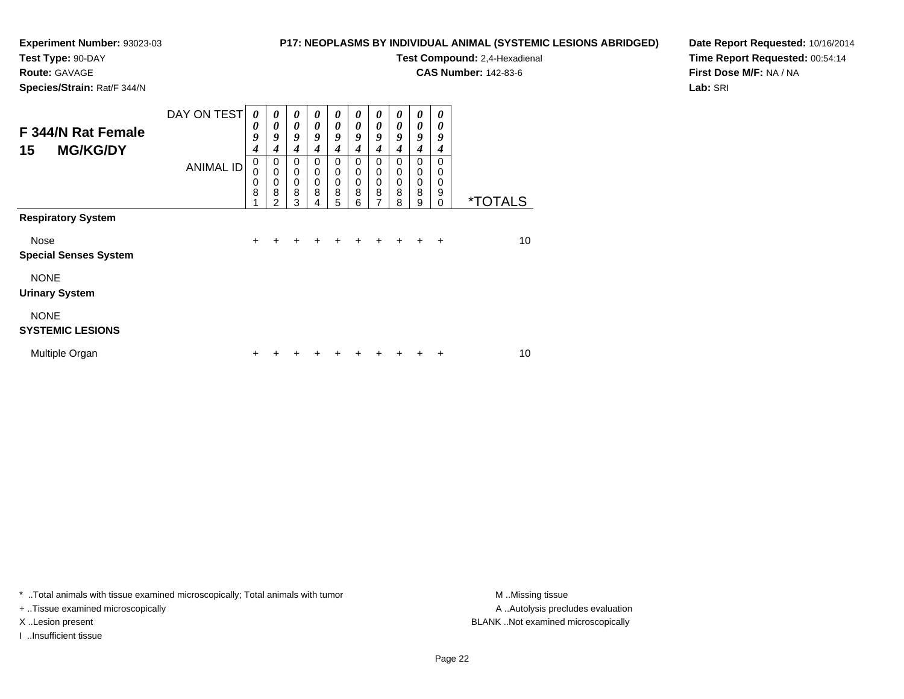### **Test Type:** 90-DAY

**Route:** GAVAGE

**Species/Strain:** Rat/F 344/N

#### **P17: NEOPLASMS BY INDIVIDUAL ANIMAL (SYSTEMIC LESIONS ABRIDGED)**

**Test Compound:** 2,4-Hexadienal

**CAS Number:** 142-83-6

**Date Report Requested:** 10/16/2014**Time Report Requested:** 00:54:14**First Dose M/F:** NA / NA**Lab:** SRI

| F 344/N Rat Female<br><b>MG/KG/DY</b><br>15 | DAY ON TEST      | 0<br>0<br>9<br>$\boldsymbol{4}$ | $\boldsymbol{\theta}$<br>0<br>9<br>4 | 0<br>0<br>9<br>4                | 0<br>0<br>9<br>4                          | $\boldsymbol{\theta}$<br>$\boldsymbol{\theta}$<br>9<br>4 | 0<br>$\boldsymbol{\theta}$<br>9<br>4                | 0<br>$\boldsymbol{\theta}$<br>9<br>4             | 0<br>0<br>9<br>4                       | $\boldsymbol{\theta}$<br>$\boldsymbol{\theta}$<br>9<br>$\boldsymbol{4}$ | 0<br>0<br>9<br>4                    |                       |
|---------------------------------------------|------------------|---------------------------------|--------------------------------------|---------------------------------|-------------------------------------------|----------------------------------------------------------|-----------------------------------------------------|--------------------------------------------------|----------------------------------------|-------------------------------------------------------------------------|-------------------------------------|-----------------------|
| <b>Respiratory System</b>                   | <b>ANIMAL ID</b> | $\mathbf 0$<br>0<br>0<br>8<br>4 | 0<br>0<br>0<br>8<br>2                | $\mathbf 0$<br>0<br>0<br>8<br>3 | $\mathbf 0$<br>$\mathbf 0$<br>0<br>8<br>4 | $\Omega$<br>$\mathbf 0$<br>$\mathbf 0$<br>8<br>5         | $\mathbf 0$<br>$\mathbf 0$<br>$\mathbf 0$<br>8<br>6 | $\Omega$<br>$\mathbf 0$<br>$\mathbf 0$<br>8<br>7 | $\Omega$<br>0<br>$\mathbf 0$<br>8<br>8 | $\Omega$<br>$\mathbf 0$<br>$\pmb{0}$<br>8<br>9                          | $\Omega$<br>0<br>0<br>9<br>$\Omega$ | <i><b>*TOTALS</b></i> |
|                                             |                  |                                 |                                      |                                 |                                           |                                                          |                                                     |                                                  |                                        |                                                                         |                                     |                       |
| Nose<br><b>Special Senses System</b>        |                  | $\ddot{}$                       | +                                    | ٠                               | ٠                                         | ٠                                                        | ÷                                                   | ٠                                                | ÷                                      | $\div$                                                                  | ÷                                   | 10                    |
| <b>NONE</b><br><b>Urinary System</b>        |                  |                                 |                                      |                                 |                                           |                                                          |                                                     |                                                  |                                        |                                                                         |                                     |                       |
| <b>NONE</b><br><b>SYSTEMIC LESIONS</b>      |                  |                                 |                                      |                                 |                                           |                                                          |                                                     |                                                  |                                        |                                                                         |                                     |                       |
| Multiple Organ                              |                  | ÷                               |                                      |                                 |                                           |                                                          |                                                     |                                                  |                                        |                                                                         | +                                   | 10                    |

\* ..Total animals with tissue examined microscopically; Total animals with tumor **M** . Missing tissue M ..Missing tissue

+ ..Tissue examined microscopically

I ..Insufficient tissue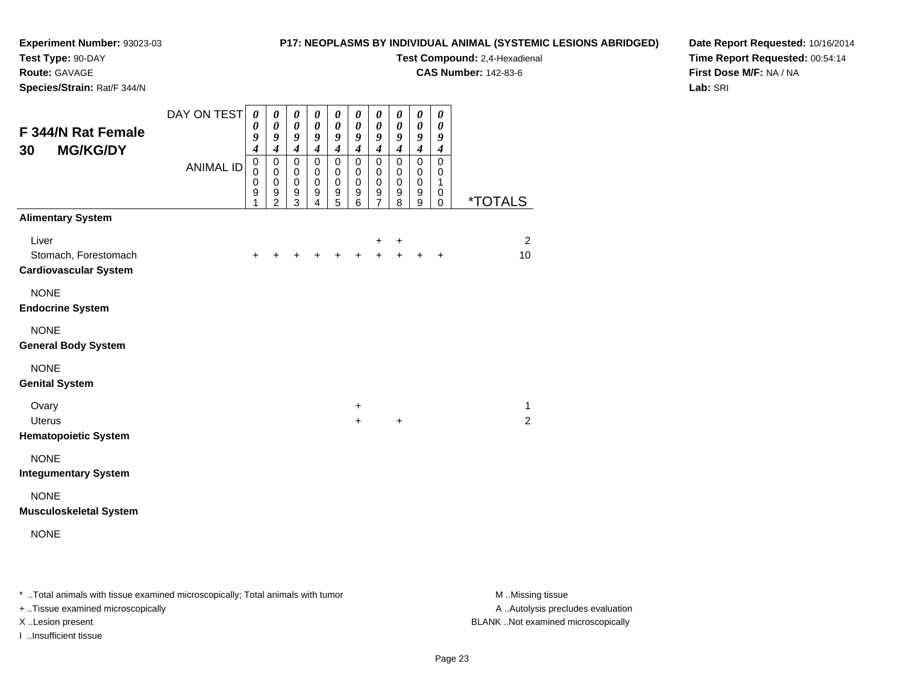# **Test Type:** 90-DAY

**Route:** GAVAGE

**Species/Strain:** Rat/F 344/N

#### **P17: NEOPLASMS BY INDIVIDUAL ANIMAL (SYSTEMIC LESIONS ABRIDGED)**

**Test Compound:** 2,4-Hexadienal

**CAS Number:** 142-83-6

**Date Report Requested:** 10/16/2014**Time Report Requested:** 00:54:14**First Dose M/F:** NA / NA**Lab:** SRI

| F 344/N Rat Female<br><b>MG/KG/DY</b><br>30                   | DAY ON TEST      | $\boldsymbol{\theta}$<br>0<br>9<br>$\boldsymbol{4}$<br>$\mathbf 0$ | 0<br>$\pmb{\theta}$<br>9<br>$\boldsymbol{4}$<br>$\pmb{0}$ | $\pmb{\theta}$<br>$\pmb{\theta}$<br>9<br>$\boldsymbol{4}$<br>$\pmb{0}$ | 0<br>$\boldsymbol{\theta}$<br>9<br>$\boldsymbol{4}$<br>$\mathbf 0$ | $\pmb{\theta}$<br>$\boldsymbol{\theta}$<br>9<br>$\boldsymbol{4}$<br>$\pmb{0}$ | $\pmb{\theta}$<br>$\boldsymbol{\theta}$<br>9<br>$\boldsymbol{4}$<br>$\pmb{0}$ | 0<br>$\boldsymbol{\theta}$<br>9<br>$\boldsymbol{4}$<br>$\pmb{0}$ | 0<br>$\boldsymbol{\theta}$<br>9<br>$\boldsymbol{4}$<br>$\mathbf 0$ | $\pmb{\theta}$<br>$\pmb{\theta}$<br>9<br>$\boldsymbol{4}$<br>$\mathsf 0$ | 0<br>$\boldsymbol{\theta}$<br>9<br>$\boldsymbol{4}$<br>$\mathsf 0$ |                       |
|---------------------------------------------------------------|------------------|--------------------------------------------------------------------|-----------------------------------------------------------|------------------------------------------------------------------------|--------------------------------------------------------------------|-------------------------------------------------------------------------------|-------------------------------------------------------------------------------|------------------------------------------------------------------|--------------------------------------------------------------------|--------------------------------------------------------------------------|--------------------------------------------------------------------|-----------------------|
|                                                               | <b>ANIMAL ID</b> | 0<br>$\mathbf 0$<br>$\boldsymbol{9}$<br>1                          | 0<br>$\pmb{0}$<br>9<br>$\overline{2}$                     | 0<br>$\mathbf 0$<br>$\boldsymbol{9}$<br>3                              | 0<br>$\mathbf 0$<br>9<br>4                                         | 0<br>$\,0\,$<br>$\boldsymbol{9}$<br>5                                         | 0<br>$\pmb{0}$<br>9<br>6                                                      | 0<br>0<br>$\boldsymbol{9}$<br>$\overline{7}$                     | 0<br>0<br>$\boldsymbol{9}$<br>8                                    | 0<br>$\pmb{0}$<br>$\boldsymbol{9}$<br>9                                  | 0<br>1<br>0<br>$\mathbf 0$                                         | <i><b>*TOTALS</b></i> |
| <b>Alimentary System</b>                                      |                  |                                                                    |                                                           |                                                                        |                                                                    |                                                                               |                                                                               |                                                                  |                                                                    |                                                                          |                                                                    |                       |
| Liver<br>Stomach, Forestomach<br><b>Cardiovascular System</b> |                  | $\ddot{}$                                                          | $\ddot{}$                                                 | $\ddot{}$                                                              | $\ddot{}$                                                          | $\ddot{}$                                                                     | $\ddot{}$                                                                     | +<br>$+$                                                         | +<br>$+$                                                           | $\ddot{}$                                                                | $\ddot{}$                                                          | $\overline{2}$<br>10  |
| <b>NONE</b><br><b>Endocrine System</b>                        |                  |                                                                    |                                                           |                                                                        |                                                                    |                                                                               |                                                                               |                                                                  |                                                                    |                                                                          |                                                                    |                       |
| <b>NONE</b><br><b>General Body System</b>                     |                  |                                                                    |                                                           |                                                                        |                                                                    |                                                                               |                                                                               |                                                                  |                                                                    |                                                                          |                                                                    |                       |
| <b>NONE</b><br><b>Genital System</b>                          |                  |                                                                    |                                                           |                                                                        |                                                                    |                                                                               |                                                                               |                                                                  |                                                                    |                                                                          |                                                                    |                       |
| Ovary                                                         |                  |                                                                    |                                                           |                                                                        |                                                                    |                                                                               | $\ddot{}$                                                                     |                                                                  |                                                                    |                                                                          |                                                                    | $\mathbf{1}$          |
| <b>Uterus</b><br><b>Hematopoietic System</b>                  |                  |                                                                    |                                                           |                                                                        |                                                                    |                                                                               | $\ddot{}$                                                                     |                                                                  | $\ddot{}$                                                          |                                                                          |                                                                    | $\overline{2}$        |
| <b>NONE</b><br><b>Integumentary System</b>                    |                  |                                                                    |                                                           |                                                                        |                                                                    |                                                                               |                                                                               |                                                                  |                                                                    |                                                                          |                                                                    |                       |
| <b>NONE</b><br><b>Musculoskeletal System</b>                  |                  |                                                                    |                                                           |                                                                        |                                                                    |                                                                               |                                                                               |                                                                  |                                                                    |                                                                          |                                                                    |                       |
| <b>NONE</b>                                                   |                  |                                                                    |                                                           |                                                                        |                                                                    |                                                                               |                                                                               |                                                                  |                                                                    |                                                                          |                                                                    |                       |

\* ..Total animals with tissue examined microscopically; Total animals with tumor **M** . Missing tissue M ..Missing tissue

+ ..Tissue examined microscopically

I ..Insufficient tissue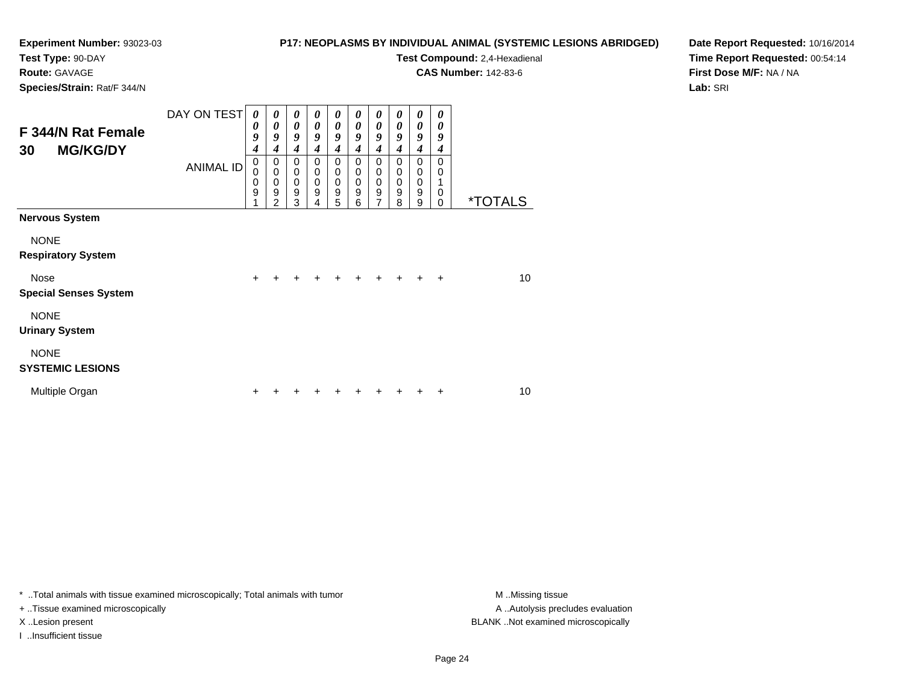**Test Type:** 90-DAY

**Route:** GAVAGE

**Species/Strain:** Rat/F 344/N

#### **P17: NEOPLASMS BY INDIVIDUAL ANIMAL (SYSTEMIC LESIONS ABRIDGED)**

**Test Compound:** 2,4-Hexadienal

**CAS Number:** 142-83-6

**Date Report Requested:** 10/16/2014**Time Report Requested:** 00:54:14**First Dose M/F:** NA / NA**Lab:** SRI

| F 344/N Rat Female<br><b>MG/KG/DY</b><br>30                       | DAY ON TEST<br><b>ANIMAL ID</b> | 0<br>0<br>9<br>4<br>$\mathbf 0$<br>0<br>$\mathbf 0$ | 0<br>0<br>9<br>4<br>0<br>$\mathbf 0$<br>$\mathbf 0$ | 0<br>$\boldsymbol{\theta}$<br>9<br>$\boldsymbol{4}$<br>0<br>$\mathbf 0$<br>$\mathbf 0$ | 0<br>0<br>9<br>4<br>0<br>$\mathbf 0$<br>$\mathbf 0$ | 0<br>$\boldsymbol{\theta}$<br>9<br>4<br>0<br>$\mathbf 0$<br>$\mathbf 0$ | $\boldsymbol{\theta}$<br>$\boldsymbol{\theta}$<br>9<br>4<br>0<br>$\mathbf 0$<br>$\mathbf 0$ | 0<br>$\boldsymbol{\theta}$<br>9<br>$\boldsymbol{4}$<br>0<br>$\pmb{0}$<br>$\pmb{0}$ | 0<br>$\boldsymbol{\theta}$<br>9<br>4<br>$\mathbf 0$<br>$\mathbf 0$<br>$\mathbf 0$ | 0<br>$\boldsymbol{\theta}$<br>9<br>4<br>0<br>$\mathbf 0$<br>0 | 0<br>0<br>9<br>4<br>$\Omega$<br>$\Omega$ |                       |
|-------------------------------------------------------------------|---------------------------------|-----------------------------------------------------|-----------------------------------------------------|----------------------------------------------------------------------------------------|-----------------------------------------------------|-------------------------------------------------------------------------|---------------------------------------------------------------------------------------------|------------------------------------------------------------------------------------|-----------------------------------------------------------------------------------|---------------------------------------------------------------|------------------------------------------|-----------------------|
|                                                                   |                                 | 9                                                   | 9<br>2                                              | $\boldsymbol{9}$<br>3                                                                  | 9<br>4                                              | $\boldsymbol{9}$<br>5                                                   | $\boldsymbol{9}$<br>6                                                                       | $\boldsymbol{9}$<br>7                                                              | $9\,$<br>8                                                                        | 9<br>9                                                        | 0<br>$\Omega$                            | <i><b>*TOTALS</b></i> |
| <b>Nervous System</b><br><b>NONE</b><br><b>Respiratory System</b> |                                 |                                                     |                                                     |                                                                                        |                                                     |                                                                         |                                                                                             |                                                                                    |                                                                                   |                                                               |                                          |                       |
| <b>Nose</b><br><b>Special Senses System</b>                       |                                 | $\ddot{}$                                           | $\div$                                              | $\div$                                                                                 | $\div$                                              | $\ddot{}$                                                               | ÷                                                                                           | $\div$                                                                             | $+$                                                                               | $\div$                                                        | $\ddot{}$                                | 10                    |
| <b>NONE</b><br><b>Urinary System</b>                              |                                 |                                                     |                                                     |                                                                                        |                                                     |                                                                         |                                                                                             |                                                                                    |                                                                                   |                                                               |                                          |                       |
| <b>NONE</b><br><b>SYSTEMIC LESIONS</b>                            |                                 |                                                     |                                                     |                                                                                        |                                                     |                                                                         |                                                                                             |                                                                                    |                                                                                   |                                                               |                                          |                       |
| Multiple Organ                                                    |                                 | ÷                                                   |                                                     |                                                                                        |                                                     |                                                                         |                                                                                             |                                                                                    |                                                                                   |                                                               |                                          | 10                    |

\* ..Total animals with tissue examined microscopically; Total animals with tumor **M** . Missing tissue M ..Missing tissue

+ ..Tissue examined microscopically

I ..Insufficient tissue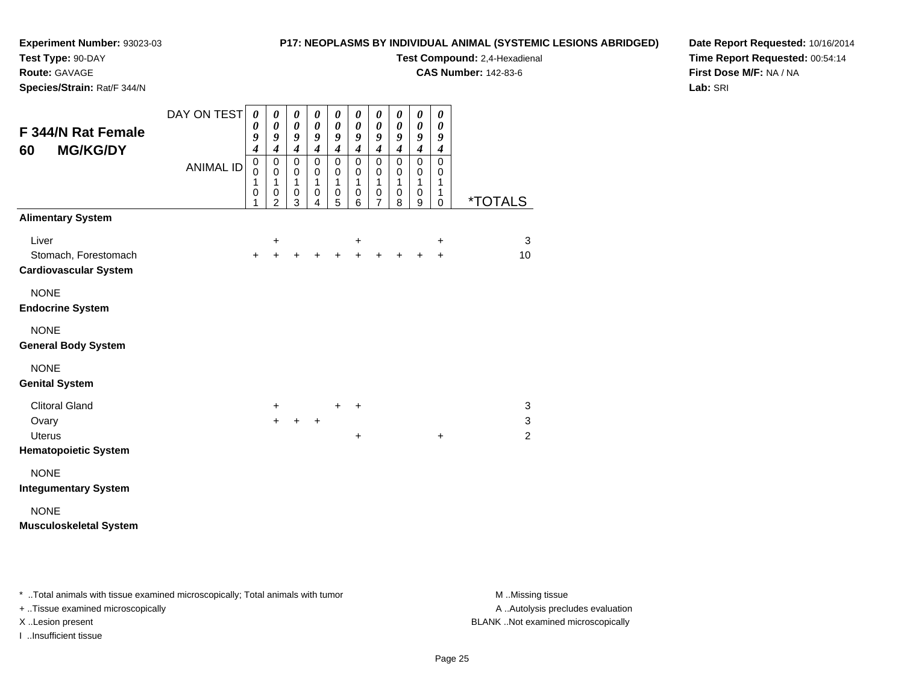# **Test Type:** 90-DAY

**Route:** GAVAGE

**Species/Strain:** Rat/F 344/N

#### **P17: NEOPLASMS BY INDIVIDUAL ANIMAL (SYSTEMIC LESIONS ABRIDGED)**

**Test Compound:** 2,4-Hexadienal

**CAS Number:** 142-83-6

**Date Report Requested:** 10/16/2014**Time Report Requested:** 00:54:14**First Dose M/F:** NA / NA**Lab:** SRI

| <b>F 344/N Rat Female</b><br><b>MG/KG/DY</b><br>60            | DAY ON TEST      | 0<br>0<br>9<br>$\overline{\boldsymbol{4}}$        | 0<br>$\pmb{\theta}$<br>9<br>$\boldsymbol{4}$                 | 0<br>$\pmb{\theta}$<br>9<br>$\boldsymbol{4}$                 | 0<br>$\pmb{\theta}$<br>9<br>$\boldsymbol{4}$    | 0<br>$\pmb{\theta}$<br>$\boldsymbol{g}$<br>$\boldsymbol{4}$    | 0<br>$\pmb{\theta}$<br>9<br>$\boldsymbol{4}$                   | 0<br>$\pmb{\theta}$<br>$\boldsymbol{g}$<br>$\boldsymbol{4}$  | 0<br>$\pmb{\theta}$<br>9<br>$\boldsymbol{4}$                   | $\boldsymbol{\theta}$<br>$\pmb{\theta}$<br>9<br>$\boldsymbol{4}$ | $\boldsymbol{\theta}$<br>$\boldsymbol{\theta}$<br>9<br>$\boldsymbol{4}$ |                              |
|---------------------------------------------------------------|------------------|---------------------------------------------------|--------------------------------------------------------------|--------------------------------------------------------------|-------------------------------------------------|----------------------------------------------------------------|----------------------------------------------------------------|--------------------------------------------------------------|----------------------------------------------------------------|------------------------------------------------------------------|-------------------------------------------------------------------------|------------------------------|
|                                                               | <b>ANIMAL ID</b> | $\pmb{0}$<br>$\mathbf 0$<br>1<br>$\mathbf 0$<br>1 | $\pmb{0}$<br>$\mathbf 0$<br>$\mathbf{1}$<br>$\mathbf 0$<br>2 | $\mathbf 0$<br>$\mathbf 0$<br>$\mathbf{1}$<br>$\pmb{0}$<br>3 | $\pmb{0}$<br>$\mathbf 0$<br>1<br>$\pmb{0}$<br>4 | $\mathbf 0$<br>$\mathbf 0$<br>$\mathbf{1}$<br>$\mathbf 0$<br>5 | $\mathbf 0$<br>$\mathbf 0$<br>$\mathbf{1}$<br>$\mathbf 0$<br>6 | $\pmb{0}$<br>$\mathbf 0$<br>$\mathbf{1}$<br>$\mathbf 0$<br>7 | $\mathbf 0$<br>$\mathbf 0$<br>$\mathbf{1}$<br>$\mathbf 0$<br>8 | $\mathbf 0$<br>$\mathbf 0$<br>$\mathbf{1}$<br>$\mathbf 0$<br>9   | $\Omega$<br>$\mathbf 0$<br>1<br>1<br>$\mathbf 0$                        | *TOTALS                      |
| <b>Alimentary System</b>                                      |                  |                                                   |                                                              |                                                              |                                                 |                                                                |                                                                |                                                              |                                                                |                                                                  |                                                                         |                              |
| Liver<br>Stomach, Forestomach<br><b>Cardiovascular System</b> |                  | $\ddot{}$                                         | +<br>$\ddot{}$                                               | $\ddot{}$                                                    | $\ddot{}$                                       | $\ddot{}$                                                      | +<br>$+$                                                       | $+$                                                          | $+$                                                            | ÷                                                                | +<br>$\ddot{}$                                                          | 3<br>10                      |
| <b>NONE</b><br><b>Endocrine System</b>                        |                  |                                                   |                                                              |                                                              |                                                 |                                                                |                                                                |                                                              |                                                                |                                                                  |                                                                         |                              |
| <b>NONE</b><br><b>General Body System</b>                     |                  |                                                   |                                                              |                                                              |                                                 |                                                                |                                                                |                                                              |                                                                |                                                                  |                                                                         |                              |
| <b>NONE</b><br><b>Genital System</b>                          |                  |                                                   |                                                              |                                                              |                                                 |                                                                |                                                                |                                                              |                                                                |                                                                  |                                                                         |                              |
| <b>Clitoral Gland</b>                                         |                  |                                                   | $\ddot{}$                                                    |                                                              |                                                 | $\ddot{}$                                                      | +                                                              |                                                              |                                                                |                                                                  |                                                                         | $\mathbf{3}$                 |
| Ovary<br><b>Uterus</b><br><b>Hematopoietic System</b>         |                  |                                                   | $+$                                                          | $\ddot{}$                                                    | +                                               |                                                                | $\ddot{}$                                                      |                                                              |                                                                |                                                                  | $\ddot{}$                                                               | $\sqrt{3}$<br>$\overline{2}$ |
| <b>NONE</b><br><b>Integumentary System</b>                    |                  |                                                   |                                                              |                                                              |                                                 |                                                                |                                                                |                                                              |                                                                |                                                                  |                                                                         |                              |
| <b>NONE</b><br><b>Musculoskeletal System</b>                  |                  |                                                   |                                                              |                                                              |                                                 |                                                                |                                                                |                                                              |                                                                |                                                                  |                                                                         |                              |
|                                                               |                  |                                                   |                                                              |                                                              |                                                 |                                                                |                                                                |                                                              |                                                                |                                                                  |                                                                         |                              |

\* ..Total animals with tissue examined microscopically; Total animals with tumor **M** . Missing tissue M ..Missing tissue

+ ..Tissue examined microscopically

I ..Insufficient tissue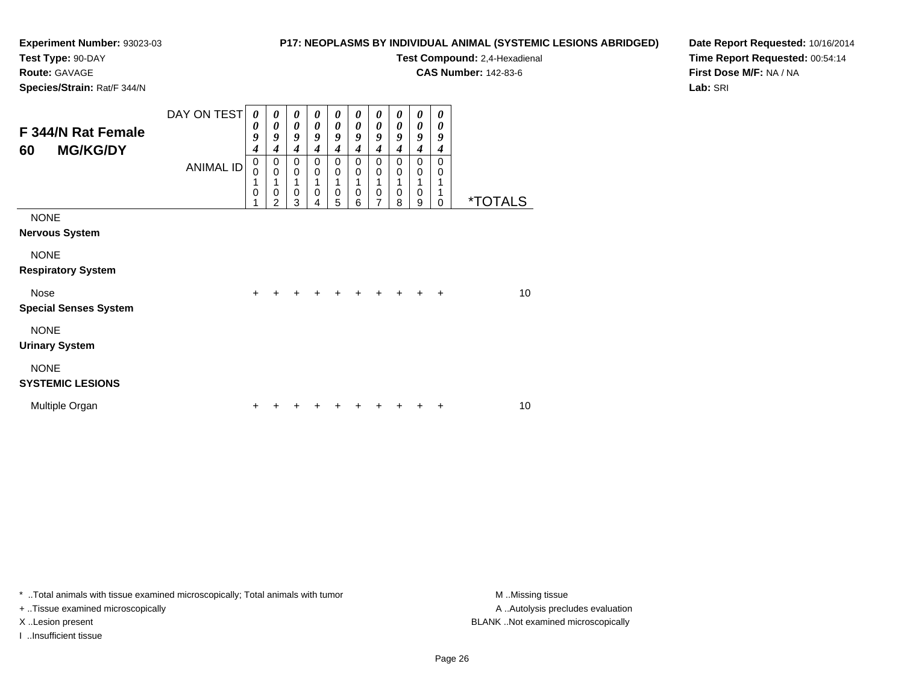**Test Type:** 90-DAY

**Route:** GAVAGE

**Species/Strain:** Rat/F 344/N

#### **P17: NEOPLASMS BY INDIVIDUAL ANIMAL (SYSTEMIC LESIONS ABRIDGED)**

**Test Compound:** 2,4-Hexadienal

**CAS Number:** 142-83-6

**Date Report Requested:** 10/16/2014**Time Report Requested:** 00:54:14**First Dose M/F:** NA / NA**Lab:** SRI

| F 344/N Rat Female<br><b>MG/KG/DY</b><br>60 | DAY ON TEST<br>ANIMAL ID | $\boldsymbol{\theta}$<br>0<br>9<br>4<br>$\pmb{0}$<br>$\Omega$<br>1<br>0 | 0<br>0<br>9<br>4<br>0<br>$\mathbf 0$<br>1<br>0<br>2 | 0<br>$\boldsymbol{\theta}$<br>9<br>4<br>0<br>$\boldsymbol{0}$<br>1<br>0<br>3 | 0<br>0<br>9<br>4<br>0<br>0<br>1<br>0<br>4 | 0<br>0<br>9<br>4<br>$\mathbf 0$<br>$\mathbf 0$<br>$\mathbf 0$<br>5 | 0<br>0<br>9<br>4<br>$\Omega$<br>$\mathbf 0$<br>$\mathbf 0$<br>6 | 0<br>$\boldsymbol{\theta}$<br>9<br>4<br>$\mathbf 0$<br>$\mathbf 0$<br>1<br>$\mathbf 0$<br>7 | 0<br>0<br>$\boldsymbol{g}$<br>4<br>$\Omega$<br>$\mathbf 0$<br>1<br>$\mathbf 0$<br>8 | 0<br>0<br>$\boldsymbol{g}$<br>4<br>$\mathbf 0$<br>$\mathbf 0$<br>0<br>9 | 0<br>$\boldsymbol{\theta}$<br>9<br>4<br>$\Omega$<br>0<br>1<br>1<br>0 | <i><b>*TOTALS</b></i> |
|---------------------------------------------|--------------------------|-------------------------------------------------------------------------|-----------------------------------------------------|------------------------------------------------------------------------------|-------------------------------------------|--------------------------------------------------------------------|-----------------------------------------------------------------|---------------------------------------------------------------------------------------------|-------------------------------------------------------------------------------------|-------------------------------------------------------------------------|----------------------------------------------------------------------|-----------------------|
| <b>NONE</b><br><b>Nervous System</b>        |                          |                                                                         |                                                     |                                                                              |                                           |                                                                    |                                                                 |                                                                                             |                                                                                     |                                                                         |                                                                      |                       |
| <b>NONE</b><br><b>Respiratory System</b>    |                          |                                                                         |                                                     |                                                                              |                                           |                                                                    |                                                                 |                                                                                             |                                                                                     |                                                                         |                                                                      |                       |
| <b>Nose</b><br><b>Special Senses System</b> |                          | $\ddot{}$                                                               |                                                     |                                                                              |                                           |                                                                    |                                                                 |                                                                                             |                                                                                     |                                                                         | $\ddot{}$                                                            | 10                    |
| <b>NONE</b><br><b>Urinary System</b>        |                          |                                                                         |                                                     |                                                                              |                                           |                                                                    |                                                                 |                                                                                             |                                                                                     |                                                                         |                                                                      |                       |
| <b>NONE</b><br><b>SYSTEMIC LESIONS</b>      |                          |                                                                         |                                                     |                                                                              |                                           |                                                                    |                                                                 |                                                                                             |                                                                                     |                                                                         |                                                                      |                       |
| Multiple Organ                              |                          | ٠                                                                       |                                                     |                                                                              |                                           |                                                                    |                                                                 |                                                                                             |                                                                                     |                                                                         | +                                                                    | 10                    |

\* ..Total animals with tissue examined microscopically; Total animals with tumor **M** . Missing tissue M ..Missing tissue

+ ..Tissue examined microscopically

I ..Insufficient tissue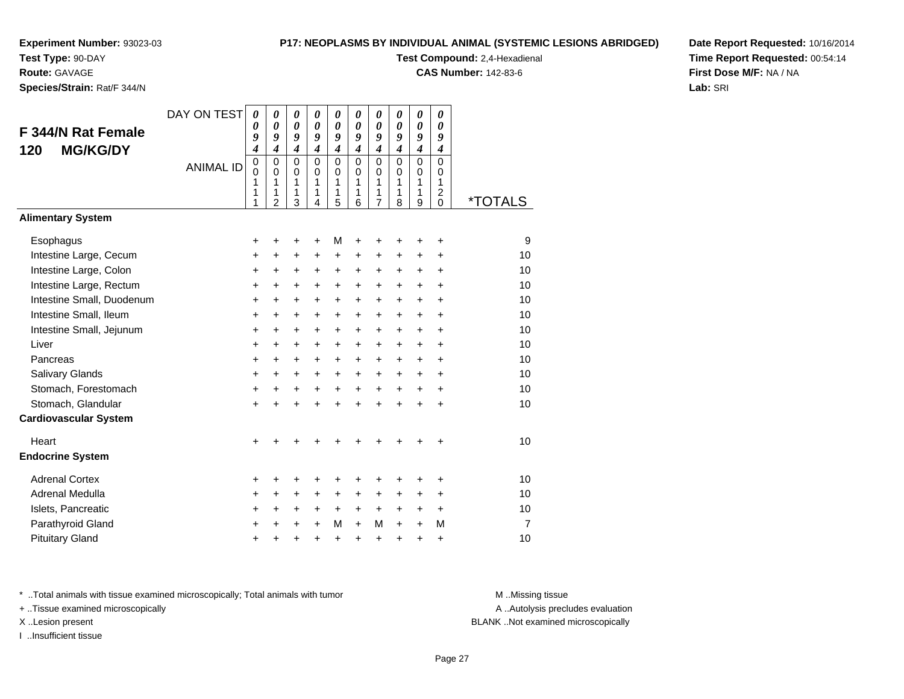**Test Type:** 90-DAY

### **Route:** GAVAGE

**Species/Strain:** Rat/F 344/N

#### **P17: NEOPLASMS BY INDIVIDUAL ANIMAL (SYSTEMIC LESIONS ABRIDGED)**

**Test Compound:** 2,4-Hexadienal

**CAS Number:** 142-83-6

**Date Report Requested:** 10/16/2014**Time Report Requested:** 00:54:14**First Dose M/F:** NA / NA**Lab:** SRI

| F 344/N Rat Female<br><b>MG/KG/DY</b><br>120 | DAY ON TEST      | 0<br>0<br>9<br>$\boldsymbol{4}$ | 0<br>0<br>9<br>$\boldsymbol{4}$              | 0<br>0<br>9<br>$\boldsymbol{4}$         | 0<br>0<br>9<br>$\boldsymbol{4}$     | 0<br>0<br>9<br>$\overline{\boldsymbol{4}}$ | 0<br>0<br>9<br>4                    | 0<br>$\boldsymbol{\theta}$<br>9<br>$\boldsymbol{4}$ | 0<br>$\boldsymbol{\theta}$<br>9<br>$\boldsymbol{4}$ | 0<br>0<br>9<br>$\boldsymbol{4}$                           | 0<br>0<br>9<br>$\boldsymbol{4}$                      |                       |
|----------------------------------------------|------------------|---------------------------------|----------------------------------------------|-----------------------------------------|-------------------------------------|--------------------------------------------|-------------------------------------|-----------------------------------------------------|-----------------------------------------------------|-----------------------------------------------------------|------------------------------------------------------|-----------------------|
|                                              | <b>ANIMAL ID</b> | 0<br>$\mathbf 0$<br>1<br>1<br>1 | $\mathbf 0$<br>0<br>1<br>1<br>$\overline{2}$ | $\Omega$<br>0<br>$\mathbf{1}$<br>1<br>3 | $\Omega$<br>$\Omega$<br>1<br>1<br>4 | 0<br>0<br>1<br>1<br>5                      | $\Omega$<br>$\Omega$<br>1<br>1<br>6 | $\Omega$<br>0<br>1<br>1<br>$\overline{7}$           | $\mathbf 0$<br>$\Omega$<br>$\mathbf{1}$<br>1<br>8   | $\Omega$<br>$\Omega$<br>$\mathbf{1}$<br>$\mathbf{1}$<br>9 | $\Omega$<br>0<br>$\mathbf{1}$<br>$\overline{c}$<br>0 | <i><b>*TOTALS</b></i> |
| <b>Alimentary System</b>                     |                  |                                 |                                              |                                         |                                     |                                            |                                     |                                                     |                                                     |                                                           |                                                      |                       |
| Esophagus                                    |                  | +                               | +                                            | +                                       | +                                   | M                                          | +                                   |                                                     |                                                     | +                                                         | +                                                    | 9                     |
| Intestine Large, Cecum                       |                  | +                               | +                                            | +                                       | +                                   | +                                          | +                                   | +                                                   | +                                                   | +                                                         | +                                                    | 10                    |
| Intestine Large, Colon                       |                  | +                               | +                                            | +                                       | $\ddot{}$                           | +                                          | $\ddot{}$                           | $\ddot{}$                                           | $\ddot{}$                                           | $\ddot{}$                                                 | +                                                    | 10                    |
| Intestine Large, Rectum                      |                  | $\ddot{}$                       | $\ddot{}$                                    | $\ddot{}$                               | $\pm$                               | $\pm$                                      | $\ddot{}$                           | $\pm$                                               | $\pm$                                               | $\ddot{}$                                                 | +                                                    | 10                    |
| Intestine Small, Duodenum                    |                  | $\ddot{}$                       | $\ddot{}$                                    | $\ddot{}$                               | $\ddot{}$                           | +                                          | $\ddot{}$                           | $+$                                                 | $+$                                                 | $\ddot{}$                                                 | $\ddot{}$                                            | 10                    |
| Intestine Small, Ileum                       |                  | $\ddot{}$                       | +                                            | +                                       | +                                   | +                                          | $\ddot{}$                           | +                                                   | +                                                   | +                                                         | +                                                    | 10                    |
| Intestine Small, Jejunum                     |                  | $\ddot{}$                       | $\ddot{}$                                    | $\ddot{}$                               | $\ddot{}$                           | +                                          | $\ddot{}$                           | $\ddot{}$                                           | $\ddot{}$                                           | $\ddot{}$                                                 | $\ddot{}$                                            | 10                    |
| Liver                                        |                  | +                               | +                                            | +                                       | +                                   | +                                          | $\ddot{}$                           | $\ddot{}$                                           | $\ddot{}$                                           | +                                                         | +                                                    | 10                    |
| Pancreas                                     |                  | $\ddot{}$                       | $\ddot{}$                                    | $\ddot{}$                               | $\ddot{}$                           | $+$                                        | $\ddot{}$                           | $\ddot{}$                                           | $\ddot{}$                                           | $\ddot{}$                                                 | $\ddot{}$                                            | 10                    |
| Salivary Glands                              |                  | $\ddot{}$                       | +                                            | +                                       | +                                   | +                                          | $\ddot{}$                           | $\ddot{}$                                           | $\ddot{}$                                           | +                                                         | +                                                    | 10                    |
| Stomach, Forestomach                         |                  | $\ddot{}$                       | $\ddot{}$                                    | $\ddot{}$                               | $\ddot{}$                           | $\ddot{}$                                  | $\ddot{}$                           | $\ddot{}$                                           | $\ddot{}$                                           | $+$                                                       | $\ddot{}$                                            | 10                    |
| Stomach, Glandular                           |                  | $\ddot{}$                       | $\ddot{}$                                    | $\ddot{}$                               | $\ddot{}$                           | $\ddot{}$                                  | $\ddot{}$                           | $\ddot{}$                                           | $\ddot{}$                                           | $\ddot{}$                                                 | $\ddot{}$                                            | 10                    |
| <b>Cardiovascular System</b>                 |                  |                                 |                                              |                                         |                                     |                                            |                                     |                                                     |                                                     |                                                           |                                                      |                       |
| Heart                                        |                  | $\ddot{}$                       |                                              |                                         |                                     |                                            |                                     |                                                     |                                                     |                                                           | +                                                    | 10                    |
| <b>Endocrine System</b>                      |                  |                                 |                                              |                                         |                                     |                                            |                                     |                                                     |                                                     |                                                           |                                                      |                       |
| <b>Adrenal Cortex</b>                        |                  | +                               | +                                            | +                                       | +                                   | +                                          | +                                   | +                                                   | +                                                   | +                                                         | +                                                    | 10                    |
| Adrenal Medulla                              |                  | $\ddot{}$                       | $\ddot{}$                                    | $\ddot{}$                               | $\ddot{}$                           | $\ddot{}$                                  | $\ddot{}$                           | $\ddot{}$                                           | $\ddot{}$                                           | $\ddot{}$                                                 | $\ddot{}$                                            | 10                    |
| Islets, Pancreatic                           |                  | +                               | +                                            | +                                       | $\ddot{}$                           | +                                          | $\ddot{}$                           | $\ddot{}$                                           | $\ddot{}$                                           | $\ddot{}$                                                 | $\ddot{}$                                            | 10                    |
| Parathyroid Gland                            |                  | $\ddot{}$                       | ÷                                            | $\ddot{}$                               | $\ddot{}$                           | М                                          | $\ddot{}$                           | М                                                   | $\ddot{}$                                           | $\ddot{}$                                                 | М                                                    | $\overline{7}$        |
| <b>Pituitary Gland</b>                       |                  | +                               | +                                            | $\ddot{}$                               | $\ddot{}$                           | $\ddot{}$                                  | $\ddot{}$                           | +                                                   | +                                                   | $\ddot{}$                                                 | +                                                    | 10                    |

\* ..Total animals with tissue examined microscopically; Total animals with tumor **M** . Missing tissue M ..Missing tissue

+ ..Tissue examined microscopically

I ..Insufficient tissue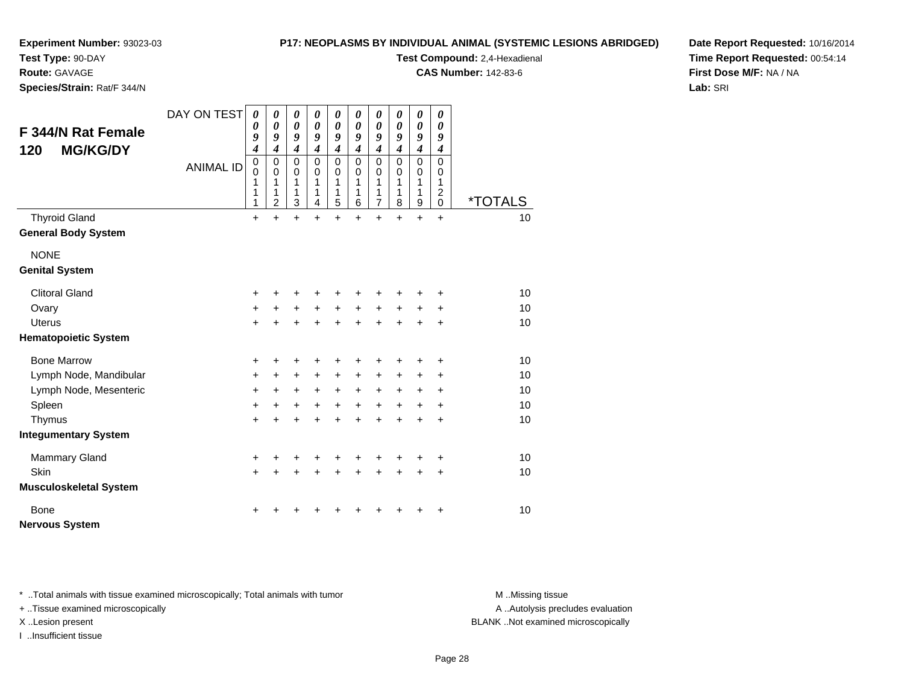#### **P17: NEOPLASMS BY INDIVIDUAL ANIMAL (SYSTEMIC LESIONS ABRIDGED)**

**Experiment Number:** 93023-03

**Test Type:** 90-DAY

**Route:** GAVAGE

**Species/Strain:** Rat/F 344/N

**Test Compound:** 2,4-Hexadienal

**CAS Number:** 142-83-6

**Date Report Requested:** 10/16/2014**Time Report Requested:** 00:54:14**First Dose M/F:** NA / NA**Lab:** SRI

| <b>F 344/N Rat Female</b><br><b>MG/KG/DY</b><br>120 | DAY ON TEST      | $\boldsymbol{\theta}$<br>$\boldsymbol{\theta}$<br>9<br>4<br>$\overline{0}$ | $\boldsymbol{\theta}$<br>0<br>9<br>$\overline{4}$<br>$\mathbf 0$ | $\boldsymbol{\theta}$<br>$\boldsymbol{\theta}$<br>9<br>$\boldsymbol{4}$<br>$\mathbf 0$ | 0<br>0<br>9<br>$\boldsymbol{4}$<br>$\Omega$ | $\boldsymbol{\theta}$<br>$\boldsymbol{\theta}$<br>9<br>$\boldsymbol{4}$<br>0 | $\boldsymbol{\theta}$<br>0<br>9<br>$\boldsymbol{4}$<br>$\mathbf 0$ | 0<br>$\pmb{\theta}$<br>9<br>$\overline{\boldsymbol{4}}$<br>$\mathbf 0$ | 0<br>0<br>9<br>$\overline{4}$<br>$\Omega$ | $\pmb{\theta}$<br>$\boldsymbol{\theta}$<br>9<br>$\boldsymbol{4}$<br>$\mathbf 0$ | $\boldsymbol{\theta}$<br>0<br>9<br>$\boldsymbol{4}$<br>$\mathbf 0$ |                       |
|-----------------------------------------------------|------------------|----------------------------------------------------------------------------|------------------------------------------------------------------|----------------------------------------------------------------------------------------|---------------------------------------------|------------------------------------------------------------------------------|--------------------------------------------------------------------|------------------------------------------------------------------------|-------------------------------------------|---------------------------------------------------------------------------------|--------------------------------------------------------------------|-----------------------|
|                                                     | <b>ANIMAL ID</b> | $\mathbf 0$<br>1<br>1<br>1                                                 | 0<br>1<br>1<br>$\overline{2}$                                    | $\mathbf 0$<br>$\mathbf{1}$<br>1<br>3                                                  | 0<br>1<br>1<br>4                            | $\mathbf 0$<br>1<br>1<br>5                                                   | 0<br>1<br>1<br>6                                                   | 0<br>1<br>1<br>$\overline{7}$                                          | 0<br>1<br>1<br>8                          | $\pmb{0}$<br>1<br>1<br>9                                                        | 0<br>1<br>$\overline{c}$<br>$\mathbf 0$                            | <i><b>*TOTALS</b></i> |
| <b>Thyroid Gland</b>                                |                  | +                                                                          | $\ddot{}$                                                        | $\ddot{}$                                                                              | $\ddot{}$                                   | $\ddot{}$                                                                    | $\ddot{}$                                                          | $\ddot{}$                                                              | $\ddot{}$                                 | $\ddot{}$                                                                       | $+$                                                                | 10                    |
| <b>General Body System</b>                          |                  |                                                                            |                                                                  |                                                                                        |                                             |                                                                              |                                                                    |                                                                        |                                           |                                                                                 |                                                                    |                       |
| <b>NONE</b>                                         |                  |                                                                            |                                                                  |                                                                                        |                                             |                                                                              |                                                                    |                                                                        |                                           |                                                                                 |                                                                    |                       |
| <b>Genital System</b>                               |                  |                                                                            |                                                                  |                                                                                        |                                             |                                                                              |                                                                    |                                                                        |                                           |                                                                                 |                                                                    |                       |
| <b>Clitoral Gland</b>                               |                  | +                                                                          |                                                                  | ٠                                                                                      | +                                           | ٠                                                                            | ٠                                                                  | +                                                                      |                                           |                                                                                 |                                                                    | 10                    |
| Ovary                                               |                  | $\ddot{}$                                                                  | +                                                                | $\ddot{}$                                                                              | $+$                                         | $+$                                                                          | $+$                                                                | $+$                                                                    | $+$                                       | $\ddot{}$                                                                       | $\ddot{}$                                                          | 10                    |
| <b>Uterus</b>                                       |                  | $+$                                                                        |                                                                  | $+$                                                                                    | $\ddot{}$                                   | $+$                                                                          | $+$                                                                | $+$                                                                    | $\ddot{}$                                 | $\ddot{}$                                                                       | $\ddot{}$                                                          | 10                    |
| <b>Hematopoietic System</b>                         |                  |                                                                            |                                                                  |                                                                                        |                                             |                                                                              |                                                                    |                                                                        |                                           |                                                                                 |                                                                    |                       |
| <b>Bone Marrow</b>                                  |                  | +                                                                          |                                                                  | +                                                                                      | +                                           | +                                                                            | +                                                                  | +                                                                      |                                           |                                                                                 | +                                                                  | 10                    |
| Lymph Node, Mandibular                              |                  | $\ddot{}$                                                                  | $\ddot{}$                                                        | $\ddot{}$                                                                              | $\ddot{}$                                   | $\ddot{}$                                                                    | $\ddot{}$                                                          | $\ddot{}$                                                              | +                                         | +                                                                               | $\ddot{}$                                                          | 10                    |
| Lymph Node, Mesenteric                              |                  | +                                                                          | $\ddot{}$                                                        | $\ddot{}$                                                                              | $\ddot{}$                                   | $\ddot{}$                                                                    | $+$                                                                | $+$                                                                    | $\ddot{}$                                 | $\ddot{}$                                                                       | $\ddot{}$                                                          | 10                    |
| Spleen                                              |                  | $\ddot{}$                                                                  | $\ddot{}$                                                        | $\ddot{}$                                                                              | $\ddot{}$                                   | $\ddot{}$                                                                    | $+$                                                                | $+$                                                                    | $+$                                       | $\ddot{}$                                                                       | $\ddot{}$                                                          | 10                    |
| Thymus                                              |                  | $\ddot{}$                                                                  |                                                                  | $\ddot{}$                                                                              | $\ddot{}$                                   | $\ddot{}$                                                                    | $\ddot{}$                                                          | $\ddot{}$                                                              | $\ddot{}$                                 | $\ddot{}$                                                                       | $\ddot{}$                                                          | 10                    |
| <b>Integumentary System</b>                         |                  |                                                                            |                                                                  |                                                                                        |                                             |                                                                              |                                                                    |                                                                        |                                           |                                                                                 |                                                                    |                       |
| <b>Mammary Gland</b>                                |                  | +                                                                          |                                                                  |                                                                                        | +                                           | +                                                                            |                                                                    |                                                                        |                                           | +                                                                               | $\ddot{}$                                                          | 10                    |
| Skin                                                |                  | $+$                                                                        |                                                                  | $\ddot{}$                                                                              | $\ddot{}$                                   | $\ddot{}$                                                                    | $\ddot{}$                                                          | $\ddot{}$                                                              | $\ddot{}$                                 | $\ddot{}$                                                                       | $\ddot{}$                                                          | 10                    |
| <b>Musculoskeletal System</b>                       |                  |                                                                            |                                                                  |                                                                                        |                                             |                                                                              |                                                                    |                                                                        |                                           |                                                                                 |                                                                    |                       |
| <b>Bone</b><br><b>Nervous System</b>                |                  | +                                                                          |                                                                  |                                                                                        |                                             |                                                                              |                                                                    |                                                                        |                                           |                                                                                 | +                                                                  | 10                    |

\* ..Total animals with tissue examined microscopically; Total animals with tumor **M** . Missing tissue M ..Missing tissue

+ ..Tissue examined microscopically

I ..Insufficient tissue

A ..Autolysis precludes evaluation

X ..Lesion present BLANK ..Not examined microscopically